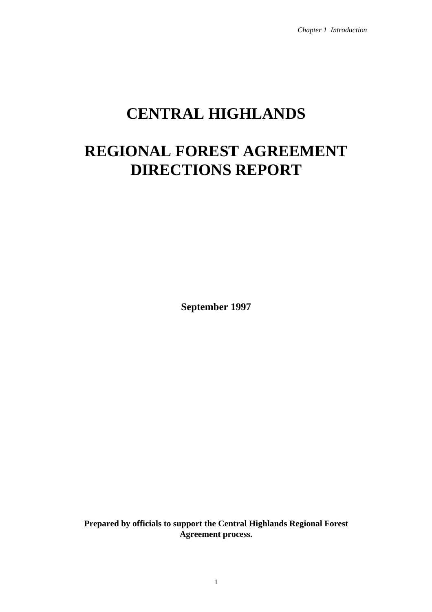# **CENTRAL HIGHLANDS**

# **REGIONAL FOREST AGREEMENT DIRECTIONS REPORT**

**September 1997**

**Prepared by officials to support the Central Highlands Regional Forest Agreement process.**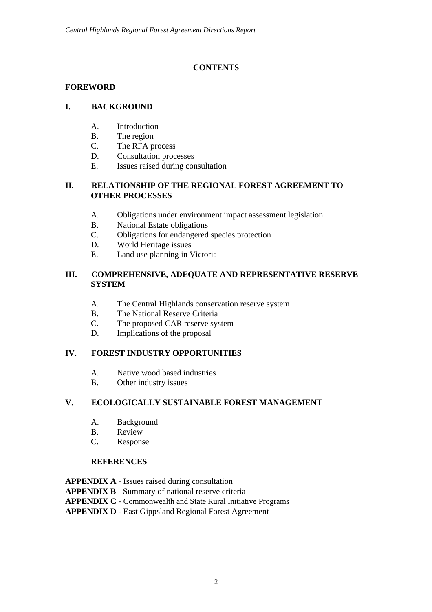## **CONTENTS**

## **FOREWORD**

## **I. BACKGROUND**

- A. Introduction
- B. The region
- C. The RFA process
- D. Consultation processes
- E. Issues raised during consultation

## **II. RELATIONSHIP OF THE REGIONAL FOREST AGREEMENT TO OTHER PROCESSES**

- A. Obligations under environment impact assessment legislation
- B. National Estate obligations
- C. Obligations for endangered species protection
- D. World Heritage issues
- E. Land use planning in Victoria

## **III. COMPREHENSIVE, ADEQUATE AND REPRESENTATIVE RESERVE SYSTEM**

- A. The Central Highlands conservation reserve system
- B. The National Reserve Criteria
- C. The proposed CAR reserve system
- D. Implications of the proposal

## **IV. FOREST INDUSTRY OPPORTUNITIES**

- A. Native wood based industries
- B. Other industry issues

## **V. ECOLOGICALLY SUSTAINABLE FOREST MANAGEMENT**

- A. Background
- B. Review
- C. Response

## **REFERENCES**

**APPENDIX A** - Issues raised during consultation **APPENDIX B** - Summary of national reserve criteria **APPENDIX C - Commonwealth and State Rural Initiative Programs APPENDIX D -** East Gippsland Regional Forest Agreement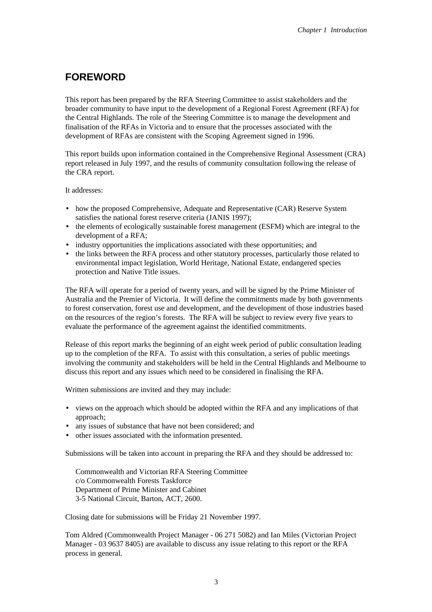# **FOREWORD**

This report has been prepared by the RFA Steering Committee to assist stakeholders and the broader community to have input to the development of a Regional Forest Agreement (RFA) for the Central Highlands. The role of the Steering Committee is to manage the development and finalisation of the RFAs in Victoria and to ensure that the processes associated with the development of RFAs are consistent with the Scoping Agreement signed in 1996.

This report builds upon information contained in the Comprehensive Regional Assessment (CRA) report released in July 1997, and the results of community consultation following the release of the CRA report.

It addresses:

- how the proposed Comprehensive, Adequate and Representative (CAR) Reserve System satisfies the national forest reserve criteria (JANIS 1997);
- the elements of ecologically sustainable forest management (ESFM) which are integral to the development of a RFA;
- industry opportunities the implications associated with these opportunities: and
- the links between the RFA process and other statutory processes, particularly those related to environmental impact legislation, World Heritage, National Estate, endangered species protection and Native Title issues.

The RFA will operate for a period of twenty years, and will be signed by the Prime Minister of Australia and the Premier of Victoria. It will define the commitments made by both governments to forest conservation, forest use and development, and the development of those industries based on the resources of the region's forests. The RFA will be subject to review every five years to evaluate the performance of the agreement against the identified commitments.

Release of this report marks the beginning of an eight week period of public consultation leading up to the completion of the RFA. To assist with this consultation, a series of public meetings involving the community and stakeholders will be held in the Central Highlands and Melbourne to discuss this report and any issues which need to be considered in finalising the RFA.

Written submissions are invited and they may include:

- views on the approach which should be adopted within the RFA and any implications of that approach;
- any issues of substance that have not been considered; and
- other issues associated with the information presented.

Submissions will be taken into account in preparing the RFA and they should be addressed to:

Commonwealth and Victorian RFA Steering Committee c/o Commonwealth Forests Taskforce Department of Prime Minister and Cabinet 3-5 National Circuit, Barton, ACT, 2600.

Closing date for submissions will be Friday 21 November 1997.

Tom Aldred (Commonwealth Project Manager - 06 271 5082) and Ian Miles (Victorian Project Manager - 03 9637 8405) are available to discuss any issue relating to this report or the RFA process in general.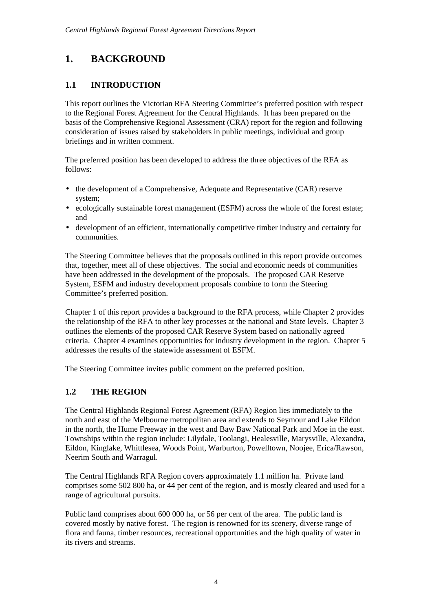# **1. BACKGROUND**

# **1.1 INTRODUCTION**

This report outlines the Victorian RFA Steering Committee's preferred position with respect to the Regional Forest Agreement for the Central Highlands. It has been prepared on the basis of the Comprehensive Regional Assessment (CRA) report for the region and following consideration of issues raised by stakeholders in public meetings, individual and group briefings and in written comment.

The preferred position has been developed to address the three objectives of the RFA as follows:

- the development of a Comprehensive, Adequate and Representative (CAR) reserve system;
- ecologically sustainable forest management (ESFM) across the whole of the forest estate; and
- development of an efficient, internationally competitive timber industry and certainty for communities.

The Steering Committee believes that the proposals outlined in this report provide outcomes that, together, meet all of these objectives. The social and economic needs of communities have been addressed in the development of the proposals. The proposed CAR Reserve System, ESFM and industry development proposals combine to form the Steering Committee's preferred position.

Chapter 1 of this report provides a background to the RFA process, while Chapter 2 provides the relationship of the RFA to other key processes at the national and State levels. Chapter 3 outlines the elements of the proposed CAR Reserve System based on nationally agreed criteria. Chapter 4 examines opportunities for industry development in the region. Chapter 5 addresses the results of the statewide assessment of ESFM.

The Steering Committee invites public comment on the preferred position.

# **1.2 THE REGION**

The Central Highlands Regional Forest Agreement (RFA) Region lies immediately to the north and east of the Melbourne metropolitan area and extends to Seymour and Lake Eildon in the north, the Hume Freeway in the west and Baw Baw National Park and Moe in the east. Townships within the region include: Lilydale, Toolangi, Healesville, Marysville, Alexandra, Eildon, Kinglake, Whittlesea, Woods Point, Warburton, Powelltown, Noojee, Erica/Rawson, Neerim South and Warragul.

The Central Highlands RFA Region covers approximately 1.1 million ha. Private land comprises some 502 800 ha, or 44 per cent of the region, and is mostly cleared and used for a range of agricultural pursuits.

Public land comprises about 600 000 ha, or 56 per cent of the area. The public land is covered mostly by native forest. The region is renowned for its scenery, diverse range of flora and fauna, timber resources, recreational opportunities and the high quality of water in its rivers and streams.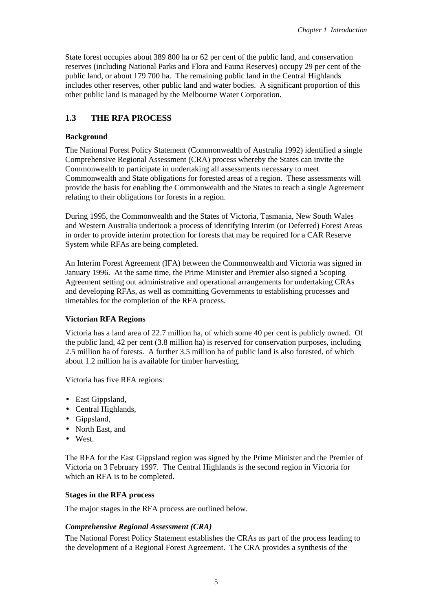State forest occupies about 389 800 ha or 62 per cent of the public land, and conservation reserves (including National Parks and Flora and Fauna Reserves) occupy 29 per cent of the public land, or about 179 700 ha. The remaining public land in the Central Highlands includes other reserves, other public land and water bodies. A significant proportion of this other public land is managed by the Melbourne Water Corporation.

# **1.3 THE RFA PROCESS**

## **Background**

The National Forest Policy Statement (Commonwealth of Australia 1992) identified a single Comprehensive Regional Assessment (CRA) process whereby the States can invite the Commonwealth to participate in undertaking all assessments necessary to meet Commonwealth and State obligations for forested areas of a region. These assessments will provide the basis for enabling the Commonwealth and the States to reach a single Agreement relating to their obligations for forests in a region.

During 1995, the Commonwealth and the States of Victoria, Tasmania, New South Wales and Western Australia undertook a process of identifying Interim (or Deferred) Forest Areas in order to provide interim protection for forests that may be required for a CAR Reserve System while RFAs are being completed.

An Interim Forest Agreement (IFA) between the Commonwealth and Victoria was signed in January 1996. At the same time, the Prime Minister and Premier also signed a Scoping Agreement setting out administrative and operational arrangements for undertaking CRAs and developing RFAs, as well as committing Governments to establishing processes and timetables for the completion of the RFA process.

#### **Victorian RFA Regions**

Victoria has a land area of 22.7 million ha, of which some 40 per cent is publicly owned. Of the public land, 42 per cent (3.8 million ha) is reserved for conservation purposes, including 2.5 million ha of forests. A further 3.5 million ha of public land is also forested, of which about 1.2 million ha is available for timber harvesting.

Victoria has five RFA regions:

- East Gippsland,
- Central Highlands,
- Gippsland,
- North East, and
- West.

The RFA for the East Gippsland region was signed by the Prime Minister and the Premier of Victoria on 3 February 1997. The Central Highlands is the second region in Victoria for which an RFA is to be completed.

#### **Stages in the RFA process**

The major stages in the RFA process are outlined below.

#### *Comprehensive Regional Assessment (CRA)*

The National Forest Policy Statement establishes the CRAs as part of the process leading to the development of a Regional Forest Agreement. The CRA provides a synthesis of the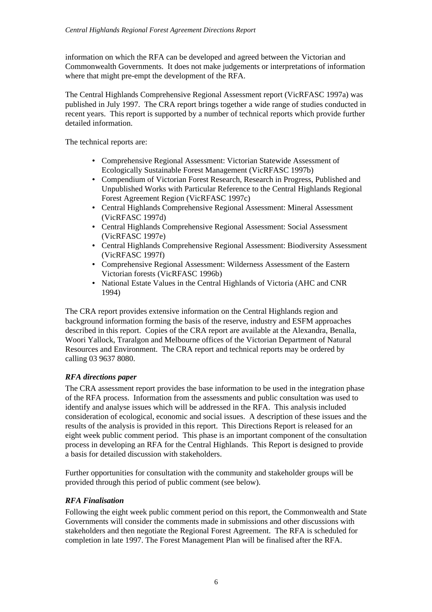information on which the RFA can be developed and agreed between the Victorian and Commonwealth Governments. It does not make judgements or interpretations of information where that might pre-empt the development of the RFA.

The Central Highlands Comprehensive Regional Assessment report (VicRFASC 1997a) was published in July 1997. The CRA report brings together a wide range of studies conducted in recent years. This report is supported by a number of technical reports which provide further detailed information.

The technical reports are:

- Comprehensive Regional Assessment: Victorian Statewide Assessment of Ecologically Sustainable Forest Management (VicRFASC 1997b)
- Compendium of Victorian Forest Research, Research in Progress, Published and Unpublished Works with Particular Reference to the Central Highlands Regional Forest Agreement Region (VicRFASC 1997c)
- Central Highlands Comprehensive Regional Assessment: Mineral Assessment (VicRFASC 1997d)
- Central Highlands Comprehensive Regional Assessment: Social Assessment (VicRFASC 1997e)
- Central Highlands Comprehensive Regional Assessment: Biodiversity Assessment (VicRFASC 1997f)
- Comprehensive Regional Assessment: Wilderness Assessment of the Eastern Victorian forests (VicRFASC 1996b)
- National Estate Values in the Central Highlands of Victoria (AHC and CNR 1994)

The CRA report provides extensive information on the Central Highlands region and background information forming the basis of the reserve, industry and ESFM approaches described in this report. Copies of the CRA report are available at the Alexandra, Benalla, Woori Yallock, Traralgon and Melbourne offices of the Victorian Department of Natural Resources and Environment. The CRA report and technical reports may be ordered by calling 03 9637 8080.

## *RFA directions paper*

The CRA assessment report provides the base information to be used in the integration phase of the RFA process. Information from the assessments and public consultation was used to identify and analyse issues which will be addressed in the RFA. This analysis included consideration of ecological, economic and social issues. A description of these issues and the results of the analysis is provided in this report. This Directions Report is released for an eight week public comment period. This phase is an important component of the consultation process in developing an RFA for the Central Highlands. This Report is designed to provide a basis for detailed discussion with stakeholders.

Further opportunities for consultation with the community and stakeholder groups will be provided through this period of public comment (see below).

## *RFA Finalisation*

Following the eight week public comment period on this report, the Commonwealth and State Governments will consider the comments made in submissions and other discussions with stakeholders and then negotiate the Regional Forest Agreement. The RFA is scheduled for completion in late 1997. The Forest Management Plan will be finalised after the RFA.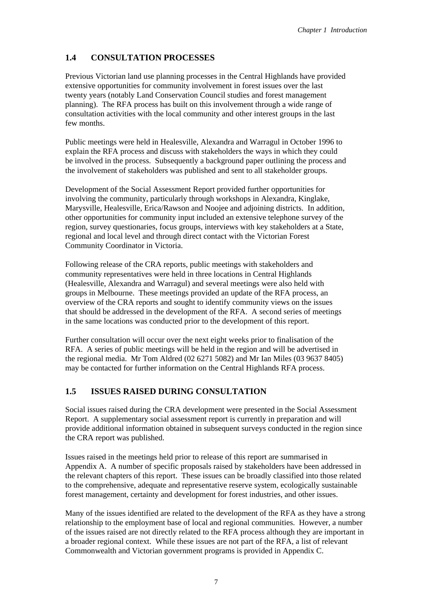# **1.4 CONSULTATION PROCESSES**

Previous Victorian land use planning processes in the Central Highlands have provided extensive opportunities for community involvement in forest issues over the last twenty years (notably Land Conservation Council studies and forest management planning). The RFA process has built on this involvement through a wide range of consultation activities with the local community and other interest groups in the last few months.

Public meetings were held in Healesville, Alexandra and Warragul in October 1996 to explain the RFA process and discuss with stakeholders the ways in which they could be involved in the process. Subsequently a background paper outlining the process and the involvement of stakeholders was published and sent to all stakeholder groups.

Development of the Social Assessment Report provided further opportunities for involving the community, particularly through workshops in Alexandra, Kinglake, Marysville, Healesville, Erica/Rawson and Noojee and adjoining districts. In addition, other opportunities for community input included an extensive telephone survey of the region, survey questionaries, focus groups, interviews with key stakeholders at a State, regional and local level and through direct contact with the Victorian Forest Community Coordinator in Victoria.

Following release of the CRA reports, public meetings with stakeholders and community representatives were held in three locations in Central Highlands (Healesville, Alexandra and Warragul) and several meetings were also held with groups in Melbourne. These meetings provided an update of the RFA process, an overview of the CRA reports and sought to identify community views on the issues that should be addressed in the development of the RFA. A second series of meetings in the same locations was conducted prior to the development of this report.

Further consultation will occur over the next eight weeks prior to finalisation of the RFA. A series of public meetings will be held in the region and will be advertised in the regional media. Mr Tom Aldred (02 6271 5082) and Mr Ian Miles (03 9637 8405) may be contacted for further information on the Central Highlands RFA process.

# **1.5 ISSUES RAISED DURING CONSULTATION**

Social issues raised during the CRA development were presented in the Social Assessment Report. A supplementary social assessment report is currently in preparation and will provide additional information obtained in subsequent surveys conducted in the region since the CRA report was published.

Issues raised in the meetings held prior to release of this report are summarised in Appendix A. A number of specific proposals raised by stakeholders have been addressed in the relevant chapters of this report. These issues can be broadly classified into those related to the comprehensive, adequate and representative reserve system, ecologically sustainable forest management, certainty and development for forest industries, and other issues.

Many of the issues identified are related to the development of the RFA as they have a strong relationship to the employment base of local and regional communities. However, a number of the issues raised are not directly related to the RFA process although they are important in a broader regional context. While these issues are not part of the RFA, a list of relevant Commonwealth and Victorian government programs is provided in Appendix C.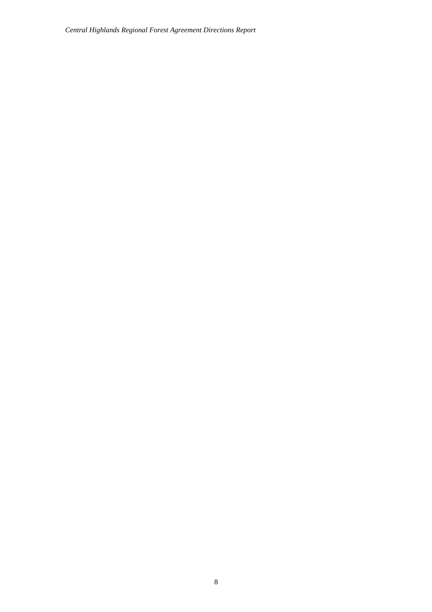*Central Highlands Regional Forest Agreement Directions Report*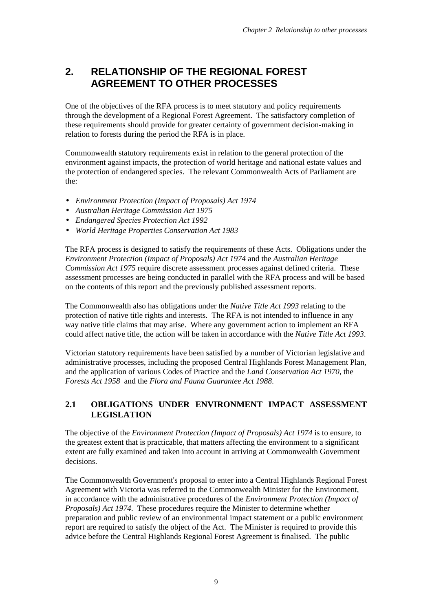# **2. RELATIONSHIP OF THE REGIONAL FOREST AGREEMENT TO OTHER PROCESSES**

One of the objectives of the RFA process is to meet statutory and policy requirements through the development of a Regional Forest Agreement. The satisfactory completion of these requirements should provide for greater certainty of government decision-making in relation to forests during the period the RFA is in place.

Commonwealth statutory requirements exist in relation to the general protection of the environment against impacts, the protection of world heritage and national estate values and the protection of endangered species. The relevant Commonwealth Acts of Parliament are the:

- *Environment Protection (Impact of Proposals) Act 1974*
- *Australian Heritage Commission Act 1975*
- *Endangered Species Protection Act 1992*
- *World Heritage Properties Conservation Act 1983*

The RFA process is designed to satisfy the requirements of these Acts. Obligations under the *Environment Protection (Impact of Proposals) Act 1974* and the *Australian Heritage Commission Act 1975* require discrete assessment processes against defined criteria. These assessment processes are being conducted in parallel with the RFA process and will be based on the contents of this report and the previously published assessment reports.

The Commonwealth also has obligations under the *Native Title Act 1993* relating to the protection of native title rights and interests. The RFA is not intended to influence in any way native title claims that may arise. Where any government action to implement an RFA could affect native title, the action will be taken in accordance with the *Native Title Act 1993*.

Victorian statutory requirements have been satisfied by a number of Victorian legislative and administrative processes, including the proposed Central Highlands Forest Management Plan, and the application of various Codes of Practice and the *Land Conservation Act 1970*, the *Forests Act 1958* and the *Flora and Fauna Guarantee Act 1988*.

# **2.1 OBLIGATIONS UNDER ENVIRONMENT IMPACT ASSESSMENT LEGISLATION**

The objective of the *Environment Protection (Impact of Proposals) Act 1974* is to ensure, to the greatest extent that is practicable, that matters affecting the environment to a significant extent are fully examined and taken into account in arriving at Commonwealth Government decisions.

The Commonwealth Government's proposal to enter into a Central Highlands Regional Forest Agreement with Victoria was referred to the Commonwealth Minister for the Environment, in accordance with the administrative procedures of the *Environment Protection (Impact of Proposals) Act 1974*. These procedures require the Minister to determine whether preparation and public review of an environmental impact statement or a public environment report are required to satisfy the object of the Act. The Minister is required to provide this advice before the Central Highlands Regional Forest Agreement is finalised. The public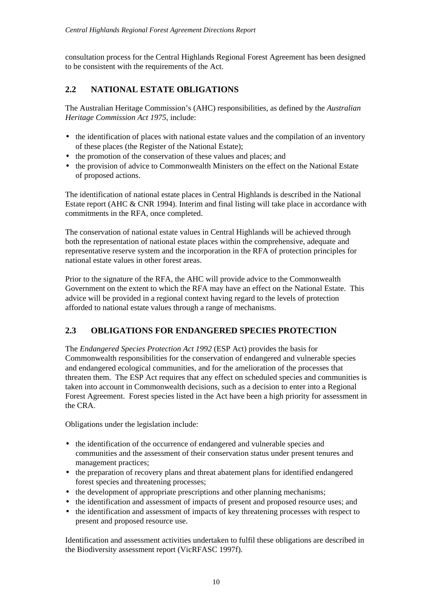consultation process for the Central Highlands Regional Forest Agreement has been designed to be consistent with the requirements of the Act.

# **2.2 NATIONAL ESTATE OBLIGATIONS**

The Australian Heritage Commission's (AHC) responsibilities, as defined by the *Australian Heritage Commission Act 1975*, include:

- the identification of places with national estate values and the compilation of an inventory of these places (the Register of the National Estate);
- the promotion of the conservation of these values and places; and
- the provision of advice to Commonwealth Ministers on the effect on the National Estate of proposed actions.

The identification of national estate places in Central Highlands is described in the National Estate report (AHC  $&$  CNR 1994). Interim and final listing will take place in accordance with commitments in the RFA, once completed.

The conservation of national estate values in Central Highlands will be achieved through both the representation of national estate places within the comprehensive, adequate and representative reserve system and the incorporation in the RFA of protection principles for national estate values in other forest areas.

Prior to the signature of the RFA, the AHC will provide advice to the Commonwealth Government on the extent to which the RFA may have an effect on the National Estate. This advice will be provided in a regional context having regard to the levels of protection afforded to national estate values through a range of mechanisms.

# **2.3 OBLIGATIONS FOR ENDANGERED SPECIES PROTECTION**

The *Endangered Species Protection Act 1992* (ESP Act) provides the basis for Commonwealth responsibilities for the conservation of endangered and vulnerable species and endangered ecological communities, and for the amelioration of the processes that threaten them. The ESP Act requires that any effect on scheduled species and communities is taken into account in Commonwealth decisions, such as a decision to enter into a Regional Forest Agreement. Forest species listed in the Act have been a high priority for assessment in the CRA.

Obligations under the legislation include:

- the identification of the occurrence of endangered and vulnerable species and communities and the assessment of their conservation status under present tenures and management practices;
- the preparation of recovery plans and threat abatement plans for identified endangered forest species and threatening processes;
- the development of appropriate prescriptions and other planning mechanisms;
- the identification and assessment of impacts of present and proposed resource uses; and
- the identification and assessment of impacts of key threatening processes with respect to present and proposed resource use.

Identification and assessment activities undertaken to fulfil these obligations are described in the Biodiversity assessment report (VicRFASC 1997f).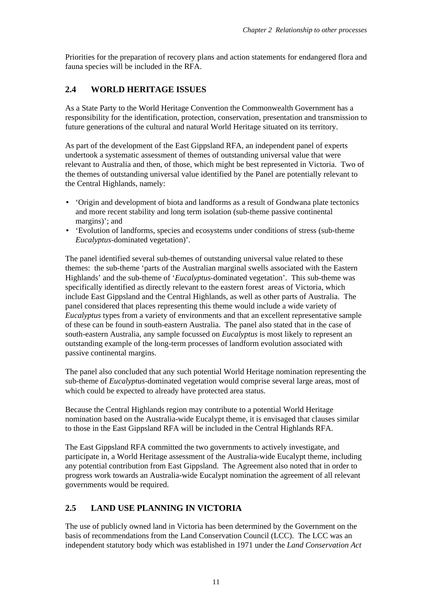Priorities for the preparation of recovery plans and action statements for endangered flora and fauna species will be included in the RFA.

## **2.4 WORLD HERITAGE ISSUES**

As a State Party to the World Heritage Convention the Commonwealth Government has a responsibility for the identification, protection, conservation, presentation and transmission to future generations of the cultural and natural World Heritage situated on its territory.

As part of the development of the East Gippsland RFA, an independent panel of experts undertook a systematic assessment of themes of outstanding universal value that were relevant to Australia and then, of those, which might be best represented in Victoria. Two of the themes of outstanding universal value identified by the Panel are potentially relevant to the Central Highlands, namely:

- 'Origin and development of biota and landforms as a result of Gondwana plate tectonics and more recent stability and long term isolation (sub-theme passive continental margins)'; and
- 'Evolution of landforms, species and ecosystems under conditions of stress (sub-theme *Eucalyptus*-dominated vegetation)'.

The panel identified several sub-themes of outstanding universal value related to these themes: the sub-theme 'parts of the Australian marginal swells associated with the Eastern Highlands' and the sub-theme of '*Eucalyptus-*dominated vegetation'. This sub-theme was specifically identified as directly relevant to the eastern forest areas of Victoria, which include East Gippsland and the Central Highlands, as well as other parts of Australia. The panel considered that places representing this theme would include a wide variety of *Eucalyptus* types from a variety of environments and that an excellent representative sample of these can be found in south-eastern Australia. The panel also stated that in the case of south-eastern Australia, any sample focussed on *Eucalyptus* is most likely to represent an outstanding example of the long-term processes of landform evolution associated with passive continental margins.

The panel also concluded that any such potential World Heritage nomination representing the sub-theme of *Eucalyptus*-dominated vegetation would comprise several large areas, most of which could be expected to already have protected area status.

Because the Central Highlands region may contribute to a potential World Heritage nomination based on the Australia-wide Eucalypt theme, it is envisaged that clauses similar to those in the East Gippsland RFA will be included in the Central Highlands RFA.

The East Gippsland RFA committed the two governments to actively investigate, and participate in, a World Heritage assessment of the Australia-wide Eucalypt theme, including any potential contribution from East Gippsland. The Agreement also noted that in order to progress work towards an Australia-wide Eucalypt nomination the agreement of all relevant governments would be required.

## **2.5 LAND USE PLANNING IN VICTORIA**

The use of publicly owned land in Victoria has been determined by the Government on the basis of recommendations from the Land Conservation Council (LCC). The LCC was an independent statutory body which was established in 1971 under the *Land Conservation Act*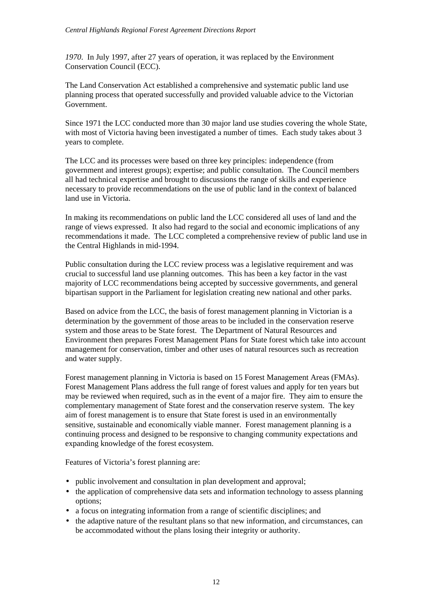*1970*. In July 1997, after 27 years of operation, it was replaced by the Environment Conservation Council (ECC).

The Land Conservation Act established a comprehensive and systematic public land use planning process that operated successfully and provided valuable advice to the Victorian Government.

Since 1971 the LCC conducted more than 30 major land use studies covering the whole State, with most of Victoria having been investigated a number of times. Each study takes about 3 years to complete.

The LCC and its processes were based on three key principles: independence (from government and interest groups); expertise; and public consultation. The Council members all had technical expertise and brought to discussions the range of skills and experience necessary to provide recommendations on the use of public land in the context of balanced land use in Victoria.

In making its recommendations on public land the LCC considered all uses of land and the range of views expressed. It also had regard to the social and economic implications of any recommendations it made. The LCC completed a comprehensive review of public land use in the Central Highlands in mid-1994.

Public consultation during the LCC review process was a legislative requirement and was crucial to successful land use planning outcomes. This has been a key factor in the vast majority of LCC recommendations being accepted by successive governments, and general bipartisan support in the Parliament for legislation creating new national and other parks.

Based on advice from the LCC, the basis of forest management planning in Victorian is a determination by the government of those areas to be included in the conservation reserve system and those areas to be State forest. The Department of Natural Resources and Environment then prepares Forest Management Plans for State forest which take into account management for conservation, timber and other uses of natural resources such as recreation and water supply.

Forest management planning in Victoria is based on 15 Forest Management Areas (FMAs). Forest Management Plans address the full range of forest values and apply for ten years but may be reviewed when required, such as in the event of a major fire. They aim to ensure the complementary management of State forest and the conservation reserve system. The key aim of forest management is to ensure that State forest is used in an environmentally sensitive, sustainable and economically viable manner. Forest management planning is a continuing process and designed to be responsive to changing community expectations and expanding knowledge of the forest ecosystem.

Features of Victoria's forest planning are:

- public involvement and consultation in plan development and approval;
- the application of comprehensive data sets and information technology to assess planning options;
- a focus on integrating information from a range of scientific disciplines; and
- the adaptive nature of the resultant plans so that new information, and circumstances, can be accommodated without the plans losing their integrity or authority.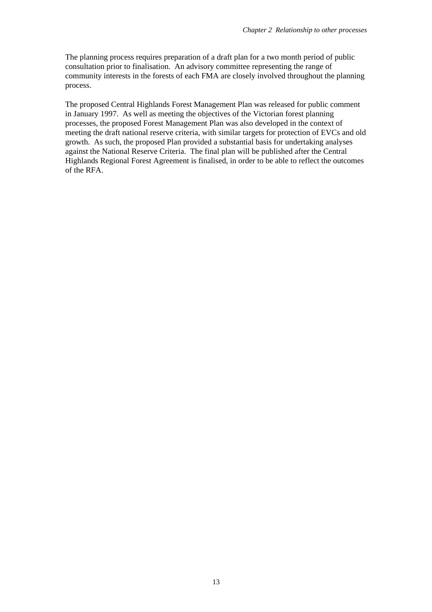The planning process requires preparation of a draft plan for a two month period of public consultation prior to finalisation. An advisory committee representing the range of community interests in the forests of each FMA are closely involved throughout the planning process.

The proposed Central Highlands Forest Management Plan was released for public comment in January 1997. As well as meeting the objectives of the Victorian forest planning processes, the proposed Forest Management Plan was also developed in the context of meeting the draft national reserve criteria, with similar targets for protection of EVCs and old growth. As such, the proposed Plan provided a substantial basis for undertaking analyses against the National Reserve Criteria. The final plan will be published after the Central Highlands Regional Forest Agreement is finalised, in order to be able to reflect the outcomes of the RFA.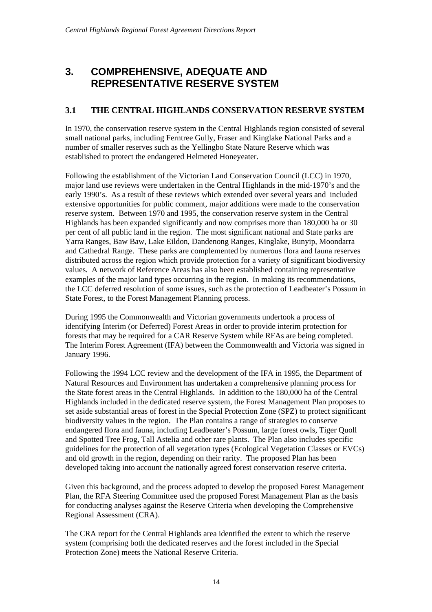# **3. COMPREHENSIVE, ADEQUATE AND REPRESENTATIVE RESERVE SYSTEM**

## **3.1 THE CENTRAL HIGHLANDS CONSERVATION RESERVE SYSTEM**

In 1970, the conservation reserve system in the Central Highlands region consisted of several small national parks, including Ferntree Gully, Fraser and Kinglake National Parks and a number of smaller reserves such as the Yellingbo State Nature Reserve which was established to protect the endangered Helmeted Honeyeater.

Following the establishment of the Victorian Land Conservation Council (LCC) in 1970, major land use reviews were undertaken in the Central Highlands in the mid-1970's and the early 1990's. As a result of these reviews which extended over several years and included extensive opportunities for public comment, major additions were made to the conservation reserve system. Between 1970 and 1995, the conservation reserve system in the Central Highlands has been expanded significantly and now comprises more than 180,000 ha or 30 per cent of all public land in the region. The most significant national and State parks are Yarra Ranges, Baw Baw, Lake Eildon, Dandenong Ranges, Kinglake, Bunyip, Moondarra and Cathedral Range. These parks are complemented by numerous flora and fauna reserves distributed across the region which provide protection for a variety of significant biodiversity values. A network of Reference Areas has also been established containing representative examples of the major land types occurring in the region. In making its recommendations, the LCC deferred resolution of some issues, such as the protection of Leadbeater's Possum in State Forest, to the Forest Management Planning process.

During 1995 the Commonwealth and Victorian governments undertook a process of identifying Interim (or Deferred) Forest Areas in order to provide interim protection for forests that may be required for a CAR Reserve System while RFAs are being completed. The Interim Forest Agreement (IFA) between the Commonwealth and Victoria was signed in January 1996.

Following the 1994 LCC review and the development of the IFA in 1995, the Department of Natural Resources and Environment has undertaken a comprehensive planning process for the State forest areas in the Central Highlands. In addition to the 180,000 ha of the Central Highlands included in the dedicated reserve system, the Forest Management Plan proposes to set aside substantial areas of forest in the Special Protection Zone (SPZ) to protect significant biodiversity values in the region. The Plan contains a range of strategies to conserve endangered flora and fauna, including Leadbeater's Possum, large forest owls, Tiger Quoll and Spotted Tree Frog, Tall Astelia and other rare plants. The Plan also includes specific guidelines for the protection of all vegetation types (Ecological Vegetation Classes or EVCs) and old growth in the region, depending on their rarity. The proposed Plan has been developed taking into account the nationally agreed forest conservation reserve criteria.

Given this background, and the process adopted to develop the proposed Forest Management Plan, the RFA Steering Committee used the proposed Forest Management Plan as the basis for conducting analyses against the Reserve Criteria when developing the Comprehensive Regional Assessment (CRA).

The CRA report for the Central Highlands area identified the extent to which the reserve system (comprising both the dedicated reserves and the forest included in the Special Protection Zone) meets the National Reserve Criteria.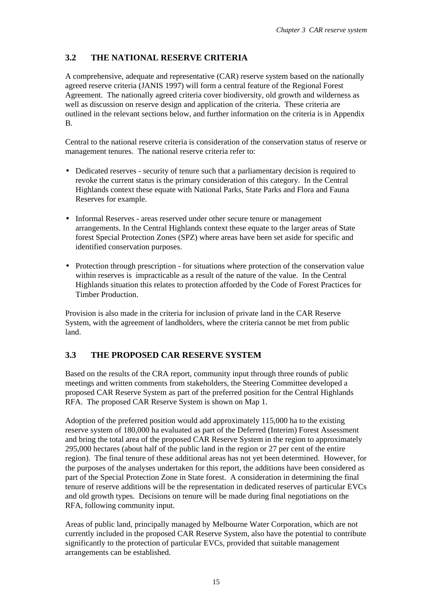# **3.2 THE NATIONAL RESERVE CRITERIA**

A comprehensive, adequate and representative (CAR) reserve system based on the nationally agreed reserve criteria (JANIS 1997) will form a central feature of the Regional Forest Agreement. The nationally agreed criteria cover biodiversity, old growth and wilderness as well as discussion on reserve design and application of the criteria. These criteria are outlined in the relevant sections below, and further information on the criteria is in Appendix B.

Central to the national reserve criteria is consideration of the conservation status of reserve or management tenures. The national reserve criteria refer to:

- Dedicated reserves security of tenure such that a parliamentary decision is required to revoke the current status is the primary consideration of this category. In the Central Highlands context these equate with National Parks, State Parks and Flora and Fauna Reserves for example.
- Informal Reserves areas reserved under other secure tenure or management arrangements. In the Central Highlands context these equate to the larger areas of State forest Special Protection Zones (SPZ) where areas have been set aside for specific and identified conservation purposes.
- Protection through prescription for situations where protection of the conservation value within reserves is impracticable as a result of the nature of the value. In the Central Highlands situation this relates to protection afforded by the Code of Forest Practices for Timber Production.

Provision is also made in the criteria for inclusion of private land in the CAR Reserve System, with the agreement of landholders, where the criteria cannot be met from public land.

## **3.3 THE PROPOSED CAR RESERVE SYSTEM**

Based on the results of the CRA report, community input through three rounds of public meetings and written comments from stakeholders, the Steering Committee developed a proposed CAR Reserve System as part of the preferred position for the Central Highlands RFA. The proposed CAR Reserve System is shown on Map 1.

Adoption of the preferred position would add approximately 115,000 ha to the existing reserve system of 180,000 ha evaluated as part of the Deferred (Interim) Forest Assessment and bring the total area of the proposed CAR Reserve System in the region to approximately 295,000 hectares (about half of the public land in the region or 27 per cent of the entire region). The final tenure of these additional areas has not yet been determined. However, for the purposes of the analyses undertaken for this report, the additions have been considered as part of the Special Protection Zone in State forest. A consideration in determining the final tenure of reserve additions will be the representation in dedicated reserves of particular EVCs and old growth types. Decisions on tenure will be made during final negotiations on the RFA, following community input.

Areas of public land, principally managed by Melbourne Water Corporation, which are not currently included in the proposed CAR Reserve System, also have the potential to contribute significantly to the protection of particular EVCs, provided that suitable management arrangements can be established.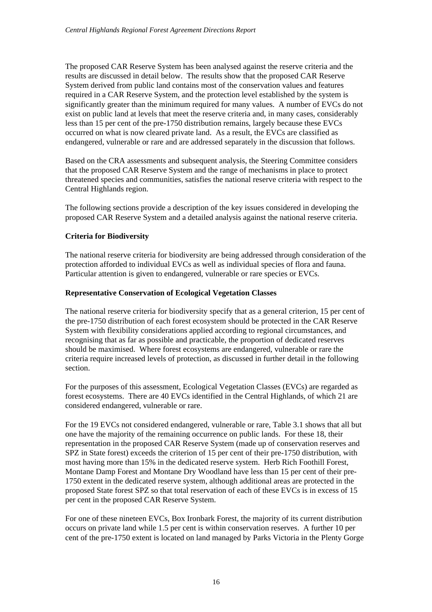The proposed CAR Reserve System has been analysed against the reserve criteria and the results are discussed in detail below. The results show that the proposed CAR Reserve System derived from public land contains most of the conservation values and features required in a CAR Reserve System, and the protection level established by the system is significantly greater than the minimum required for many values. A number of EVCs do not exist on public land at levels that meet the reserve criteria and, in many cases, considerably less than 15 per cent of the pre-1750 distribution remains, largely because these EVCs occurred on what is now cleared private land. As a result, the EVCs are classified as endangered, vulnerable or rare and are addressed separately in the discussion that follows.

Based on the CRA assessments and subsequent analysis, the Steering Committee considers that the proposed CAR Reserve System and the range of mechanisms in place to protect threatened species and communities, satisfies the national reserve criteria with respect to the Central Highlands region.

The following sections provide a description of the key issues considered in developing the proposed CAR Reserve System and a detailed analysis against the national reserve criteria.

### **Criteria for Biodiversity**

The national reserve criteria for biodiversity are being addressed through consideration of the protection afforded to individual EVCs as well as individual species of flora and fauna. Particular attention is given to endangered, vulnerable or rare species or EVCs.

### **Representative Conservation of Ecological Vegetation Classes**

The national reserve criteria for biodiversity specify that as a general criterion, 15 per cent of the pre-1750 distribution of each forest ecosystem should be protected in the CAR Reserve System with flexibility considerations applied according to regional circumstances, and recognising that as far as possible and practicable, the proportion of dedicated reserves should be maximised. Where forest ecosystems are endangered, vulnerable or rare the criteria require increased levels of protection, as discussed in further detail in the following section.

For the purposes of this assessment, Ecological Vegetation Classes (EVCs) are regarded as forest ecosystems. There are 40 EVCs identified in the Central Highlands, of which 21 are considered endangered, vulnerable or rare.

For the 19 EVCs not considered endangered, vulnerable or rare, Table 3.1 shows that all but one have the majority of the remaining occurrence on public lands. For these 18, their representation in the proposed CAR Reserve System (made up of conservation reserves and SPZ in State forest) exceeds the criterion of 15 per cent of their pre-1750 distribution, with most having more than 15% in the dedicated reserve system. Herb Rich Foothill Forest, Montane Damp Forest and Montane Dry Woodland have less than 15 per cent of their pre-1750 extent in the dedicated reserve system, although additional areas are protected in the proposed State forest SPZ so that total reservation of each of these EVCs is in excess of 15 per cent in the proposed CAR Reserve System.

For one of these nineteen EVCs, Box Ironbark Forest, the majority of its current distribution occurs on private land while 1.5 per cent is within conservation reserves. A further 10 per cent of the pre-1750 extent is located on land managed by Parks Victoria in the Plenty Gorge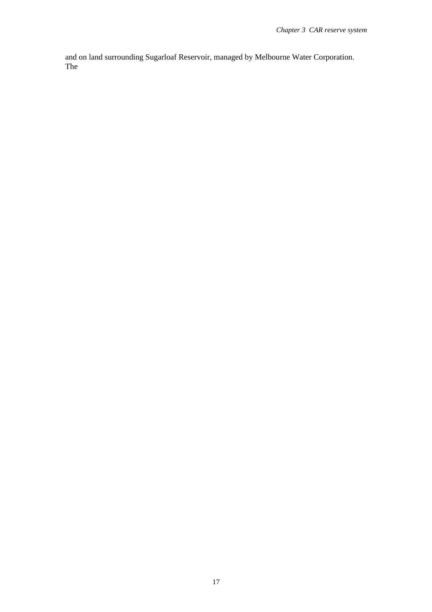and on land surrounding Sugarloaf Reservoir, managed by Melbourne Water Corporation. The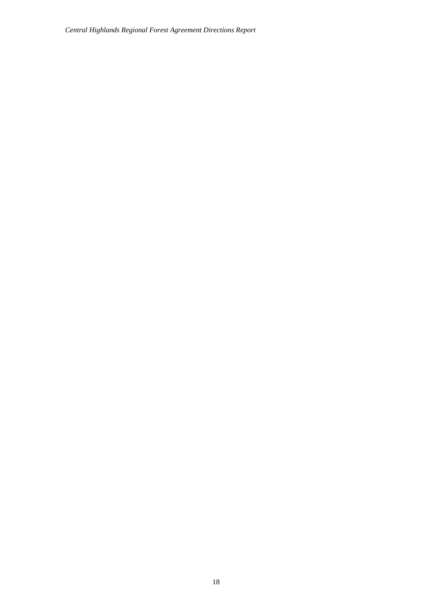*Central Highlands Regional Forest Agreement Directions Report*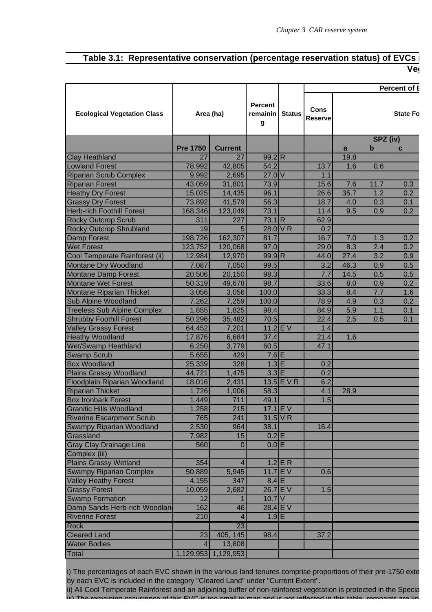# **Table 3.1: Representative conservation (percentage reservation status) of EVCs** i

 $\overline{\mathsf{Ve}}$ 

|                                    |                 |                         |                                        |            | Percent of E           |      |                 |     |  |
|------------------------------------|-----------------|-------------------------|----------------------------------------|------------|------------------------|------|-----------------|-----|--|
| <b>Ecological Vegetation Class</b> | Area (ha)       |                         | <b>Percent</b><br>remainin Status<br>g |            | Cons<br><b>Reserve</b> |      | <b>State Fo</b> |     |  |
|                                    | <b>Pre 1750</b> | <b>Current</b>          |                                        |            |                        | a    | SPZ (iv)<br>b   | C   |  |
| <b>Clay Heathland</b>              | 27              | 27                      | $99.2$ <sub>R</sub>                    |            |                        | 19.8 |                 |     |  |
| <b>Lowland Forest</b>              | 78,992          | 42,805                  | 54.2                                   |            | 13.7                   | 1.6  | 0.6             |     |  |
| <b>Riparian Scrub Complex</b>      | 9,992           | 2,695                   | $27.0$ V                               |            | 1.1                    |      |                 |     |  |
| <b>Riparian Forest</b>             | 43,059          | 31,801                  | 73.9                                   |            | 15.6                   | 7.6  | 11.7            | 0.3 |  |
| <b>Heathy Dry Forest</b>           | 15,025          | 14,435                  | 96.1                                   |            | 26.6                   | 35.7 | 1.2             | 0.2 |  |
| <b>Grassy Dry Forest</b>           | 73,892          | 41,579                  | 56.3                                   |            | 18.7                   | 4.0  | 0.3             | 0.1 |  |
| <b>Herb-rich Foothill Forest</b>   | 168,346         | 123,049                 | 73.1                                   |            | 11.4                   | 9.5  | 0.9             | 0.2 |  |
| <b>Rocky Outcrop Scrub</b>         | 311             | 227                     | 73.1 R                                 |            | 62.9                   |      |                 |     |  |
| <b>Rocky Outcrop Shrubland</b>     | 19              | 5 <sub>l</sub>          | $28.0$ VR                              |            | 0.2                    |      |                 |     |  |
| Damp Forest                        | 198,726         | 162,307                 | 81.7                                   |            | 16.7                   | 7.0  | 1.3             | 0.2 |  |
| <b>Wet Forest</b>                  | 123,752         | 120,068                 | 97.0                                   |            | 29.0                   | 8.3  | 2.4             | 0.2 |  |
| Cool Temperate Rainforest (ii)     | 12,984          | 12,970                  | $99.9$ <sub>R</sub>                    |            | 44.0                   | 27.4 | 3.2             | 0.9 |  |
| Montane Dry Woodland               | 7,087           | 7,050                   | 99.5                                   |            | 3.2                    | 46.3 | 0.9             | 0.5 |  |
| <b>Montane Damp Forest</b>         | 20,506          | 20,150                  | 98.3                                   |            | 7.7                    | 14.5 | 0.5             | 0.5 |  |
| <b>Montane Wet Forest</b>          | 50,319          | 49,678                  | 98.7                                   |            | 33.6                   | 8.0  | 0.9             | 0.2 |  |
| <b>Montane Riparian Thicket</b>    | 3,056           | 3,056                   | 100.0                                  |            | 33.3                   | 8.4  | 7.7             | 1.6 |  |
| <b>Sub Alpine Woodland</b>         | 7,262           | 7,259                   | 100.0                                  |            | 78.9                   | 4.9  | 0.3             | 0.2 |  |
| <b>Treeless Sub Alpine Complex</b> | 1,855           | 1,825                   | 98.4                                   |            | 84.9                   | 5.9  | 1.1             | 0.1 |  |
| <b>Shrubby Foothill Forest</b>     | 50,296          | 35,482                  | 70.5                                   |            | 22.4                   | 2.5  | 0.5             | 0.1 |  |
| <b>Valley Grassy Forest</b>        | 64,452          | 7,201                   | 11.2 $E$ V                             |            | 1.4                    |      |                 |     |  |
| <b>Heathy Woodland</b>             | 17,876          | 6,684                   | 37.4                                   |            | 21.4                   | 1.6  |                 |     |  |
| Wet/Swamp Heathland                | 6,250           | 3,779                   | 60.5                                   |            | 47.1                   |      |                 |     |  |
| <b>Swamp Scrub</b>                 | 5,655           | 429                     | $7.6$ E                                |            |                        |      |                 |     |  |
| <b>Box Woodland</b>                | 25,339          | 328                     | $1.3$ E                                |            | 0.2                    |      |                 |     |  |
| <b>Plains Grassy Woodland</b>      | 44,721          | 1,475                   | $3.3$ E                                |            | 0.2                    |      |                 |     |  |
| Floodplain Riparian Woodland       | 18,016          | 2,431                   |                                        | $13.5$ EVR | 6.2                    |      |                 |     |  |
| <b>Riparian Thicket</b>            | 1,726           | 1,006                   | 58.3                                   |            | 4.1                    | 28.9 |                 |     |  |
| <b>Box Ironbark Forest</b>         | 1,449           | 711                     | 49.1                                   |            | 1.5                    |      |                 |     |  |
| <b>Granitic Hills Woodland</b>     | 1,258           | 215                     | $17.1$ EV                              |            |                        |      |                 |     |  |
| <b>Riverine Escarpment Scrub</b>   | 765             | 241                     | $31.5$ VR                              |            |                        |      |                 |     |  |
| <b>Swampy Riparian Woodland</b>    | 2,530           | 964                     | 38.1                                   |            | 16.4                   |      |                 |     |  |
| Grassland                          | 7,982           | 15                      | $0.2$ E                                |            |                        |      |                 |     |  |
| <b>Gray Clay Drainage Line</b>     | 560             | $\overline{0}$          | $0.0$ $E$                              |            |                        |      |                 |     |  |
| Complex (iii)                      |                 |                         |                                        |            |                        |      |                 |     |  |
| <b>Plains Grassy Wetland</b>       | 354             |                         |                                        | $1.2$ ER   |                        |      |                 |     |  |
| <b>Swampy Riparian Complex</b>     | 50,889          | 5,945                   | 11.7 $E$ V                             |            | 0.6                    |      |                 |     |  |
| <b>Valley Heathy Forest</b>        | 4,155           | 347                     | $8.4 \text{E}$                         |            |                        |      |                 |     |  |
| <b>Grassy Forest</b>               | 10,059          | 2,682                   | $26.7$ EV                              |            | 1.5                    |      |                 |     |  |
| <b>Swamp Formation</b>             | 12              |                         | $10.7$ V                               |            |                        |      |                 |     |  |
| Damp Sands Herb-rich Woodlan       | 162             | 46                      | $28.4$ EV                              |            |                        |      |                 |     |  |
| <b>Riverine Forest</b>             | 210             | $\overline{\mathbf{4}}$ | $1.9$ E                                |            |                        |      |                 |     |  |
| Rock                               |                 | 23                      |                                        |            |                        |      |                 |     |  |
| <b>Cleared Land</b>                | 23              | 405, 145                | 98.4                                   |            | 37.2                   |      |                 |     |  |
| <b>Water Bodies</b>                | $\overline{4}$  | 13,808                  |                                        |            |                        |      |                 |     |  |
| Total                              |                 | 1,129,953 1,129,953     |                                        |            |                        |      |                 |     |  |

by each EVC is included in the category "Cleared Land" under "Current Extent". i) The percentages of each EVC shown in the various land tenures comprise proportions of their pre-1750 exte

ii) All Cool Temperate Rainforest and an adjoining buffer of non-rainforest vegetation is protected in the Specia iii) The remaining occurrence of this EVC is too small to map and is not reflected in this table, remnants are kn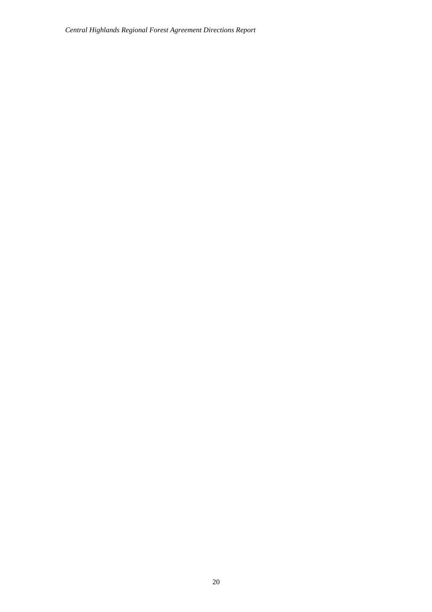*Central Highlands Regional Forest Agreement Directions Report*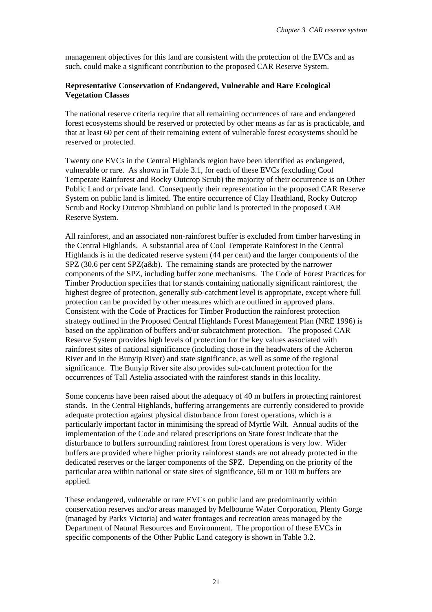management objectives for this land are consistent with the protection of the EVCs and as such, could make a significant contribution to the proposed CAR Reserve System.

#### **Representative Conservation of Endangered, Vulnerable and Rare Ecological Vegetation Classes**

The national reserve criteria require that all remaining occurrences of rare and endangered forest ecosystems should be reserved or protected by other means as far as is practicable, and that at least 60 per cent of their remaining extent of vulnerable forest ecosystems should be reserved or protected.

Twenty one EVCs in the Central Highlands region have been identified as endangered, vulnerable or rare. As shown in Table 3.1, for each of these EVCs (excluding Cool Temperate Rainforest and Rocky Outcrop Scrub) the majority of their occurrence is on Other Public Land or private land. Consequently their representation in the proposed CAR Reserve System on public land is limited. The entire occurrence of Clay Heathland, Rocky Outcrop Scrub and Rocky Outcrop Shrubland on public land is protected in the proposed CAR Reserve System.

All rainforest, and an associated non-rainforest buffer is excluded from timber harvesting in the Central Highlands. A substantial area of Cool Temperate Rainforest in the Central Highlands is in the dedicated reserve system (44 per cent) and the larger components of the SPZ (30.6 per cent SPZ(a&b). The remaining stands are protected by the narrower components of the SPZ, including buffer zone mechanisms. The Code of Forest Practices for Timber Production specifies that for stands containing nationally significant rainforest, the highest degree of protection, generally sub-catchment level is appropriate, except where full protection can be provided by other measures which are outlined in approved plans. Consistent with the Code of Practices for Timber Production the rainforest protection strategy outlined in the Proposed Central Highlands Forest Management Plan (NRE 1996) is based on the application of buffers and/or subcatchment protection. The proposed CAR Reserve System provides high levels of protection for the key values associated with rainforest sites of national significance (including those in the headwaters of the Acheron River and in the Bunyip River) and state significance, as well as some of the regional significance. The Bunyip River site also provides sub-catchment protection for the occurrences of Tall Astelia associated with the rainforest stands in this locality.

Some concerns have been raised about the adequacy of 40 m buffers in protecting rainforest stands. In the Central Highlands, buffering arrangements are currently considered to provide adequate protection against physical disturbance from forest operations, which is a particularly important factor in minimising the spread of Myrtle Wilt. Annual audits of the implementation of the Code and related prescriptions on State forest indicate that the disturbance to buffers surrounding rainforest from forest operations is very low. Wider buffers are provided where higher priority rainforest stands are not already protected in the dedicated reserves or the larger components of the SPZ. Depending on the priority of the particular area within national or state sites of significance, 60 m or 100 m buffers are applied.

These endangered, vulnerable or rare EVCs on public land are predominantly within conservation reserves and/or areas managed by Melbourne Water Corporation, Plenty Gorge (managed by Parks Victoria) and water frontages and recreation areas managed by the Department of Natural Resources and Environment. The proportion of these EVCs in specific components of the Other Public Land category is shown in Table 3.2.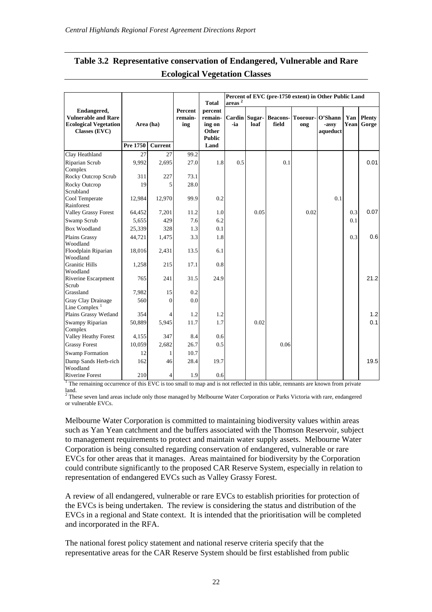|                                                                                            |                 | Percent of EVC (pre-1750 extent) in Other Public Land<br>area <sup>2</sup><br><b>Total</b> |                           |                                                        |     |      |                                |                        |                   |             |                        |
|--------------------------------------------------------------------------------------------|-----------------|--------------------------------------------------------------------------------------------|---------------------------|--------------------------------------------------------|-----|------|--------------------------------|------------------------|-------------------|-------------|------------------------|
| Endangered,<br><b>Vulnerable and Rare</b><br><b>Ecological Vegetation</b><br>Classes (EVC) | Area (ha)       |                                                                                            | Percent<br>remain-<br>ing | percent<br>remain-<br>ing on<br>Other<br><b>Public</b> | -ia | loaf | Cardin Sugar-Beacons-<br>field | Toorour-O'Shann<br>ong | -assy<br>aqueduct | Yan<br>Yean | <b>Plenty</b><br>Gorge |
|                                                                                            | <b>Pre 1750</b> | <b>Current</b>                                                                             |                           | Land                                                   |     |      |                                |                        |                   |             |                        |
| Clay Heathland                                                                             | 27              | 27                                                                                         | 99.2                      |                                                        |     |      |                                |                        |                   |             |                        |
| Riparian Scrub                                                                             | 9,992           | 2,695                                                                                      | 27.0                      | 1.8                                                    | 0.5 |      | 0.1                            |                        |                   |             | 0.01                   |
| Complex                                                                                    |                 |                                                                                            |                           |                                                        |     |      |                                |                        |                   |             |                        |
| Rocky Outcrop Scrub                                                                        | 311             | 227                                                                                        | 73.1                      |                                                        |     |      |                                |                        |                   |             |                        |
| Rocky Outcrop                                                                              | 19              | 5                                                                                          | 28.0                      |                                                        |     |      |                                |                        |                   |             |                        |
| Scrubland                                                                                  |                 |                                                                                            |                           |                                                        |     |      |                                |                        |                   |             |                        |
| Cool Temperate<br>Rainforest                                                               | 12,984          | 12,970                                                                                     | 99.9                      | 0.2                                                    |     |      |                                |                        | 0.1               |             |                        |
| <b>Valley Grassy Forest</b>                                                                | 64,452          | 7,201                                                                                      | 11.2                      | 1.0                                                    |     | 0.05 |                                | 0.02                   |                   | 0.3         | 0.07                   |
| Swamp Scrub                                                                                | 5,655           | 429                                                                                        | 7.6                       | 6.2                                                    |     |      |                                |                        |                   | 0.1         |                        |
| <b>Box Woodland</b>                                                                        | 25,339          | 328                                                                                        | 1.3                       | 0.1                                                    |     |      |                                |                        |                   |             |                        |
|                                                                                            |                 |                                                                                            |                           |                                                        |     |      |                                |                        |                   |             | 0.6                    |
| Plains Grassy<br>Woodland                                                                  | 44,721          | 1,475                                                                                      | 3.3                       | 1.8                                                    |     |      |                                |                        |                   | 0.3         |                        |
| Floodplain Riparian<br>Woodland                                                            | 18,016          | 2,431                                                                                      | 13.5                      | 6.1                                                    |     |      |                                |                        |                   |             |                        |
| <b>Granitic Hills</b>                                                                      | 1,258           | 215                                                                                        | 17.1                      | 0.8                                                    |     |      |                                |                        |                   |             |                        |
| Woodland                                                                                   |                 |                                                                                            |                           |                                                        |     |      |                                |                        |                   |             |                        |
| <b>Riverine Escarpment</b><br>Scrub                                                        | 765             | 241                                                                                        | 31.5                      | 24.9                                                   |     |      |                                |                        |                   |             | 21.2                   |
| Grassland                                                                                  | 7,982           | 15                                                                                         | 0.2                       |                                                        |     |      |                                |                        |                   |             |                        |
| Gray Clay Drainage<br>Line Complex $1$                                                     | 560             | $\theta$                                                                                   | 0.0                       |                                                        |     |      |                                |                        |                   |             |                        |
| Plains Grassy Wetland                                                                      | 354             | 4                                                                                          | 1.2                       | 1.2                                                    |     |      |                                |                        |                   |             | 1.2                    |
| Swampy Riparian                                                                            | 50,889          | 5,945                                                                                      | 11.7                      | 1.7                                                    |     | 0.02 |                                |                        |                   |             | 0.1                    |
| Complex                                                                                    |                 |                                                                                            |                           |                                                        |     |      |                                |                        |                   |             |                        |
| Valley Heathy Forest                                                                       | 4,155           | 347                                                                                        | 8.4                       | 0.6                                                    |     |      |                                |                        |                   |             |                        |
| <b>Grassy Forest</b>                                                                       | 10.059          | 2,682                                                                                      | 26.7                      | 0.5                                                    |     |      | 0.06                           |                        |                   |             |                        |
| <b>Swamp Formation</b>                                                                     | 12              | 1                                                                                          | 10.7                      |                                                        |     |      |                                |                        |                   |             |                        |
| Damp Sands Herb-rich<br>Woodland                                                           | 162             | 46                                                                                         | 28.4                      | 19.7                                                   |     |      |                                |                        |                   |             | 19.5                   |
| <b>Riverine Forest</b>                                                                     | 210             | $\overline{4}$                                                                             | 1.9                       | 0.6                                                    |     |      |                                |                        |                   |             |                        |

# **Table 3.2 Representative conservation of Endangered, Vulnerable and Rare Ecological Vegetation Classes**

<sup>1</sup> The remaining occurrence of this EVC is too small to map and is not reflected in this table, remnants are known from private

land.<br><sup>2</sup> The These seven land areas include only those managed by Melbourne Water Corporation or Parks Victoria with rare, endangered or vulnerable EVCs.

Melbourne Water Corporation is committed to maintaining biodiversity values within areas such as Yan Yean catchment and the buffers associated with the Thomson Reservoir, subject to management requirements to protect and maintain water supply assets. Melbourne Water Corporation is being consulted regarding conservation of endangered, vulnerable or rare EVCs for other areas that it manages. Areas maintained for biodiversity by the Corporation could contribute significantly to the proposed CAR Reserve System, especially in relation to representation of endangered EVCs such as Valley Grassy Forest.

A review of all endangered, vulnerable or rare EVCs to establish priorities for protection of the EVCs is being undertaken. The review is considering the status and distribution of the EVCs in a regional and State context. It is intended that the prioritisation will be completed and incorporated in the RFA.

The national forest policy statement and national reserve criteria specify that the representative areas for the CAR Reserve System should be first established from public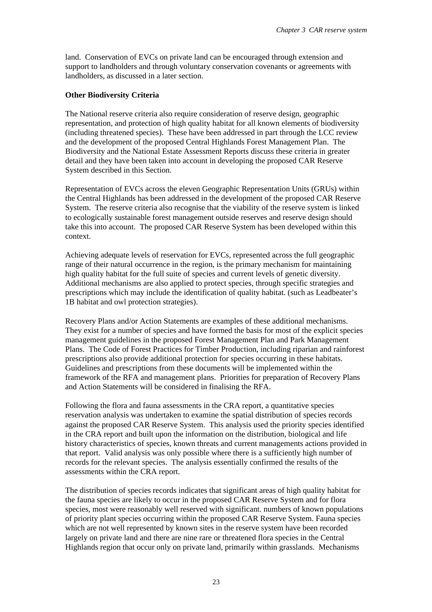land. Conservation of EVCs on private land can be encouraged through extension and support to landholders and through voluntary conservation covenants or agreements with landholders, as discussed in a later section.

#### **Other Biodiversity Criteria**

The National reserve criteria also require consideration of reserve design, geographic representation, and protection of high quality habitat for all known elements of biodiversity (including threatened species). These have been addressed in part through the LCC review and the development of the proposed Central Highlands Forest Management Plan. The Biodiversity and the National Estate Assessment Reports discuss these criteria in greater detail and they have been taken into account in developing the proposed CAR Reserve System described in this Section.

Representation of EVCs across the eleven Geographic Representation Units (GRUs) within the Central Highlands has been addressed in the development of the proposed CAR Reserve System. The reserve criteria also recognise that the viability of the reserve system is linked to ecologically sustainable forest management outside reserves and reserve design should take this into account. The proposed CAR Reserve System has been developed within this context.

Achieving adequate levels of reservation for EVCs, represented across the full geographic range of their natural occurrence in the region, is the primary mechanism for maintaining high quality habitat for the full suite of species and current levels of genetic diversity. Additional mechanisms are also applied to protect species, through specific strategies and prescriptions which may include the identification of quality habitat. (such as Leadbeater's 1B habitat and owl protection strategies).

Recovery Plans and/or Action Statements are examples of these additional mechanisms. They exist for a number of species and have formed the basis for most of the explicit species management guidelines in the proposed Forest Management Plan and Park Management Plans. The Code of Forest Practices for Timber Production, including riparian and rainforest prescriptions also provide additional protection for species occurring in these habitats. Guidelines and prescriptions from these documents will be implemented within the framework of the RFA and management plans. Priorities for preparation of Recovery Plans and Action Statements will be considered in finalising the RFA.

Following the flora and fauna assessments in the CRA report, a quantitative species reservation analysis was undertaken to examine the spatial distribution of species records against the proposed CAR Reserve System. This analysis used the priority species identified in the CRA report and built upon the information on the distribution, biological and life history characteristics of species, known threats and current managements actions provided in that report. Valid analysis was only possible where there is a sufficiently high number of records for the relevant species. The analysis essentially confirmed the results of the assessments within the CRA report.

The distribution of species records indicates that significant areas of high quality habitat for the fauna species are likely to occur in the proposed CAR Reserve System and for flora species, most were reasonably well reserved with significant. numbers of known populations of priority plant species occurring within the proposed CAR Reserve System. Fauna species which are not well represented by known sites in the reserve system have been recorded largely on private land and there are nine rare or threatened flora species in the Central Highlands region that occur only on private land, primarily within grasslands. Mechanisms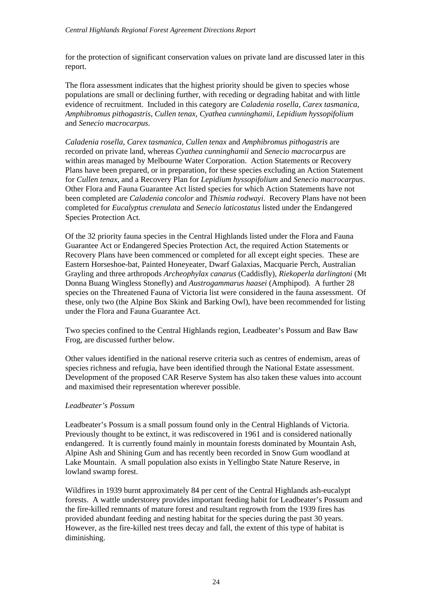for the protection of significant conservation values on private land are discussed later in this report.

The flora assessment indicates that the highest priority should be given to species whose populations are small or declining further, with receding or degrading habitat and with little evidence of recruitment. Included in this category are *Caladenia rosella*, *Carex tasmanica*, *Amphibromus pithogastris*, *Cullen tenax*, *Cyathea cunninghamii*, *Lepidium hyssopifolium* and *Senecio macrocarpus.*

*Caladenia rosella, Carex tasmanica, Cullen tenax* and *Amphibromus pithogastris* are recorded on private land, whereas *Cyathea cunninghamii* and *Senecio macrocarpus* are within areas managed by Melbourne Water Corporation. Action Statements or Recovery Plans have been prepared, or in preparation, for these species excluding an Action Statement for *Cullen tenax,* and a Recovery Plan for *Lepidium hyssopifolium* and *Senecio macrocarpus*. Other Flora and Fauna Guarantee Act listed species for which Action Statements have not been completed are *Caladenia concolor* and *Thismia rodwayi*. Recovery Plans have not been completed for *Eucalyptus crenulata* and *Senecio laticostatus* listed under the Endangered Species Protection Act*.*

Of the 32 priority fauna species in the Central Highlands listed under the Flora and Fauna Guarantee Act or Endangered Species Protection Act, the required Action Statements or Recovery Plans have been commenced or completed for all except eight species. These are Eastern Horseshoe-bat, Painted Honeyeater, Dwarf Galaxias, Macquarie Perch, Australian Grayling and three arthropods *Archeophylax canarus* (Caddisfly), *Riekoperla darlingtoni* (Mt Donna Buang Wingless Stonefly) and *Austrogammarus haasei* (Amphipod). A further 28 species on the Threatened Fauna of Victoria list were considered in the fauna assessment. Of these, only two (the Alpine Box Skink and Barking Owl), have been recommended for listing under the Flora and Fauna Guarantee Act.

Two species confined to the Central Highlands region, Leadbeater's Possum and Baw Baw Frog, are discussed further below.

Other values identified in the national reserve criteria such as centres of endemism, areas of species richness and refugia, have been identified through the National Estate assessment. Development of the proposed CAR Reserve System has also taken these values into account and maximised their representation wherever possible.

#### *Leadbeater's Possum*

Leadbeater's Possum is a small possum found only in the Central Highlands of Victoria. Previously thought to be extinct, it was rediscovered in 1961 and is considered nationally endangered. It is currently found mainly in mountain forests dominated by Mountain Ash, Alpine Ash and Shining Gum and has recently been recorded in Snow Gum woodland at Lake Mountain. A small population also exists in Yellingbo State Nature Reserve, in lowland swamp forest.

Wildfires in 1939 burnt approximately 84 per cent of the Central Highlands ash-eucalypt forests. A wattle understorey provides important feeding habit for Leadbeater's Possum and the fire-killed remnants of mature forest and resultant regrowth from the 1939 fires has provided abundant feeding and nesting habitat for the species during the past 30 years. However, as the fire-killed nest trees decay and fall, the extent of this type of habitat is diminishing.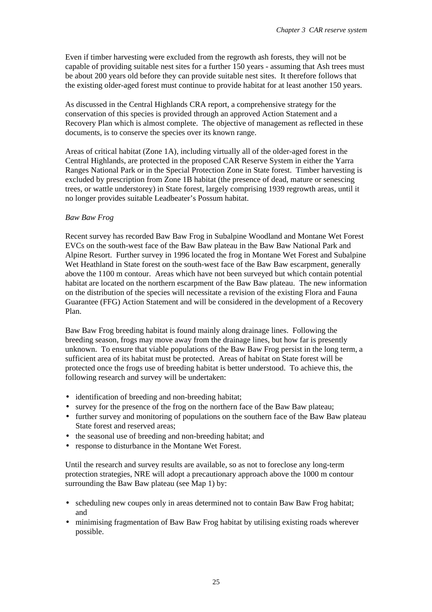Even if timber harvesting were excluded from the regrowth ash forests, they will not be capable of providing suitable nest sites for a further 150 years - assuming that Ash trees must be about 200 years old before they can provide suitable nest sites. It therefore follows that the existing older-aged forest must continue to provide habitat for at least another 150 years.

As discussed in the Central Highlands CRA report, a comprehensive strategy for the conservation of this species is provided through an approved Action Statement and a Recovery Plan which is almost complete. The objective of management as reflected in these documents, is to conserve the species over its known range.

Areas of critical habitat (Zone 1A), including virtually all of the older-aged forest in the Central Highlands, are protected in the proposed CAR Reserve System in either the Yarra Ranges National Park or in the Special Protection Zone in State forest. Timber harvesting is excluded by prescription from Zone 1B habitat (the presence of dead, mature or senescing trees, or wattle understorey) in State forest, largely comprising 1939 regrowth areas, until it no longer provides suitable Leadbeater's Possum habitat.

#### *Baw Baw Frog*

Recent survey has recorded Baw Baw Frog in Subalpine Woodland and Montane Wet Forest EVCs on the south-west face of the Baw Baw plateau in the Baw Baw National Park and Alpine Resort. Further survey in 1996 located the frog in Montane Wet Forest and Subalpine Wet Heathland in State forest on the south-west face of the Baw Baw escarpment, generally above the 1100 m contour. Areas which have not been surveyed but which contain potential habitat are located on the northern escarpment of the Baw Baw plateau. The new information on the distribution of the species will necessitate a revision of the existing Flora and Fauna Guarantee (FFG) Action Statement and will be considered in the development of a Recovery Plan.

Baw Baw Frog breeding habitat is found mainly along drainage lines. Following the breeding season, frogs may move away from the drainage lines, but how far is presently unknown. To ensure that viable populations of the Baw Baw Frog persist in the long term, a sufficient area of its habitat must be protected. Areas of habitat on State forest will be protected once the frogs use of breeding habitat is better understood. To achieve this, the following research and survey will be undertaken:

- identification of breeding and non-breeding habitat;
- survey for the presence of the frog on the northern face of the Baw Baw plateau;
- further survey and monitoring of populations on the southern face of the Baw Baw plateau State forest and reserved areas;
- the seasonal use of breeding and non-breeding habitat; and
- response to disturbance in the Montane Wet Forest.

Until the research and survey results are available, so as not to foreclose any long-term protection strategies, NRE will adopt a precautionary approach above the 1000 m contour surrounding the Baw Baw plateau (see Map 1) by:

- scheduling new coupes only in areas determined not to contain Baw Baw Frog habitat; and
- minimising fragmentation of Baw Baw Frog habitat by utilising existing roads wherever possible.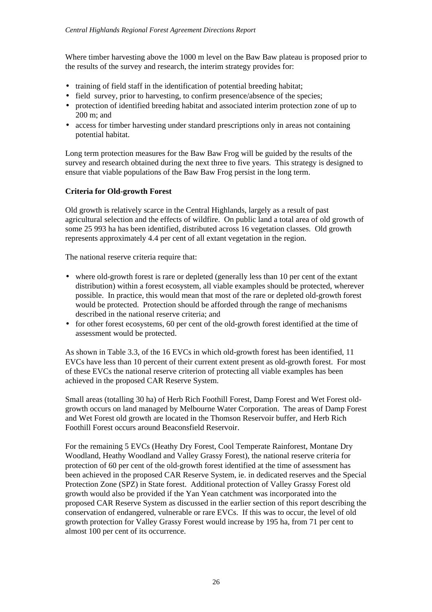Where timber harvesting above the 1000 m level on the Baw Baw plateau is proposed prior to the results of the survey and research, the interim strategy provides for:

- training of field staff in the identification of potential breeding habitat;
- field survey, prior to harvesting, to confirm presence/absence of the species;
- protection of identified breeding habitat and associated interim protection zone of up to 200 m; and
- access for timber harvesting under standard prescriptions only in areas not containing potential habitat.

Long term protection measures for the Baw Baw Frog will be guided by the results of the survey and research obtained during the next three to five years. This strategy is designed to ensure that viable populations of the Baw Baw Frog persist in the long term.

## **Criteria for Old-growth Forest**

Old growth is relatively scarce in the Central Highlands, largely as a result of past agricultural selection and the effects of wildfire. On public land a total area of old growth of some 25 993 ha has been identified, distributed across 16 vegetation classes. Old growth represents approximately 4.4 per cent of all extant vegetation in the region.

The national reserve criteria require that:

- where old-growth forest is rare or depleted (generally less than 10 per cent of the extant distribution) within a forest ecosystem, all viable examples should be protected, wherever possible. In practice, this would mean that most of the rare or depleted old-growth forest would be protected. Protection should be afforded through the range of mechanisms described in the national reserve criteria; and
- for other forest ecosystems, 60 per cent of the old-growth forest identified at the time of assessment would be protected.

As shown in Table 3.3, of the 16 EVCs in which old-growth forest has been identified, 11 EVCs have less than 10 percent of their current extent present as old-growth forest. For most of these EVCs the national reserve criterion of protecting all viable examples has been achieved in the proposed CAR Reserve System.

Small areas (totalling 30 ha) of Herb Rich Foothill Forest, Damp Forest and Wet Forest oldgrowth occurs on land managed by Melbourne Water Corporation. The areas of Damp Forest and Wet Forest old growth are located in the Thomson Reservoir buffer, and Herb Rich Foothill Forest occurs around Beaconsfield Reservoir.

For the remaining 5 EVCs (Heathy Dry Forest, Cool Temperate Rainforest, Montane Dry Woodland, Heathy Woodland and Valley Grassy Forest), the national reserve criteria for protection of 60 per cent of the old-growth forest identified at the time of assessment has been achieved in the proposed CAR Reserve System, ie. in dedicated reserves and the Special Protection Zone (SPZ) in State forest. Additional protection of Valley Grassy Forest old growth would also be provided if the Yan Yean catchment was incorporated into the proposed CAR Reserve System as discussed in the earlier section of this report describing the conservation of endangered, vulnerable or rare EVCs. If this was to occur, the level of old growth protection for Valley Grassy Forest would increase by 195 ha, from 71 per cent to almost 100 per cent of its occurrence.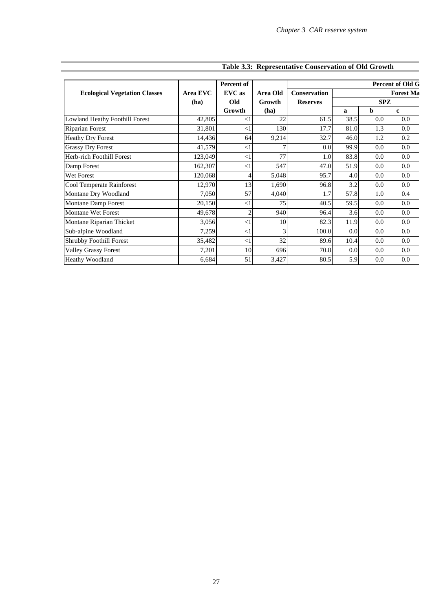|                                      |                  | Percent of     |                    | <b>Percent of Old G</b>                |                                |     |              |  |  |
|--------------------------------------|------------------|----------------|--------------------|----------------------------------------|--------------------------------|-----|--------------|--|--|
| <b>Ecological Vegetation Classes</b> | Area EVC<br>(ha) | EVC as         | Area Old<br>Growth | <b>Conservation</b><br><b>Reserves</b> | <b>Forest Ma</b><br><b>SPZ</b> |     |              |  |  |
|                                      |                  | Old            |                    |                                        |                                |     |              |  |  |
|                                      |                  | Growth         | (ha)               |                                        | a                              | b   | $\mathbf{c}$ |  |  |
| Lowland Heathy Foothill Forest       | 42,805           | $<$ 1          | 22                 | 61.5                                   | 38.5                           | 0.0 | 0.0          |  |  |
| <b>Riparian Forest</b>               | 31,801           | $<$ 1          | 130                | 17.7                                   | 81.0                           | 1.3 | 0.0          |  |  |
| Heathy Dry Forest                    | 14,436           | 64             | 9,214              | 32.7                                   | 46.0                           | 1.2 | 0.2          |  |  |
| <b>Grassy Dry Forest</b>             | 41,579           | $\leq$ 1       |                    | 0.0                                    | 99.9                           | 0.0 | 0.0          |  |  |
| Herb-rich Foothill Forest            | 123,049          | $\leq$ 1       | 77                 | 1.0                                    | 83.8                           | 0.0 | 0.0          |  |  |
| Damp Forest                          | 162,307          | $\leq$ 1       | 547                | 47.0                                   | 51.9                           | 0.0 | 0.0          |  |  |
| <b>Wet Forest</b>                    | 120,068          | 4              | 5,048              | 95.7                                   | 4.0                            | 0.0 | 0.0          |  |  |
| Cool Temperate Rainforest            | 12,970           | 13             | 1,690              | 96.8                                   | 3.2                            | 0.0 | 0.0          |  |  |
| Montane Dry Woodland                 | 7,050            | 57             | 4,040              | 1.7                                    | 57.8                           | 1.0 | 0.4          |  |  |
| <b>Montane Damp Forest</b>           | 20,150           | $<$ 1          | 75                 | 40.5                                   | 59.5                           | 0.0 | 0.0          |  |  |
| <b>Montane Wet Forest</b>            | 49,678           | $\mathfrak{D}$ | 940                | 96.4                                   | 3.6                            | 0.0 | 0.0          |  |  |
| Montane Riparian Thicket             | 3,056            | $\leq$ 1       | 10                 | 82.3                                   | 11.9                           | 0.0 | 0.0          |  |  |
| Sub-alpine Woodland                  | 7,259            | $\leq$ 1       | 3                  | 100.0                                  | 0.0                            | 0.0 | 0.0          |  |  |
| Shrubby Foothill Forest              | 35,482           | $\leq$ 1       | 32                 | 89.6                                   | 10.4                           | 0.0 | 0.0          |  |  |
| <b>Valley Grassy Forest</b>          | 7,201            | 10             | 696                | 70.8                                   | 0.0                            | 0.0 | 0.0          |  |  |
| <b>Heathy Woodland</b>               | 6,684            | 51             | 3,427              | 80.5                                   | 5.9                            | 0.0 | 0.0          |  |  |

# **Table 3.3: Representative Conservation of Old Growth**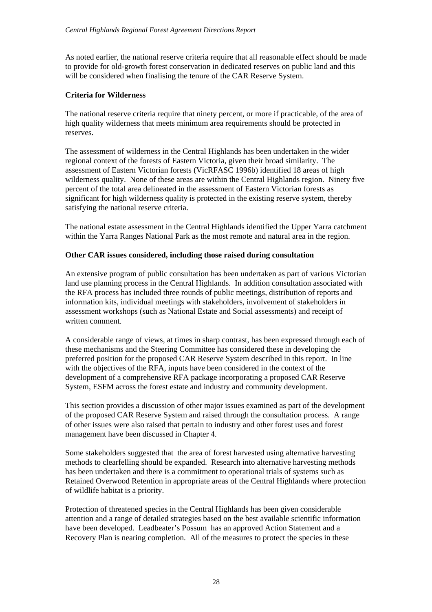As noted earlier, the national reserve criteria require that all reasonable effect should be made to provide for old-growth forest conservation in dedicated reserves on public land and this will be considered when finalising the tenure of the CAR Reserve System.

## **Criteria for Wilderness**

The national reserve criteria require that ninety percent, or more if practicable, of the area of high quality wilderness that meets minimum area requirements should be protected in reserves.

The assessment of wilderness in the Central Highlands has been undertaken in the wider regional context of the forests of Eastern Victoria, given their broad similarity. The assessment of Eastern Victorian forests (VicRFASC 1996b) identified 18 areas of high wilderness quality. None of these areas are within the Central Highlands region. Ninety five percent of the total area delineated in the assessment of Eastern Victorian forests as significant for high wilderness quality is protected in the existing reserve system, thereby satisfying the national reserve criteria.

The national estate assessment in the Central Highlands identified the Upper Yarra catchment within the Yarra Ranges National Park as the most remote and natural area in the region.

## **Other CAR issues considered, including those raised during consultation**

An extensive program of public consultation has been undertaken as part of various Victorian land use planning process in the Central Highlands. In addition consultation associated with the RFA process has included three rounds of public meetings, distribution of reports and information kits, individual meetings with stakeholders, involvement of stakeholders in assessment workshops (such as National Estate and Social assessments) and receipt of written comment.

A considerable range of views, at times in sharp contrast, has been expressed through each of these mechanisms and the Steering Committee has considered these in developing the preferred position for the proposed CAR Reserve System described in this report. In line with the objectives of the RFA, inputs have been considered in the context of the development of a comprehensive RFA package incorporating a proposed CAR Reserve System, ESFM across the forest estate and industry and community development.

This section provides a discussion of other major issues examined as part of the development of the proposed CAR Reserve System and raised through the consultation process. A range of other issues were also raised that pertain to industry and other forest uses and forest management have been discussed in Chapter 4.

Some stakeholders suggested that the area of forest harvested using alternative harvesting methods to clearfelling should be expanded. Research into alternative harvesting methods has been undertaken and there is a commitment to operational trials of systems such as Retained Overwood Retention in appropriate areas of the Central Highlands where protection of wildlife habitat is a priority.

Protection of threatened species in the Central Highlands has been given considerable attention and a range of detailed strategies based on the best available scientific information have been developed. Leadbeater's Possum has an approved Action Statement and a Recovery Plan is nearing completion. All of the measures to protect the species in these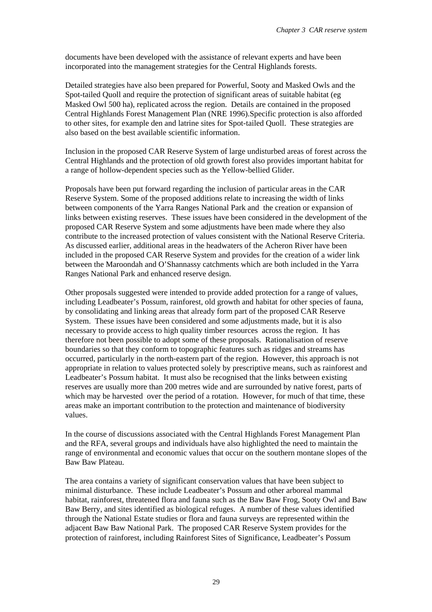documents have been developed with the assistance of relevant experts and have been incorporated into the management strategies for the Central Highlands forests.

Detailed strategies have also been prepared for Powerful, Sooty and Masked Owls and the Spot-tailed Quoll and require the protection of significant areas of suitable habitat (eg Masked Owl 500 ha), replicated across the region. Details are contained in the proposed Central Highlands Forest Management Plan (NRE 1996).Specific protection is also afforded to other sites, for example den and latrine sites for Spot-tailed Quoll. These strategies are also based on the best available scientific information.

Inclusion in the proposed CAR Reserve System of large undisturbed areas of forest across the Central Highlands and the protection of old growth forest also provides important habitat for a range of hollow-dependent species such as the Yellow-bellied Glider.

Proposals have been put forward regarding the inclusion of particular areas in the CAR Reserve System. Some of the proposed additions relate to increasing the width of links between components of the Yarra Ranges National Park and the creation or expansion of links between existing reserves. These issues have been considered in the development of the proposed CAR Reserve System and some adjustments have been made where they also contribute to the increased protection of values consistent with the National Reserve Criteria. As discussed earlier, additional areas in the headwaters of the Acheron River have been included in the proposed CAR Reserve System and provides for the creation of a wider link between the Maroondah and O'Shannassy catchments which are both included in the Yarra Ranges National Park and enhanced reserve design.

Other proposals suggested were intended to provide added protection for a range of values, including Leadbeater's Possum, rainforest, old growth and habitat for other species of fauna, by consolidating and linking areas that already form part of the proposed CAR Reserve System. These issues have been considered and some adjustments made, but it is also necessary to provide access to high quality timber resources across the region. It has therefore not been possible to adopt some of these proposals. Rationalisation of reserve boundaries so that they conform to topographic features such as ridges and streams has occurred, particularly in the north-eastern part of the region. However, this approach is not appropriate in relation to values protected solely by prescriptive means, such as rainforest and Leadbeater's Possum habitat. It must also be recognised that the links between existing reserves are usually more than 200 metres wide and are surrounded by native forest, parts of which may be harvested over the period of a rotation. However, for much of that time, these areas make an important contribution to the protection and maintenance of biodiversity values.

In the course of discussions associated with the Central Highlands Forest Management Plan and the RFA, several groups and individuals have also highlighted the need to maintain the range of environmental and economic values that occur on the southern montane slopes of the Baw Baw Plateau.

The area contains a variety of significant conservation values that have been subject to minimal disturbance. These include Leadbeater's Possum and other arboreal mammal habitat, rainforest, threatened flora and fauna such as the Baw Baw Frog, Sooty Owl and Baw Baw Berry, and sites identified as biological refuges. A number of these values identified through the National Estate studies or flora and fauna surveys are represented within the adjacent Baw Baw National Park. The proposed CAR Reserve System provides for the protection of rainforest, including Rainforest Sites of Significance, Leadbeater's Possum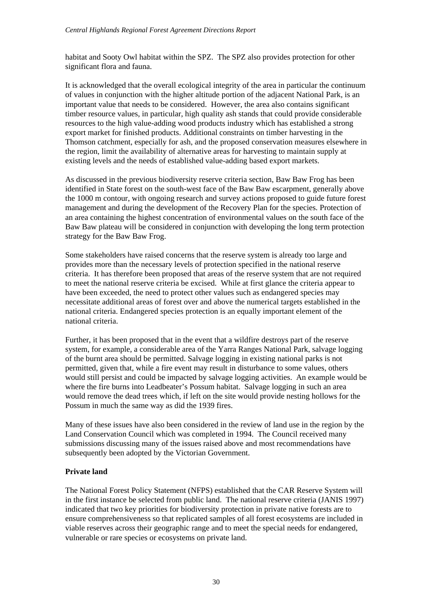habitat and Sooty Owl habitat within the SPZ. The SPZ also provides protection for other significant flora and fauna.

It is acknowledged that the overall ecological integrity of the area in particular the continuum of values in conjunction with the higher altitude portion of the adjacent National Park, is an important value that needs to be considered. However, the area also contains significant timber resource values, in particular, high quality ash stands that could provide considerable resources to the high value-adding wood products industry which has established a strong export market for finished products. Additional constraints on timber harvesting in the Thomson catchment, especially for ash, and the proposed conservation measures elsewhere in the region, limit the availability of alternative areas for harvesting to maintain supply at existing levels and the needs of established value-adding based export markets.

As discussed in the previous biodiversity reserve criteria section, Baw Baw Frog has been identified in State forest on the south-west face of the Baw Baw escarpment, generally above the 1000 m contour, with ongoing research and survey actions proposed to guide future forest management and during the development of the Recovery Plan for the species. Protection of an area containing the highest concentration of environmental values on the south face of the Baw Baw plateau will be considered in conjunction with developing the long term protection strategy for the Baw Baw Frog.

Some stakeholders have raised concerns that the reserve system is already too large and provides more than the necessary levels of protection specified in the national reserve criteria. It has therefore been proposed that areas of the reserve system that are not required to meet the national reserve criteria be excised. While at first glance the criteria appear to have been exceeded, the need to protect other values such as endangered species may necessitate additional areas of forest over and above the numerical targets established in the national criteria. Endangered species protection is an equally important element of the national criteria.

Further, it has been proposed that in the event that a wildfire destroys part of the reserve system, for example, a considerable area of the Yarra Ranges National Park, salvage logging of the burnt area should be permitted. Salvage logging in existing national parks is not permitted, given that, while a fire event may result in disturbance to some values, others would still persist and could be impacted by salvage logging activities. An example would be where the fire burns into Leadbeater's Possum habitat. Salvage logging in such an area would remove the dead trees which, if left on the site would provide nesting hollows for the Possum in much the same way as did the 1939 fires.

Many of these issues have also been considered in the review of land use in the region by the Land Conservation Council which was completed in 1994. The Council received many submissions discussing many of the issues raised above and most recommendations have subsequently been adopted by the Victorian Government.

#### **Private land**

The National Forest Policy Statement (NFPS) established that the CAR Reserve System will in the first instance be selected from public land. The national reserve criteria (JANIS 1997) indicated that two key priorities for biodiversity protection in private native forests are to ensure comprehensiveness so that replicated samples of all forest ecosystems are included in viable reserves across their geographic range and to meet the special needs for endangered, vulnerable or rare species or ecosystems on private land.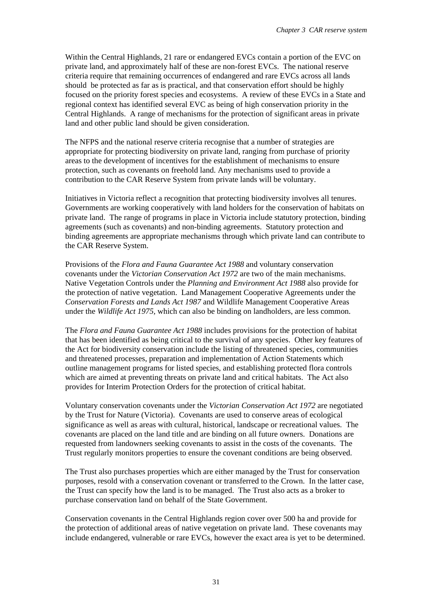Within the Central Highlands, 21 rare or endangered EVCs contain a portion of the EVC on private land, and approximately half of these are non-forest EVCs. The national reserve criteria require that remaining occurrences of endangered and rare EVCs across all lands should be protected as far as is practical, and that conservation effort should be highly focused on the priority forest species and ecosystems. A review of these EVCs in a State and regional context has identified several EVC as being of high conservation priority in the Central Highlands. A range of mechanisms for the protection of significant areas in private land and other public land should be given consideration.

The NFPS and the national reserve criteria recognise that a number of strategies are appropriate for protecting biodiversity on private land, ranging from purchase of priority areas to the development of incentives for the establishment of mechanisms to ensure protection, such as covenants on freehold land. Any mechanisms used to provide a contribution to the CAR Reserve System from private lands will be voluntary.

Initiatives in Victoria reflect a recognition that protecting biodiversity involves all tenures. Governments are working cooperatively with land holders for the conservation of habitats on private land. The range of programs in place in Victoria include statutory protection, binding agreements (such as covenants) and non-binding agreements. Statutory protection and binding agreements are appropriate mechanisms through which private land can contribute to the CAR Reserve System.

Provisions of the *Flora and Fauna Guarantee Act 1988* and voluntary conservation covenants under the *Victorian Conservation Act 1972* are two of the main mechanisms. Native Vegetation Controls under the *Planning and Environment Act 1988* also provide for the protection of native vegetation. Land Management Cooperative Agreements under the *Conservation Forests and Lands Act 1987* and Wildlife Management Cooperative Areas under the *Wildlife Act 1975,* which can also be binding on landholders, are less common.

The *Flora and Fauna Guarantee Act 1988* includes provisions for the protection of habitat that has been identified as being critical to the survival of any species. Other key features of the Act for biodiversity conservation include the listing of threatened species, communities and threatened processes, preparation and implementation of Action Statements which outline management programs for listed species, and establishing protected flora controls which are aimed at preventing threats on private land and critical habitats. The Act also provides for Interim Protection Orders for the protection of critical habitat.

Voluntary conservation covenants under the *Victorian Conservation Act 1972* are negotiated by the Trust for Nature (Victoria). Covenants are used to conserve areas of ecological significance as well as areas with cultural, historical, landscape or recreational values. The covenants are placed on the land title and are binding on all future owners. Donations are requested from landowners seeking covenants to assist in the costs of the covenants. The Trust regularly monitors properties to ensure the covenant conditions are being observed.

The Trust also purchases properties which are either managed by the Trust for conservation purposes, resold with a conservation covenant or transferred to the Crown. In the latter case, the Trust can specify how the land is to be managed. The Trust also acts as a broker to purchase conservation land on behalf of the State Government.

Conservation covenants in the Central Highlands region cover over 500 ha and provide for the protection of additional areas of native vegetation on private land. These covenants may include endangered, vulnerable or rare EVCs, however the exact area is yet to be determined.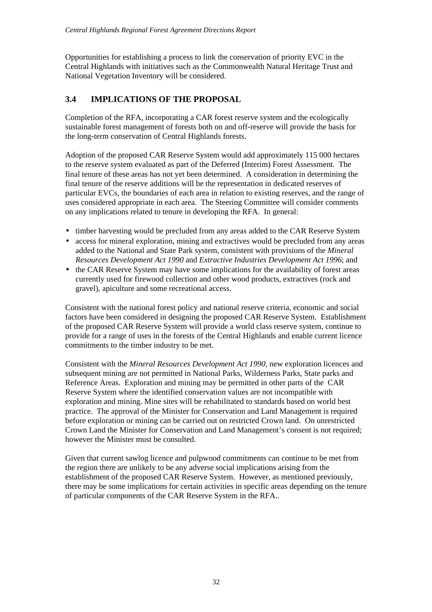Opportunities for establishing a process to link the conservation of priority EVC in the Central Highlands with initiatives such as the Commonwealth Natural Heritage Trust and National Vegetation Inventory will be considered.

# **3.4 IMPLICATIONS OF THE PROPOSAL**

Completion of the RFA, incorporating a CAR forest reserve system and the ecologically sustainable forest management of forests both on and off-reserve will provide the basis for the long-term conservation of Central Highlands forests.

Adoption of the proposed CAR Reserve System would add approximately 115 000 hectares to the reserve system evaluated as part of the Deferred (Interim) Forest Assessment. The final tenure of these areas has not yet been determined. A consideration in determining the final tenure of the reserve additions will be the representation in dedicated reserves of particular EVCs, the boundaries of each area in relation to existing reserves, and the range of uses considered appropriate in each area. The Steering Committee will consider comments on any implications related to tenure in developing the RFA. In general:

- timber harvesting would be precluded from any areas added to the CAR Reserve System
- access for mineral exploration, mining and extractives would be precluded from any areas added to the National and State Park system, consistent with provisions of the *Mineral Resources Development Act 1990* and *Extractive Industries Development Act 1996*; and
- the CAR Reserve System may have some implications for the availability of forest areas currently used for firewood collection and other wood products, extractives (rock and gravel), apiculture and some recreational access.

Consistent with the national forest policy and national reserve criteria, economic and social factors have been considered in designing the proposed CAR Reserve System. Establishment of the proposed CAR Reserve System will provide a world class reserve system, continue to provide for a range of uses in the forests of the Central Highlands and enable current licence commitments to the timber industry to be met.

Consistent with the *Mineral Resources Development Act 1990*, new exploration licences and subsequent mining are not permitted in National Parks, Wilderness Parks, State parks and Reference Areas. Exploration and mining may be permitted in other parts of the CAR Reserve System where the identified conservation values are not incompatible with exploration and mining. Mine sites will be rehabilitated to standards based on world best practice. The approval of the Minister for Conservation and Land Management is required before exploration or mining can be carried out on restricted Crown land. On unrestricted Crown Land the Minister for Conservation and Land Management's consent is not required; however the Minister must be consulted.

Given that current sawlog licence and pulpwood commitments can continue to be met from the region there are unlikely to be any adverse social implications arising from the establishment of the proposed CAR Reserve System. However, as mentioned previously, there may be some implications for certain activities in specific areas depending on the tenure of particular components of the CAR Reserve System in the RFA..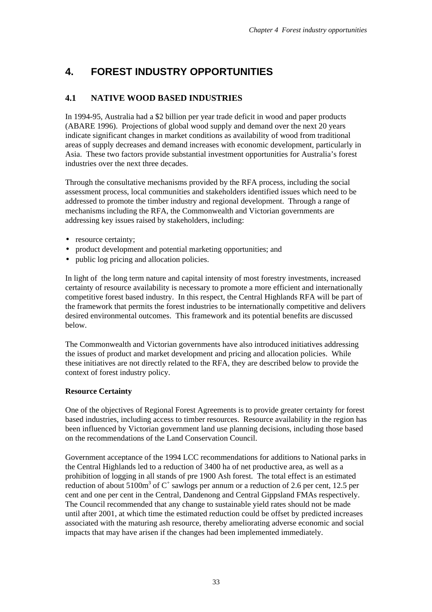# **4. FOREST INDUSTRY OPPORTUNITIES**

# **4.1 NATIVE WOOD BASED INDUSTRIES**

In 1994-95, Australia had a \$2 billion per year trade deficit in wood and paper products (ABARE 1996). Projections of global wood supply and demand over the next 20 years indicate significant changes in market conditions as availability of wood from traditional areas of supply decreases and demand increases with economic development, particularly in Asia. These two factors provide substantial investment opportunities for Australia's forest industries over the next three decades.

Through the consultative mechanisms provided by the RFA process, including the social assessment process, local communities and stakeholders identified issues which need to be addressed to promote the timber industry and regional development. Through a range of mechanisms including the RFA, the Commonwealth and Victorian governments are addressing key issues raised by stakeholders, including:

- resource certainty:
- product development and potential marketing opportunities; and
- public log pricing and allocation policies.

In light of the long term nature and capital intensity of most forestry investments, increased certainty of resource availability is necessary to promote a more efficient and internationally competitive forest based industry. In this respect, the Central Highlands RFA will be part of the framework that permits the forest industries to be internationally competitive and delivers desired environmental outcomes. This framework and its potential benefits are discussed below.

The Commonwealth and Victorian governments have also introduced initiatives addressing the issues of product and market development and pricing and allocation policies. While these initiatives are not directly related to the RFA, they are described below to provide the context of forest industry policy.

#### **Resource Certainty**

One of the objectives of Regional Forest Agreements is to provide greater certainty for forest based industries, including access to timber resources. Resource availability in the region has been influenced by Victorian government land use planning decisions, including those based on the recommendations of the Land Conservation Council.

Government acceptance of the 1994 LCC recommendations for additions to National parks in the Central Highlands led to a reduction of 3400 ha of net productive area, as well as a prohibition of logging in all stands of pre 1900 Ash forest. The total effect is an estimated reduction of about 5100 $m<sup>3</sup>$  of C<sup>+</sup> sawlogs per annum or a reduction of 2.6 per cent, 12.5 per cent and one per cent in the Central, Dandenong and Central Gippsland FMAs respectively. The Council recommended that any change to sustainable yield rates should not be made until after 2001, at which time the estimated reduction could be offset by predicted increases associated with the maturing ash resource, thereby ameliorating adverse economic and social impacts that may have arisen if the changes had been implemented immediately.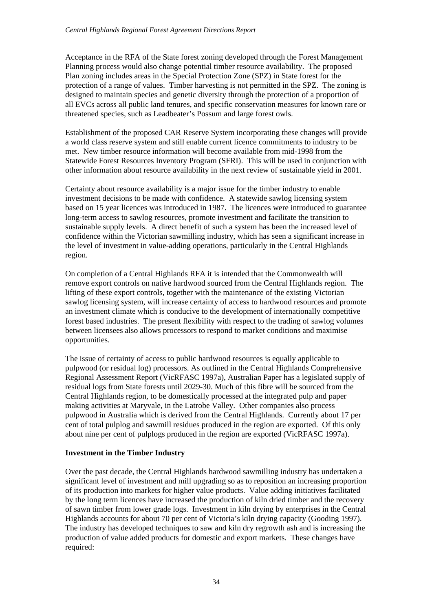Acceptance in the RFA of the State forest zoning developed through the Forest Management Planning process would also change potential timber resource availability. The proposed Plan zoning includes areas in the Special Protection Zone (SPZ) in State forest for the protection of a range of values. Timber harvesting is not permitted in the SPZ. The zoning is designed to maintain species and genetic diversity through the protection of a proportion of all EVCs across all public land tenures, and specific conservation measures for known rare or threatened species, such as Leadbeater's Possum and large forest owls.

Establishment of the proposed CAR Reserve System incorporating these changes will provide a world class reserve system and still enable current licence commitments to industry to be met. New timber resource information will become available from mid-1998 from the Statewide Forest Resources Inventory Program (SFRI). This will be used in conjunction with other information about resource availability in the next review of sustainable yield in 2001.

Certainty about resource availability is a major issue for the timber industry to enable investment decisions to be made with confidence. A statewide sawlog licensing system based on 15 year licences was introduced in 1987. The licences were introduced to guarantee long-term access to sawlog resources, promote investment and facilitate the transition to sustainable supply levels. A direct benefit of such a system has been the increased level of confidence within the Victorian sawmilling industry, which has seen a significant increase in the level of investment in value-adding operations, particularly in the Central Highlands region.

On completion of a Central Highlands RFA it is intended that the Commonwealth will remove export controls on native hardwood sourced from the Central Highlands region. The lifting of these export controls, together with the maintenance of the existing Victorian sawlog licensing system, will increase certainty of access to hardwood resources and promote an investment climate which is conducive to the development of internationally competitive forest based industries. The present flexibility with respect to the trading of sawlog volumes between licensees also allows processors to respond to market conditions and maximise opportunities.

The issue of certainty of access to public hardwood resources is equally applicable to pulpwood (or residual log) processors. As outlined in the Central Highlands Comprehensive Regional Assessment Report (VicRFASC 1997a), Australian Paper has a legislated supply of residual logs from State forests until 2029-30. Much of this fibre will be sourced from the Central Highlands region, to be domestically processed at the integrated pulp and paper making activities at Maryvale, in the Latrobe Valley. Other companies also process pulpwood in Australia which is derived from the Central Highlands. Currently about 17 per cent of total pulplog and sawmill residues produced in the region are exported. Of this only about nine per cent of pulplogs produced in the region are exported (VicRFASC 1997a).

#### **Investment in the Timber Industry**

Over the past decade, the Central Highlands hardwood sawmilling industry has undertaken a significant level of investment and mill upgrading so as to reposition an increasing proportion of its production into markets for higher value products. Value adding initiatives facilitated by the long term licences have increased the production of kiln dried timber and the recovery of sawn timber from lower grade logs. Investment in kiln drying by enterprises in the Central Highlands accounts for about 70 per cent of Victoria's kiln drying capacity (Gooding 1997). The industry has developed techniques to saw and kiln dry regrowth ash and is increasing the production of value added products for domestic and export markets. These changes have required: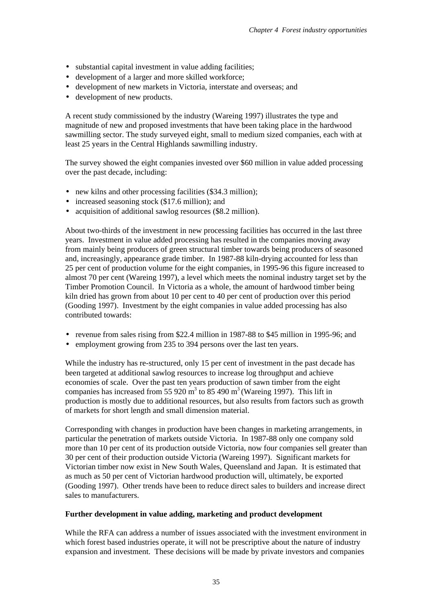- substantial capital investment in value adding facilities;
- development of a larger and more skilled workforce;
- development of new markets in Victoria, interstate and overseas; and
- development of new products.

A recent study commissioned by the industry (Wareing 1997) illustrates the type and magnitude of new and proposed investments that have been taking place in the hardwood sawmilling sector. The study surveyed eight, small to medium sized companies, each with at least 25 years in the Central Highlands sawmilling industry.

The survey showed the eight companies invested over \$60 million in value added processing over the past decade, including:

- new kilns and other processing facilities (\$34.3 million);
- increased seasoning stock (\$17.6 million); and
- acquisition of additional sawlog resources (\$8.2 million).

About two-thirds of the investment in new processing facilities has occurred in the last three years. Investment in value added processing has resulted in the companies moving away from mainly being producers of green structural timber towards being producers of seasoned and, increasingly, appearance grade timber. In 1987-88 kiln-drying accounted for less than 25 per cent of production volume for the eight companies, in 1995-96 this figure increased to almost 70 per cent (Wareing 1997), a level which meets the nominal industry target set by the Timber Promotion Council. In Victoria as a whole, the amount of hardwood timber being kiln dried has grown from about 10 per cent to 40 per cent of production over this period (Gooding 1997). Investment by the eight companies in value added processing has also contributed towards:

- revenue from sales rising from \$22.4 million in 1987-88 to \$45 million in 1995-96; and
- employment growing from 235 to 394 persons over the last ten years.

While the industry has re-structured, only 15 per cent of investment in the past decade has been targeted at additional sawlog resources to increase log throughput and achieve economies of scale. Over the past ten years production of sawn timber from the eight companies has increased from 55 920 m<sup>3</sup> to 85 490 m<sup>3</sup> (Wareing 1997). This lift in production is mostly due to additional resources, but also results from factors such as growth of markets for short length and small dimension material.

Corresponding with changes in production have been changes in marketing arrangements, in particular the penetration of markets outside Victoria. In 1987-88 only one company sold more than 10 per cent of its production outside Victoria, now four companies sell greater than 30 per cent of their production outside Victoria (Wareing 1997). Significant markets for Victorian timber now exist in New South Wales, Queensland and Japan. It is estimated that as much as 50 per cent of Victorian hardwood production will, ultimately, be exported (Gooding 1997). Other trends have been to reduce direct sales to builders and increase direct sales to manufacturers.

#### **Further development in value adding, marketing and product development**

While the RFA can address a number of issues associated with the investment environment in which forest based industries operate, it will not be prescriptive about the nature of industry expansion and investment. These decisions will be made by private investors and companies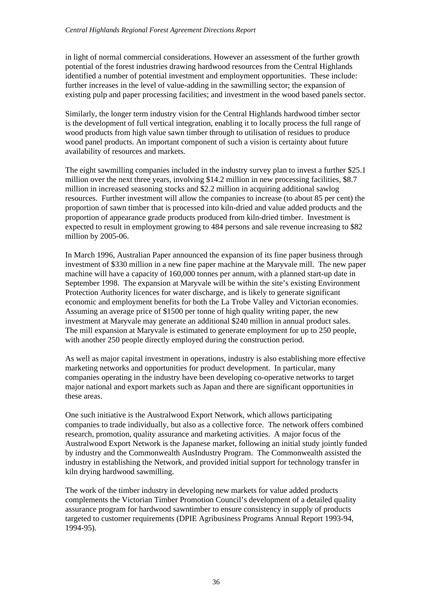in light of normal commercial considerations. However an assessment of the further growth potential of the forest industries drawing hardwood resources from the Central Highlands identified a number of potential investment and employment opportunities. These include: further increases in the level of value-adding in the sawmilling sector; the expansion of existing pulp and paper processing facilities; and investment in the wood based panels sector.

Similarly, the longer term industry vision for the Central Highlands hardwood timber sector is the development of full vertical integration, enabling it to locally process the full range of wood products from high value sawn timber through to utilisation of residues to produce wood panel products. An important component of such a vision is certainty about future availability of resources and markets.

The eight sawmilling companies included in the industry survey plan to invest a further \$25.1 million over the next three years, involving \$14.2 million in new processing facilities, \$8.7 million in increased seasoning stocks and \$2.2 million in acquiring additional sawlog resources. Further investment will allow the companies to increase (to about 85 per cent) the proportion of sawn timber that is processed into kiln-dried and value added products and the proportion of appearance grade products produced from kiln-dried timber. Investment is expected to result in employment growing to 484 persons and sale revenue increasing to \$82 million by 2005-06.

In March 1996, Australian Paper announced the expansion of its fine paper business through investment of \$330 million in a new fine paper machine at the Maryvale mill. The new paper machine will have a capacity of 160,000 tonnes per annum, with a planned start-up date in September 1998. The expansion at Maryvale will be within the site's existing Environment Protection Authority licences for water discharge, and is likely to generate significant economic and employment benefits for both the La Trobe Valley and Victorian economies. Assuming an average price of \$1500 per tonne of high quality writing paper, the new investment at Maryvale may generate an additional \$240 million in annual product sales. The mill expansion at Maryvale is estimated to generate employment for up to 250 people, with another 250 people directly employed during the construction period.

As well as major capital investment in operations, industry is also establishing more effective marketing networks and opportunities for product development. In particular, many companies operating in the industry have been developing co-operative networks to target major national and export markets such as Japan and there are significant opportunities in these areas.

One such initiative is the Australwood Export Network, which allows participating companies to trade individually, but also as a collective force. The network offers combined research, promotion, quality assurance and marketing activities. A major focus of the Australwood Export Network is the Japanese market, following an initial study jointly funded by industry and the Commonwealth AusIndustry Program. The Commonwealth assisted the industry in establishing the Network, and provided initial support for technology transfer in kiln drying hardwood sawmilling.

The work of the timber industry in developing new markets for value added products complements the Victorian Timber Promotion Council's development of a detailed quality assurance program for hardwood sawntimber to ensure consistency in supply of products targeted to customer requirements (DPIE Agribusiness Programs Annual Report 1993-94, 1994-95).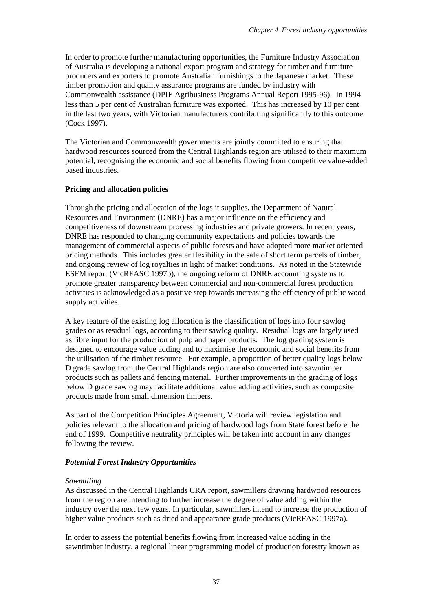In order to promote further manufacturing opportunities, the Furniture Industry Association of Australia is developing a national export program and strategy for timber and furniture producers and exporters to promote Australian furnishings to the Japanese market. These timber promotion and quality assurance programs are funded by industry with Commonwealth assistance (DPIE Agribusiness Programs Annual Report 1995-96). In 1994 less than 5 per cent of Australian furniture was exported. This has increased by 10 per cent in the last two years, with Victorian manufacturers contributing significantly to this outcome (Cock 1997).

The Victorian and Commonwealth governments are jointly committed to ensuring that hardwood resources sourced from the Central Highlands region are utilised to their maximum potential, recognising the economic and social benefits flowing from competitive value-added based industries.

#### **Pricing and allocation policies**

Through the pricing and allocation of the logs it supplies, the Department of Natural Resources and Environment (DNRE) has a major influence on the efficiency and competitiveness of downstream processing industries and private growers. In recent years, DNRE has responded to changing community expectations and policies towards the management of commercial aspects of public forests and have adopted more market oriented pricing methods. This includes greater flexibility in the sale of short term parcels of timber, and ongoing review of log royalties in light of market conditions. As noted in the Statewide ESFM report (VicRFASC 1997b), the ongoing reform of DNRE accounting systems to promote greater transparency between commercial and non-commercial forest production activities is acknowledged as a positive step towards increasing the efficiency of public wood supply activities.

A key feature of the existing log allocation is the classification of logs into four sawlog grades or as residual logs, according to their sawlog quality. Residual logs are largely used as fibre input for the production of pulp and paper products. The log grading system is designed to encourage value adding and to maximise the economic and social benefits from the utilisation of the timber resource. For example, a proportion of better quality logs below D grade sawlog from the Central Highlands region are also converted into sawntimber products such as pallets and fencing material. Further improvements in the grading of logs below D grade sawlog may facilitate additional value adding activities, such as composite products made from small dimension timbers.

As part of the Competition Principles Agreement, Victoria will review legislation and policies relevant to the allocation and pricing of hardwood logs from State forest before the end of 1999. Competitive neutrality principles will be taken into account in any changes following the review.

#### *Potential Forest Industry Opportunities*

#### *Sawmilling*

As discussed in the Central Highlands CRA report, sawmillers drawing hardwood resources from the region are intending to further increase the degree of value adding within the industry over the next few years. In particular, sawmillers intend to increase the production of higher value products such as dried and appearance grade products (VicRFASC 1997a).

In order to assess the potential benefits flowing from increased value adding in the sawntimber industry, a regional linear programming model of production forestry known as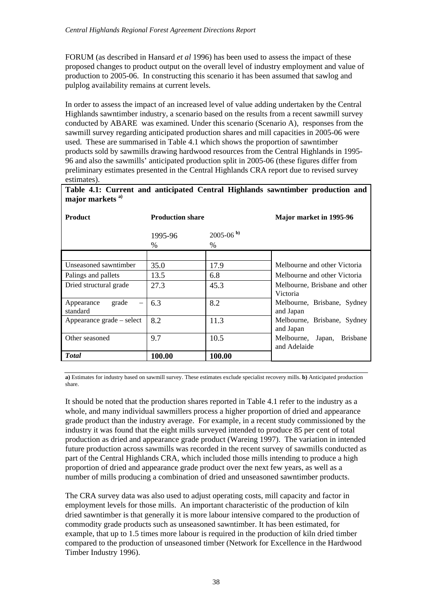FORUM (as described in Hansard *et al* 1996) has been used to assess the impact of these proposed changes to product output on the overall level of industry employment and value of production to 2005-06. In constructing this scenario it has been assumed that sawlog and pulplog availability remains at current levels.

In order to assess the impact of an increased level of value adding undertaken by the Central Highlands sawntimber industry, a scenario based on the results from a recent sawmill survey conducted by ABARE was examined. Under this scenario (Scenario A), responses from the sawmill survey regarding anticipated production shares and mill capacities in 2005-06 were used. These are summarised in Table 4.1 which shows the proportion of sawntimber products sold by sawmills drawing hardwood resources from the Central Highlands in 1995- 96 and also the sawmills' anticipated production split in 2005-06 (these figures differ from preliminary estimates presented in the Central Highlands CRA report due to revised survey estimates).

|                             |  |  |  | Table 4.1: Current and anticipated Central Highlands sawntimber production and |  |
|-----------------------------|--|--|--|--------------------------------------------------------------------------------|--|
| major markets <sup>a)</sup> |  |  |  |                                                                                |  |

| <b>Product</b>                  | <b>Production share</b> |                         | Major market in 1995-96                              |
|---------------------------------|-------------------------|-------------------------|------------------------------------------------------|
|                                 | 1995-96<br>$\%$         | $2005 - 06^{b}$<br>$\%$ |                                                      |
| Unseasoned sawntimber           | 35.0                    | 17.9                    | Melbourne and other Victoria                         |
| Palings and pallets             | 13.5                    | 6.8                     | Melbourne and other Victoria                         |
| Dried structural grade          | 27.3                    | 45.3                    | Melbourne, Brisbane and other<br>Victoria            |
| grade<br>Appearance<br>standard | 6.3                     | 8.2                     | Melbourne, Brisbane, Sydney<br>and Japan             |
| Appearance grade – select       | 8.2                     | 11.3                    | Melbourne, Brisbane, Sydney<br>and Japan             |
| Other seasoned                  | 9.7                     | 10.5                    | Melbourne, Japan,<br><b>Brisbane</b><br>and Adelaide |
| <b>Total</b>                    | 100.00                  | 100.00                  |                                                      |

**a)** Estimates for industry based on sawmill survey. These estimates exclude specialist recovery mills. **b)** Anticipated production share.

It should be noted that the production shares reported in Table 4.1 refer to the industry as a whole, and many individual sawmillers process a higher proportion of dried and appearance grade product than the industry average. For example, in a recent study commissioned by the industry it was found that the eight mills surveyed intended to produce 85 per cent of total production as dried and appearance grade product (Wareing 1997). The variation in intended future production across sawmills was recorded in the recent survey of sawmills conducted as part of the Central Highlands CRA, which included those mills intending to produce a high proportion of dried and appearance grade product over the next few years, as well as a number of mills producing a combination of dried and unseasoned sawntimber products.

The CRA survey data was also used to adjust operating costs, mill capacity and factor in employment levels for those mills. An important characteristic of the production of kiln dried sawntimber is that generally it is more labour intensive compared to the production of commodity grade products such as unseasoned sawntimber. It has been estimated, for example, that up to 1.5 times more labour is required in the production of kiln dried timber compared to the production of unseasoned timber (Network for Excellence in the Hardwood Timber Industry 1996).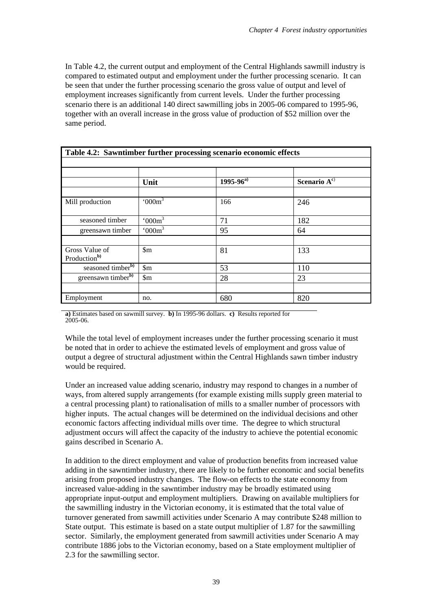In Table 4.2, the current output and employment of the Central Highlands sawmill industry is compared to estimated output and employment under the further processing scenario. It can be seen that under the further processing scenario the gross value of output and level of employment increases significantly from current levels. Under the further processing scenario there is an additional 140 direct sawmilling jobs in 2005-06 compared to 1995-96, together with an overall increase in the gross value of production of \$52 million over the same period.

|                                |                        | Table 4.2: Sawntimber further processing scenario economic effects |                  |
|--------------------------------|------------------------|--------------------------------------------------------------------|------------------|
|                                |                        |                                                                    |                  |
|                                |                        |                                                                    |                  |
|                                | Unit                   | $1995-96^{a}$                                                      | Scenario $A^{c}$ |
|                                |                        |                                                                    |                  |
| Mill production                | $^{\circ}000m^3$       | 166                                                                | 246              |
|                                |                        |                                                                    |                  |
| seasoned timber                | $^{\circ}000m^3$       | 71                                                                 | 182              |
| greensawn timber               | $^{\circ}000m^3$       | 95                                                                 | 64               |
|                                |                        |                                                                    |                  |
| Gross Value of                 | $\mathop{\mathrm{Sm}}$ | 81                                                                 | 133              |
| Production <sup>b)</sup>       |                        |                                                                    |                  |
| seasoned timber <sup>b)</sup>  | $\mathop{\mathrm{Sm}}$ | 53                                                                 | 110              |
| greensawn timber <sup>b)</sup> | $\mathop{\mathrm{Sm}}$ | 28                                                                 | 23               |
|                                |                        |                                                                    |                  |
| Employment                     | no.                    | 680                                                                | 820              |

**a)** Estimates based on sawmill survey. **b)** In 1995-96 dollars. **c)** Results reported for 2005-06.

While the total level of employment increases under the further processing scenario it must be noted that in order to achieve the estimated levels of employment and gross value of output a degree of structural adjustment within the Central Highlands sawn timber industry would be required.

Under an increased value adding scenario, industry may respond to changes in a number of ways, from altered supply arrangements (for example existing mills supply green material to a central processing plant) to rationalisation of mills to a smaller number of processors with higher inputs. The actual changes will be determined on the individual decisions and other economic factors affecting individual mills over time. The degree to which structural adjustment occurs will affect the capacity of the industry to achieve the potential economic gains described in Scenario A.

In addition to the direct employment and value of production benefits from increased value adding in the sawntimber industry, there are likely to be further economic and social benefits arising from proposed industry changes. The flow-on effects to the state economy from increased value-adding in the sawntimber industry may be broadly estimated using appropriate input-output and employment multipliers. Drawing on available multipliers for the sawmilling industry in the Victorian economy, it is estimated that the total value of turnover generated from sawmill activities under Scenario A may contribute \$248 million to State output. This estimate is based on a state output multiplier of 1.87 for the sawmilling sector. Similarly, the employment generated from sawmill activities under Scenario A may contribute 1886 jobs to the Victorian economy, based on a State employment multiplier of 2.3 for the sawmilling sector.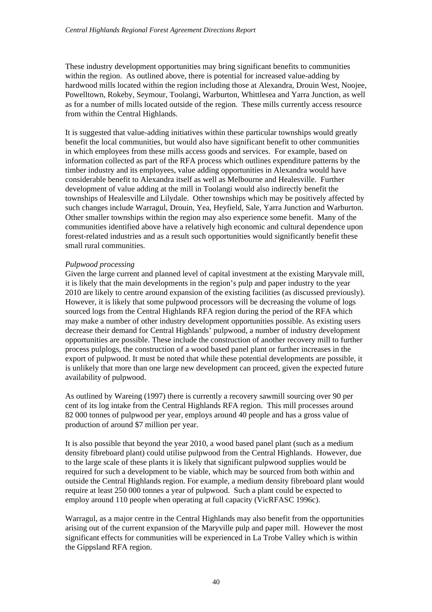These industry development opportunities may bring significant benefits to communities within the region. As outlined above, there is potential for increased value-adding by hardwood mills located within the region including those at Alexandra, Drouin West, Noojee, Powelltown, Rokeby, Seymour, Toolangi, Warburton, Whittlesea and Yarra Junction, as well as for a number of mills located outside of the region. These mills currently access resource from within the Central Highlands.

It is suggested that value-adding initiatives within these particular townships would greatly benefit the local communities, but would also have significant benefit to other communities in which employees from these mills access goods and services. For example, based on information collected as part of the RFA process which outlines expenditure patterns by the timber industry and its employees, value adding opportunities in Alexandra would have considerable benefit to Alexandra itself as well as Melbourne and Healesville. Further development of value adding at the mill in Toolangi would also indirectly benefit the townships of Healesville and Lilydale. Other townships which may be positively affected by such changes include Warragul, Drouin, Yea, Heyfield, Sale, Yarra Junction and Warburton. Other smaller townships within the region may also experience some benefit. Many of the communities identified above have a relatively high economic and cultural dependence upon forest-related industries and as a result such opportunities would significantly benefit these small rural communities.

### *Pulpwood processing*

Given the large current and planned level of capital investment at the existing Maryvale mill, it is likely that the main developments in the region's pulp and paper industry to the year 2010 are likely to centre around expansion of the existing facilities (as discussed previously). However, it is likely that some pulpwood processors will be decreasing the volume of logs sourced logs from the Central Highlands RFA region during the period of the RFA which may make a number of other industry development opportunities possible. As existing users decrease their demand for Central Highlands' pulpwood, a number of industry development opportunities are possible. These include the construction of another recovery mill to further process pulplogs, the construction of a wood based panel plant or further increases in the export of pulpwood. It must be noted that while these potential developments are possible, it is unlikely that more than one large new development can proceed, given the expected future availability of pulpwood.

As outlined by Wareing (1997) there is currently a recovery sawmill sourcing over 90 per cent of its log intake from the Central Highlands RFA region. This mill processes around 82 000 tonnes of pulpwood per year, employs around 40 people and has a gross value of production of around \$7 million per year.

It is also possible that beyond the year 2010, a wood based panel plant (such as a medium density fibreboard plant) could utilise pulpwood from the Central Highlands. However, due to the large scale of these plants it is likely that significant pulpwood supplies would be required for such a development to be viable, which may be sourced from both within and outside the Central Highlands region. For example, a medium density fibreboard plant would require at least 250 000 tonnes a year of pulpwood. Such a plant could be expected to employ around 110 people when operating at full capacity (VicRFASC 1996c).

Warragul, as a major centre in the Central Highlands may also benefit from the opportunities arising out of the current expansion of the Maryville pulp and paper mill. However the most significant effects for communities will be experienced in La Trobe Valley which is within the Gippsland RFA region.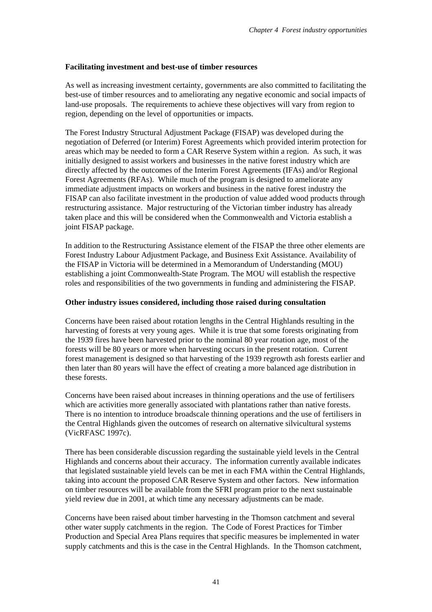#### **Facilitating investment and best-use of timber resources**

As well as increasing investment certainty, governments are also committed to facilitating the best-use of timber resources and to ameliorating any negative economic and social impacts of land-use proposals. The requirements to achieve these objectives will vary from region to region, depending on the level of opportunities or impacts.

The Forest Industry Structural Adjustment Package (FISAP) was developed during the negotiation of Deferred (or Interim) Forest Agreements which provided interim protection for areas which may be needed to form a CAR Reserve System within a region. As such, it was initially designed to assist workers and businesses in the native forest industry which are directly affected by the outcomes of the Interim Forest Agreements (IFAs) and/or Regional Forest Agreements (RFAs). While much of the program is designed to ameliorate any immediate adjustment impacts on workers and business in the native forest industry the FISAP can also facilitate investment in the production of value added wood products through restructuring assistance. Major restructuring of the Victorian timber industry has already taken place and this will be considered when the Commonwealth and Victoria establish a joint FISAP package.

In addition to the Restructuring Assistance element of the FISAP the three other elements are Forest Industry Labour Adjustment Package, and Business Exit Assistance. Availability of the FISAP in Victoria will be determined in a Memorandum of Understanding (MOU) establishing a joint Commonwealth-State Program. The MOU will establish the respective roles and responsibilities of the two governments in funding and administering the FISAP.

#### **Other industry issues considered, including those raised during consultation**

Concerns have been raised about rotation lengths in the Central Highlands resulting in the harvesting of forests at very young ages. While it is true that some forests originating from the 1939 fires have been harvested prior to the nominal 80 year rotation age, most of the forests will be 80 years or more when harvesting occurs in the present rotation. Current forest management is designed so that harvesting of the 1939 regrowth ash forests earlier and then later than 80 years will have the effect of creating a more balanced age distribution in these forests.

Concerns have been raised about increases in thinning operations and the use of fertilisers which are activities more generally associated with plantations rather than native forests. There is no intention to introduce broadscale thinning operations and the use of fertilisers in the Central Highlands given the outcomes of research on alternative silvicultural systems (VicRFASC 1997c).

There has been considerable discussion regarding the sustainable yield levels in the Central Highlands and concerns about their accuracy. The information currently available indicates that legislated sustainable yield levels can be met in each FMA within the Central Highlands, taking into account the proposed CAR Reserve System and other factors. New information on timber resources will be available from the SFRI program prior to the next sustainable yield review due in 2001, at which time any necessary adjustments can be made.

Concerns have been raised about timber harvesting in the Thomson catchment and several other water supply catchments in the region. The Code of Forest Practices for Timber Production and Special Area Plans requires that specific measures be implemented in water supply catchments and this is the case in the Central Highlands. In the Thomson catchment,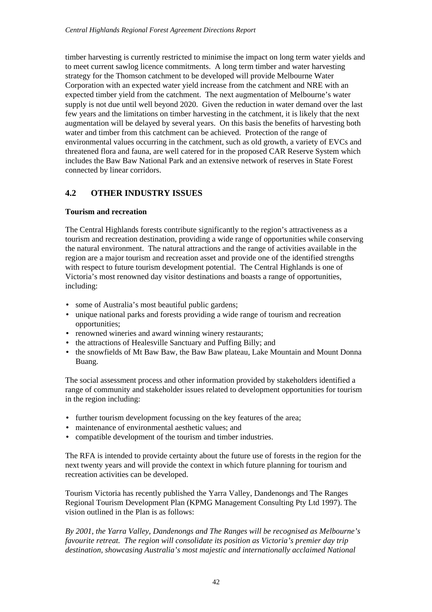timber harvesting is currently restricted to minimise the impact on long term water yields and to meet current sawlog licence commitments. A long term timber and water harvesting strategy for the Thomson catchment to be developed will provide Melbourne Water Corporation with an expected water yield increase from the catchment and NRE with an expected timber yield from the catchment. The next augmentation of Melbourne's water supply is not due until well beyond 2020. Given the reduction in water demand over the last few years and the limitations on timber harvesting in the catchment, it is likely that the next augmentation will be delayed by several years. On this basis the benefits of harvesting both water and timber from this catchment can be achieved. Protection of the range of environmental values occurring in the catchment, such as old growth, a variety of EVCs and threatened flora and fauna, are well catered for in the proposed CAR Reserve System which includes the Baw Baw National Park and an extensive network of reserves in State Forest connected by linear corridors.

### **4.2 OTHER INDUSTRY ISSUES**

### **Tourism and recreation**

The Central Highlands forests contribute significantly to the region's attractiveness as a tourism and recreation destination, providing a wide range of opportunities while conserving the natural environment. The natural attractions and the range of activities available in the region are a major tourism and recreation asset and provide one of the identified strengths with respect to future tourism development potential. The Central Highlands is one of Victoria's most renowned day visitor destinations and boasts a range of opportunities, including:

- some of Australia's most beautiful public gardens;
- unique national parks and forests providing a wide range of tourism and recreation opportunities;
- renowned wineries and award winning winery restaurants;
- the attractions of Healesville Sanctuary and Puffing Billy; and
- the snowfields of Mt Baw Baw, the Baw Baw plateau, Lake Mountain and Mount Donna Buang.

The social assessment process and other information provided by stakeholders identified a range of community and stakeholder issues related to development opportunities for tourism in the region including:

- further tourism development focussing on the key features of the area;
- maintenance of environmental aesthetic values; and
- compatible development of the tourism and timber industries.

The RFA is intended to provide certainty about the future use of forests in the region for the next twenty years and will provide the context in which future planning for tourism and recreation activities can be developed.

Tourism Victoria has recently published the Yarra Valley, Dandenongs and The Ranges Regional Tourism Development Plan (KPMG Management Consulting Pty Ltd 1997). The vision outlined in the Plan is as follows:

*By 2001, the Yarra Valley, Dandenongs and The Ranges will be recognised as Melbourne's favourite retreat. The region will consolidate its position as Victoria's premier day trip destination, showcasing Australia's most majestic and internationally acclaimed National*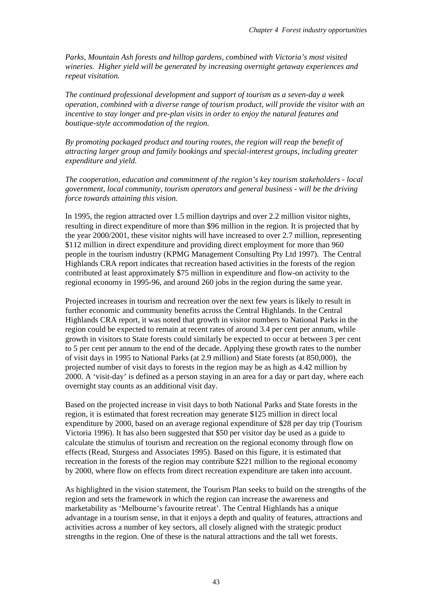*Parks, Mountain Ash forests and hilltop gardens, combined with Victoria's most visited wineries. Higher yield will be generated by increasing overnight getaway experiences and repeat visitation.*

*The continued professional development and support of tourism as a seven-day a week operation, combined with a diverse range of tourism product, will provide the visitor with an incentive to stay longer and pre-plan visits in order to enjoy the natural features and boutique-style accommodation of the region.*

*By promoting packaged product and touring routes, the region will reap the benefit of attracting larger group and family bookings and special-interest groups, including greater expenditure and yield.*

*The cooperation, education and commitment of the region's key tourism stakeholders - local government, local community, tourism operators and general business - will be the driving force towards attaining this vision.*

In 1995, the region attracted over 1.5 million daytrips and over 2.2 million visitor nights, resulting in direct expenditure of more than \$96 million in the region. It is projected that by the year 2000/2001, these visitor nights will have increased to over 2.7 million, representing \$112 million in direct expenditure and providing direct employment for more than 960 people in the tourism industry (KPMG Management Consulting Pty Ltd 1997). The Central Highlands CRA report indicates that recreation based activities in the forests of the region contributed at least approximately \$75 million in expenditure and flow-on activity to the regional economy in 1995-96, and around 260 jobs in the region during the same year.

Projected increases in tourism and recreation over the next few years is likely to result in further economic and community benefits across the Central Highlands. In the Central Highlands CRA report, it was noted that growth in visitor numbers to National Parks in the region could be expected to remain at recent rates of around 3.4 per cent per annum, while growth in visitors to State forests could similarly be expected to occur at between 3 per cent to 5 per cent per annum to the end of the decade. Applying these growth rates to the number of visit days in 1995 to National Parks (at 2.9 million) and State forests (at 850,000), the projected number of visit days to forests in the region may be as high as 4.42 million by 2000. A 'visit-day' is defined as a person staying in an area for a day or part day, where each overnight stay counts as an additional visit day.

Based on the projected increase in visit days to both National Parks and State forests in the region, it is estimated that forest recreation may generate \$125 million in direct local expenditure by 2000, based on an average regional expenditure of \$28 per day trip (Tourism Victoria 1996). It has also been suggested that \$50 per visitor day be used as a guide to calculate the stimulus of tourism and recreation on the regional economy through flow on effects (Read, Sturgess and Associates 1995). Based on this figure, it is estimated that recreation in the forests of the region may contribute \$221 million to the regional economy by 2000, where flow on effects from direct recreation expenditure are taken into account.

As highlighted in the vision statement, the Tourism Plan seeks to build on the strengths of the region and sets the framework in which the region can increase the awareness and marketability as 'Melbourne's favourite retreat'. The Central Highlands has a unique advantage in a tourism sense, in that it enjoys a depth and quality of features, attractions and activities across a number of key sectors, all closely aligned with the strategic product strengths in the region. One of these is the natural attractions and the tall wet forests.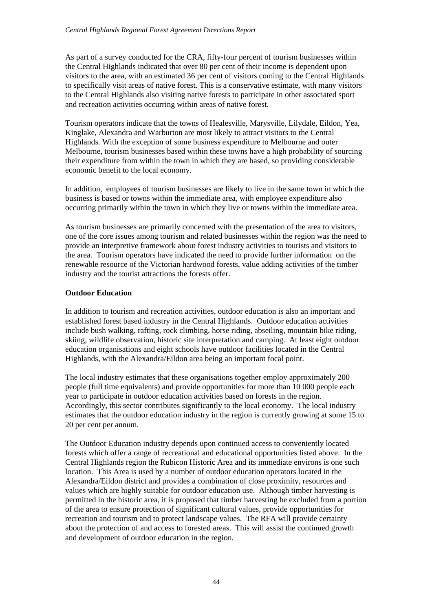As part of a survey conducted for the CRA, fifty-four percent of tourism businesses within the Central Highlands indicated that over 80 per cent of their income is dependent upon visitors to the area, with an estimated 36 per cent of visitors coming to the Central Highlands to specifically visit areas of native forest. This is a conservative estimate, with many visitors to the Central Highlands also visiting native forests to participate in other associated sport and recreation activities occurring within areas of native forest.

Tourism operators indicate that the towns of Healesville, Marysville, Lilydale, Eildon, Yea, Kinglake, Alexandra and Warburton are most likely to attract visitors to the Central Highlands. With the exception of some business expenditure to Melbourne and outer Melbourne, tourism businesses based within these towns have a high probability of sourcing their expenditure from within the town in which they are based, so providing considerable economic benefit to the local economy.

In addition, employees of tourism businesses are likely to live in the same town in which the business is based or towns within the immediate area, with employee expenditure also occurring primarily within the town in which they live or towns within the immediate area.

As tourism businesses are primarily concerned with the presentation of the area to visitors, one of the core issues among tourism and related businesses within the region was the need to provide an interpretive framework about forest industry activities to tourists and visitors to the area. Tourism operators have indicated the need to provide further information on the renewable resource of the Victorian hardwood forests, value adding activities of the timber industry and the tourist attractions the forests offer.

### **Outdoor Education**

In addition to tourism and recreation activities, outdoor education is also an important and established forest based industry in the Central Highlands. Outdoor education activities include bush walking, rafting, rock climbing, horse riding, abseiling, mountain bike riding, skiing, wildlife observation, historic site interpretation and camping. At least eight outdoor education organisations and eight schools have outdoor facilities located in the Central Highlands, with the Alexandra/Eildon area being an important focal point.

The local industry estimates that these organisations together employ approximately 200 people (full time equivalents) and provide opportunities for more than 10 000 people each year to participate in outdoor education activities based on forests in the region. Accordingly, this sector contributes significantly to the local economy. The local industry estimates that the outdoor education industry in the region is currently growing at some 15 to 20 per cent per annum.

The Outdoor Education industry depends upon continued access to conveniently located forests which offer a range of recreational and educational opportunities listed above. In the Central Highlands region the Rubicon Historic Area and its immediate environs is one such location. This Area is used by a number of outdoor education operators located in the Alexandra/Eildon district and provides a combination of close proximity, resources and values which are highly suitable for outdoor education use. Although timber harvesting is permitted in the historic area, it is proposed that timber harvesting be excluded from a portion of the area to ensure protection of significant cultural values, provide opportunities for recreation and tourism and to protect landscape values. The RFA will provide certainty about the protection of and access to forested areas. This will assist the continued growth and development of outdoor education in the region.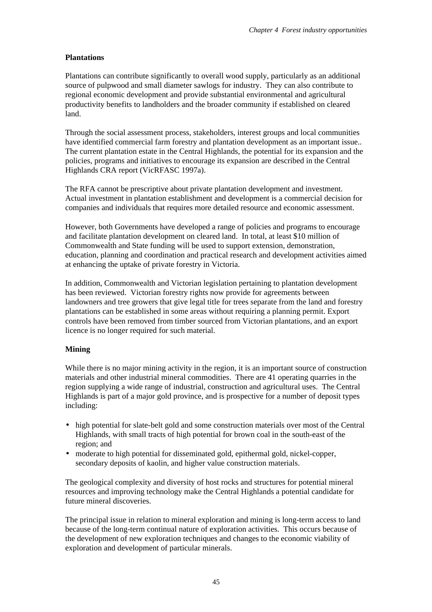### **Plantations**

Plantations can contribute significantly to overall wood supply, particularly as an additional source of pulpwood and small diameter sawlogs for industry. They can also contribute to regional economic development and provide substantial environmental and agricultural productivity benefits to landholders and the broader community if established on cleared land.

Through the social assessment process, stakeholders, interest groups and local communities have identified commercial farm forestry and plantation development as an important issue.. The current plantation estate in the Central Highlands, the potential for its expansion and the policies, programs and initiatives to encourage its expansion are described in the Central Highlands CRA report (VicRFASC 1997a).

The RFA cannot be prescriptive about private plantation development and investment. Actual investment in plantation establishment and development is a commercial decision for companies and individuals that requires more detailed resource and economic assessment.

However, both Governments have developed a range of policies and programs to encourage and facilitate plantation development on cleared land. In total, at least \$10 million of Commonwealth and State funding will be used to support extension, demonstration, education, planning and coordination and practical research and development activities aimed at enhancing the uptake of private forestry in Victoria.

In addition, Commonwealth and Victorian legislation pertaining to plantation development has been reviewed. Victorian forestry rights now provide for agreements between landowners and tree growers that give legal title for trees separate from the land and forestry plantations can be established in some areas without requiring a planning permit. Export controls have been removed from timber sourced from Victorian plantations, and an export licence is no longer required for such material.

### **Mining**

While there is no major mining activity in the region, it is an important source of construction materials and other industrial mineral commodities. There are 41 operating quarries in the region supplying a wide range of industrial, construction and agricultural uses. The Central Highlands is part of a major gold province, and is prospective for a number of deposit types including:

- high potential for slate-belt gold and some construction materials over most of the Central Highlands, with small tracts of high potential for brown coal in the south-east of the region; and
- moderate to high potential for disseminated gold, epithermal gold, nickel-copper, secondary deposits of kaolin, and higher value construction materials.

The geological complexity and diversity of host rocks and structures for potential mineral resources and improving technology make the Central Highlands a potential candidate for future mineral discoveries.

The principal issue in relation to mineral exploration and mining is long-term access to land because of the long-term continual nature of exploration activities. This occurs because of the development of new exploration techniques and changes to the economic viability of exploration and development of particular minerals.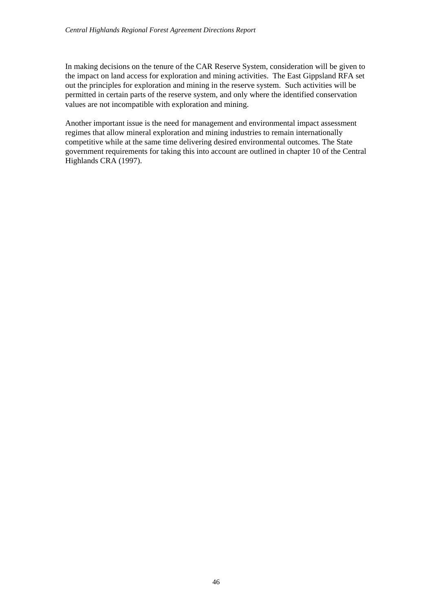In making decisions on the tenure of the CAR Reserve System, consideration will be given to the impact on land access for exploration and mining activities. The East Gippsland RFA set out the principles for exploration and mining in the reserve system. Such activities will be permitted in certain parts of the reserve system, and only where the identified conservation values are not incompatible with exploration and mining.

Another important issue is the need for management and environmental impact assessment regimes that allow mineral exploration and mining industries to remain internationally competitive while at the same time delivering desired environmental outcomes. The State government requirements for taking this into account are outlined in chapter 10 of the Central Highlands CRA (1997).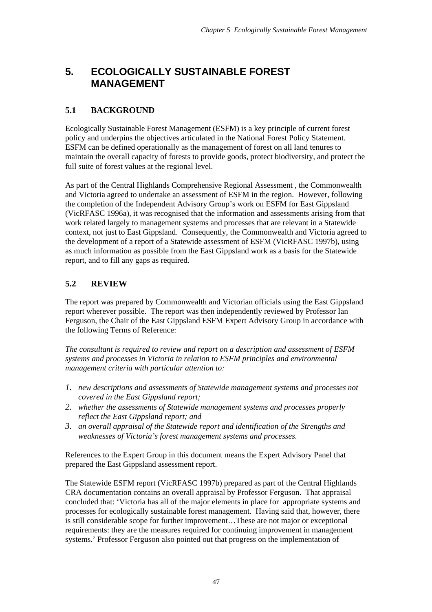# **5. ECOLOGICALLY SUSTAINABLE FOREST MANAGEMENT**

### **5.1 BACKGROUND**

Ecologically Sustainable Forest Management (ESFM) is a key principle of current forest policy and underpins the objectives articulated in the National Forest Policy Statement. ESFM can be defined operationally as the management of forest on all land tenures to maintain the overall capacity of forests to provide goods, protect biodiversity, and protect the full suite of forest values at the regional level.

As part of the Central Highlands Comprehensive Regional Assessment , the Commonwealth and Victoria agreed to undertake an assessment of ESFM in the region. However, following the completion of the Independent Advisory Group's work on ESFM for East Gippsland (VicRFASC 1996a), it was recognised that the information and assessments arising from that work related largely to management systems and processes that are relevant in a Statewide context, not just to East Gippsland. Consequently, the Commonwealth and Victoria agreed to the development of a report of a Statewide assessment of ESFM (VicRFASC 1997b), using as much information as possible from the East Gippsland work as a basis for the Statewide report, and to fill any gaps as required.

### **5.2 REVIEW**

The report was prepared by Commonwealth and Victorian officials using the East Gippsland report wherever possible. The report was then independently reviewed by Professor Ian Ferguson, the Chair of the East Gippsland ESFM Expert Advisory Group in accordance with the following Terms of Reference:

*The consultant is required to review and report on a description and assessment of ESFM systems and processes in Victoria in relation to ESFM principles and environmental management criteria with particular attention to:*

- *1. new descriptions and assessments of Statewide management systems and processes not covered in the East Gippsland report;*
- *2. whether the assessments of Statewide management systems and processes properly reflect the East Gippsland report; and*
- *3. an overall appraisal of the Statewide report and identification of the Strengths and weaknesses of Victoria's forest management systems and processes.*

References to the Expert Group in this document means the Expert Advisory Panel that prepared the East Gippsland assessment report.

The Statewide ESFM report (VicRFASC 1997b) prepared as part of the Central Highlands CRA documentation contains an overall appraisal by Professor Ferguson. That appraisal concluded that: 'Victoria has all of the major elements in place for appropriate systems and processes for ecologically sustainable forest management. Having said that, however, there is still considerable scope for further improvement…These are not major or exceptional requirements: they are the measures required for continuing improvement in management systems.' Professor Ferguson also pointed out that progress on the implementation of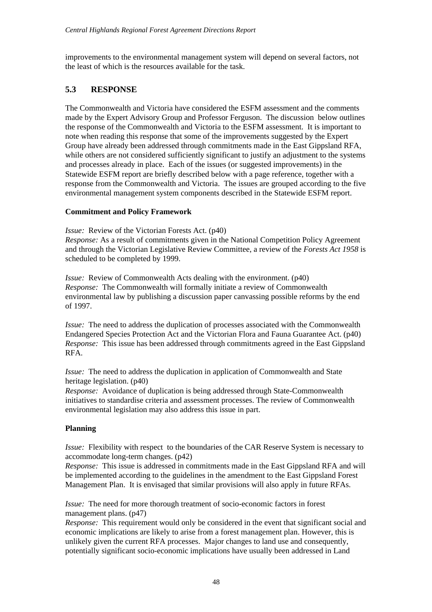improvements to the environmental management system will depend on several factors, not the least of which is the resources available for the task.

# **5.3 RESPONSE**

The Commonwealth and Victoria have considered the ESFM assessment and the comments made by the Expert Advisory Group and Professor Ferguson. The discussion below outlines the response of the Commonwealth and Victoria to the ESFM assessment. It is important to note when reading this response that some of the improvements suggested by the Expert Group have already been addressed through commitments made in the East Gippsland RFA, while others are not considered sufficiently significant to justify an adjustment to the systems and processes already in place. Each of the issues (or suggested improvements) in the Statewide ESFM report are briefly described below with a page reference, together with a response from the Commonwealth and Victoria. The issues are grouped according to the five environmental management system components described in the Statewide ESFM report.

### **Commitment and Policy Framework**

*Issue:* Review of the Victorian Forests Act. (p40) *Response:* As a result of commitments given in the National Competition Policy Agreement and through the Victorian Legislative Review Committee, a review of the *Forests Act 1958* is scheduled to be completed by 1999.

*Issue:* Review of Commonwealth Acts dealing with the environment. (p40) *Response:* The Commonwealth will formally initiate a review of Commonwealth environmental law by publishing a discussion paper canvassing possible reforms by the end of 1997.

*Issue:* The need to address the duplication of processes associated with the Commonwealth Endangered Species Protection Act and the Victorian Flora and Fauna Guarantee Act. (p40) *Response:* This issue has been addressed through commitments agreed in the East Gippsland RFA.

*Issue:* The need to address the duplication in application of Commonwealth and State heritage legislation. (p40)

*Response:* Avoidance of duplication is being addressed through State-Commonwealth initiatives to standardise criteria and assessment processes. The review of Commonwealth environmental legislation may also address this issue in part.

# **Planning**

*Issue:* Flexibility with respect to the boundaries of the CAR Reserve System is necessary to accommodate long-term changes. (p42)

*Response:* This issue is addressed in commitments made in the East Gippsland RFA and will be implemented according to the guidelines in the amendment to the East Gippsland Forest Management Plan. It is envisaged that similar provisions will also apply in future RFAs.

*Issue:* The need for more thorough treatment of socio-economic factors in forest management plans. (p47)

*Response:* This requirement would only be considered in the event that significant social and economic implications are likely to arise from a forest management plan. However, this is unlikely given the current RFA processes. Major changes to land use and consequently, potentially significant socio-economic implications have usually been addressed in Land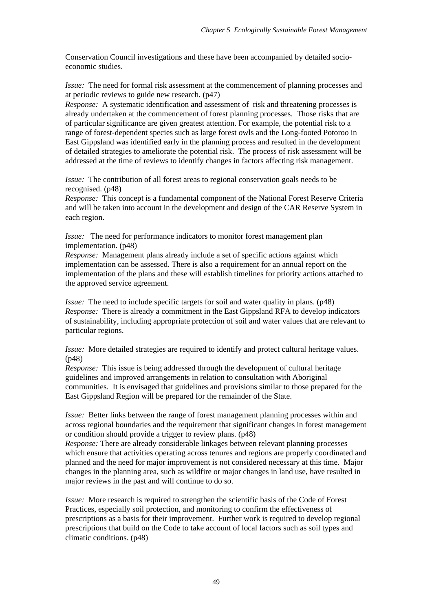Conservation Council investigations and these have been accompanied by detailed socioeconomic studies.

*Issue:* The need for formal risk assessment at the commencement of planning processes and at periodic reviews to guide new research. (p47)

*Response:* A systematic identification and assessment of risk and threatening processes is already undertaken at the commencement of forest planning processes. Those risks that are of particular significance are given greatest attention. For example, the potential risk to a range of forest-dependent species such as large forest owls and the Long-footed Potoroo in East Gippsland was identified early in the planning process and resulted in the development of detailed strategies to ameliorate the potential risk. The process of risk assessment will be addressed at the time of reviews to identify changes in factors affecting risk management.

*Issue:* The contribution of all forest areas to regional conservation goals needs to be recognised. (p48)

*Response:* This concept is a fundamental component of the National Forest Reserve Criteria and will be taken into account in the development and design of the CAR Reserve System in each region.

*Issue:* The need for performance indicators to monitor forest management plan implementation. (p48)

*Response:* Management plans already include a set of specific actions against which implementation can be assessed. There is also a requirement for an annual report on the implementation of the plans and these will establish timelines for priority actions attached to the approved service agreement.

*Issue:* The need to include specific targets for soil and water quality in plans. (p48) *Response:* There is already a commitment in the East Gippsland RFA to develop indicators of sustainability, including appropriate protection of soil and water values that are relevant to particular regions.

*Issue:* More detailed strategies are required to identify and protect cultural heritage values. (p48)

*Response:* This issue is being addressed through the development of cultural heritage guidelines and improved arrangements in relation to consultation with Aboriginal communities. It is envisaged that guidelines and provisions similar to those prepared for the East Gippsland Region will be prepared for the remainder of the State.

*Issue:* Better links between the range of forest management planning processes within and across regional boundaries and the requirement that significant changes in forest management or condition should provide a trigger to review plans. (p48)

*Response:* There are already considerable linkages between relevant planning processes which ensure that activities operating across tenures and regions are properly coordinated and planned and the need for major improvement is not considered necessary at this time. Major changes in the planning area, such as wildfire or major changes in land use, have resulted in major reviews in the past and will continue to do so.

*Issue:* More research is required to strengthen the scientific basis of the Code of Forest Practices, especially soil protection, and monitoring to confirm the effectiveness of prescriptions as a basis for their improvement. Further work is required to develop regional prescriptions that build on the Code to take account of local factors such as soil types and climatic conditions. (p48)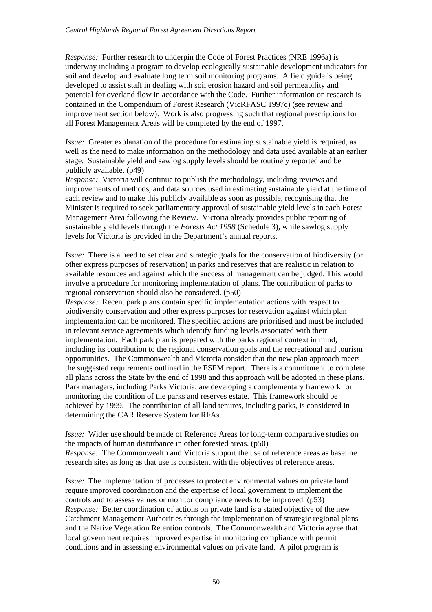*Response:* Further research to underpin the Code of Forest Practices (NRE 1996a) is underway including a program to develop ecologically sustainable development indicators for soil and develop and evaluate long term soil monitoring programs. A field guide is being developed to assist staff in dealing with soil erosion hazard and soil permeability and potential for overland flow in accordance with the Code. Further information on research is contained in the Compendium of Forest Research (VicRFASC 1997c) (see review and improvement section below). Work is also progressing such that regional prescriptions for all Forest Management Areas will be completed by the end of 1997.

*Issue:* Greater explanation of the procedure for estimating sustainable yield is required, as well as the need to make information on the methodology and data used available at an earlier stage. Sustainable yield and sawlog supply levels should be routinely reported and be publicly available. (p49)

*Response:* Victoria will continue to publish the methodology, including reviews and improvements of methods, and data sources used in estimating sustainable yield at the time of each review and to make this publicly available as soon as possible, recognising that the Minister is required to seek parliamentary approval of sustainable yield levels in each Forest Management Area following the Review. Victoria already provides public reporting of sustainable yield levels through the *Forests Act 1958* (Schedule 3), while sawlog supply levels for Victoria is provided in the Department's annual reports.

*Issue:* There is a need to set clear and strategic goals for the conservation of biodiversity (or other express purposes of reservation) in parks and reserves that are realistic in relation to available resources and against which the success of management can be judged. This would involve a procedure for monitoring implementation of plans. The contribution of parks to regional conservation should also be considered. (p50)

*Response:* Recent park plans contain specific implementation actions with respect to biodiversity conservation and other express purposes for reservation against which plan implementation can be monitored. The specified actions are prioritised and must be included in relevant service agreements which identify funding levels associated with their implementation. Each park plan is prepared with the parks regional context in mind, including its contribution to the regional conservation goals and the recreational and tourism opportunities. The Commonwealth and Victoria consider that the new plan approach meets the suggested requirements outlined in the ESFM report. There is a commitment to complete all plans across the State by the end of 1998 and this approach will be adopted in these plans. Park managers, including Parks Victoria, are developing a complementary framework for monitoring the condition of the parks and reserves estate. This framework should be achieved by 1999. The contribution of all land tenures, including parks, is considered in determining the CAR Reserve System for RFAs.

*Issue:* Wider use should be made of Reference Areas for long-term comparative studies on the impacts of human disturbance in other forested areas. (p50) *Response:* The Commonwealth and Victoria support the use of reference areas as baseline research sites as long as that use is consistent with the objectives of reference areas.

*Issue:* The implementation of processes to protect environmental values on private land require improved coordination and the expertise of local government to implement the controls and to assess values or monitor compliance needs to be improved. (p53) *Response:* Better coordination of actions on private land is a stated objective of the new Catchment Management Authorities through the implementation of strategic regional plans and the Native Vegetation Retention controls. The Commonwealth and Victoria agree that local government requires improved expertise in monitoring compliance with permit conditions and in assessing environmental values on private land. A pilot program is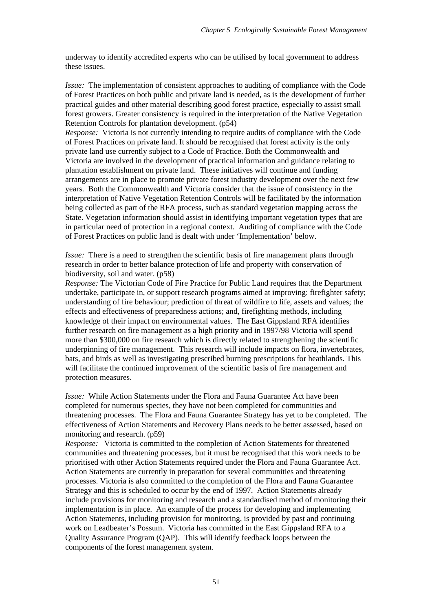underway to identify accredited experts who can be utilised by local government to address these issues.

*Issue:* The implementation of consistent approaches to auditing of compliance with the Code of Forest Practices on both public and private land is needed, as is the development of further practical guides and other material describing good forest practice, especially to assist small forest growers. Greater consistency is required in the interpretation of the Native Vegetation Retention Controls for plantation development. (p54)

*Response:* Victoria is not currently intending to require audits of compliance with the Code of Forest Practices on private land. It should be recognised that forest activity is the only private land use currently subject to a Code of Practice. Both the Commonwealth and Victoria are involved in the development of practical information and guidance relating to plantation establishment on private land. These initiatives will continue and funding arrangements are in place to promote private forest industry development over the next few years. Both the Commonwealth and Victoria consider that the issue of consistency in the interpretation of Native Vegetation Retention Controls will be facilitated by the information being collected as part of the RFA process, such as standard vegetation mapping across the State. Vegetation information should assist in identifying important vegetation types that are in particular need of protection in a regional context. Auditing of compliance with the Code of Forest Practices on public land is dealt with under 'Implementation' below.

*Issue:* There is a need to strengthen the scientific basis of fire management plans through research in order to better balance protection of life and property with conservation of biodiversity, soil and water. (p58)

*Response:* The Victorian Code of Fire Practice for Public Land requires that the Department undertake, participate in, or support research programs aimed at improving: firefighter safety; understanding of fire behaviour; prediction of threat of wildfire to life, assets and values; the effects and effectiveness of preparedness actions; and, firefighting methods, including knowledge of their impact on environmental values. The East Gippsland RFA identifies further research on fire management as a high priority and in 1997/98 Victoria will spend more than \$300,000 on fire research which is directly related to strengthening the scientific underpinning of fire management. This research will include impacts on flora, invertebrates, bats, and birds as well as investigating prescribed burning prescriptions for heathlands. This will facilitate the continued improvement of the scientific basis of fire management and protection measures.

*Issue:* While Action Statements under the Flora and Fauna Guarantee Act have been completed for numerous species, they have not been completed for communities and threatening processes. The Flora and Fauna Guarantee Strategy has yet to be completed. The effectiveness of Action Statements and Recovery Plans needs to be better assessed, based on monitoring and research. (p59)

*Response:* Victoria is committed to the completion of Action Statements for threatened communities and threatening processes, but it must be recognised that this work needs to be prioritised with other Action Statements required under the Flora and Fauna Guarantee Act. Action Statements are currently in preparation for several communities and threatening processes. Victoria is also committed to the completion of the Flora and Fauna Guarantee Strategy and this is scheduled to occur by the end of 1997. Action Statements already include provisions for monitoring and research and a standardised method of monitoring their implementation is in place. An example of the process for developing and implementing Action Statements, including provision for monitoring, is provided by past and continuing work on Leadbeater's Possum. Victoria has committed in the East Gippsland RFA to a Quality Assurance Program (QAP). This will identify feedback loops between the components of the forest management system.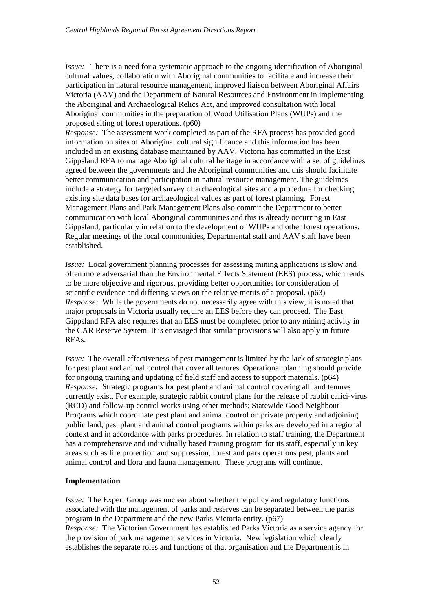*Issue:* There is a need for a systematic approach to the ongoing identification of Aboriginal cultural values, collaboration with Aboriginal communities to facilitate and increase their participation in natural resource management, improved liaison between Aboriginal Affairs Victoria (AAV) and the Department of Natural Resources and Environment in implementing the Aboriginal and Archaeological Relics Act, and improved consultation with local Aboriginal communities in the preparation of Wood Utilisation Plans (WUPs) and the proposed siting of forest operations. (p60)

*Response:* The assessment work completed as part of the RFA process has provided good information on sites of Aboriginal cultural significance and this information has been included in an existing database maintained by AAV. Victoria has committed in the East Gippsland RFA to manage Aboriginal cultural heritage in accordance with a set of guidelines agreed between the governments and the Aboriginal communities and this should facilitate better communication and participation in natural resource management. The guidelines include a strategy for targeted survey of archaeological sites and a procedure for checking existing site data bases for archaeological values as part of forest planning. Forest Management Plans and Park Management Plans also commit the Department to better communication with local Aboriginal communities and this is already occurring in East Gippsland, particularly in relation to the development of WUPs and other forest operations. Regular meetings of the local communities, Departmental staff and AAV staff have been established.

*Issue:* Local government planning processes for assessing mining applications is slow and often more adversarial than the Environmental Effects Statement (EES) process, which tends to be more objective and rigorous, providing better opportunities for consideration of scientific evidence and differing views on the relative merits of a proposal. (p63) *Response:* While the governments do not necessarily agree with this view, it is noted that major proposals in Victoria usually require an EES before they can proceed. The East Gippsland RFA also requires that an EES must be completed prior to any mining activity in the CAR Reserve System. It is envisaged that similar provisions will also apply in future RFAs.

*Issue:* The overall effectiveness of pest management is limited by the lack of strategic plans for pest plant and animal control that cover all tenures. Operational planning should provide for ongoing training and updating of field staff and access to support materials. (p64) *Response:* Strategic programs for pest plant and animal control covering all land tenures currently exist. For example, strategic rabbit control plans for the release of rabbit calici-virus (RCD) and follow-up control works using other methods; Statewide Good Neighbour Programs which coordinate pest plant and animal control on private property and adjoining public land; pest plant and animal control programs within parks are developed in a regional context and in accordance with parks procedures. In relation to staff training, the Department has a comprehensive and individually based training program for its staff, especially in key areas such as fire protection and suppression, forest and park operations pest, plants and animal control and flora and fauna management. These programs will continue.

### **Implementation**

*Issue:* The Expert Group was unclear about whether the policy and regulatory functions associated with the management of parks and reserves can be separated between the parks program in the Department and the new Parks Victoria entity. (p67) *Response:* The Victorian Government has established Parks Victoria as a service agency for the provision of park management services in Victoria. New legislation which clearly establishes the separate roles and functions of that organisation and the Department is in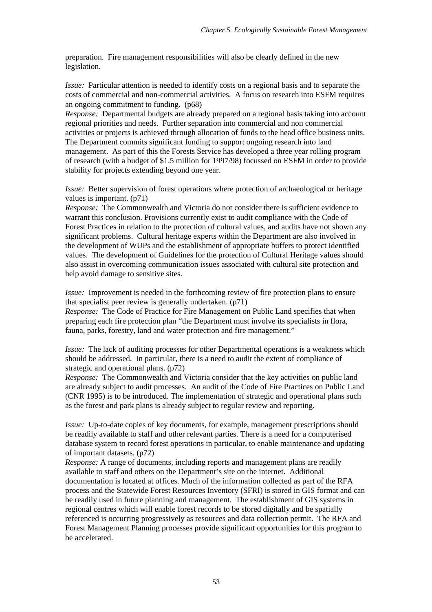preparation. Fire management responsibilities will also be clearly defined in the new legislation.

*Issue:* Particular attention is needed to identify costs on a regional basis and to separate the costs of commercial and non-commercial activities. A focus on research into ESFM requires an ongoing commitment to funding. (p68)

*Response:* Departmental budgets are already prepared on a regional basis taking into account regional priorities and needs. Further separation into commercial and non commercial activities or projects is achieved through allocation of funds to the head office business units. The Department commits significant funding to support ongoing research into land management. As part of this the Forests Service has developed a three year rolling program of research (with a budget of \$1.5 million for 1997/98) focussed on ESFM in order to provide stability for projects extending beyond one year.

*Issue:* Better supervision of forest operations where protection of archaeological or heritage values is important. (p71)

*Response:* The Commonwealth and Victoria do not consider there is sufficient evidence to warrant this conclusion. Provisions currently exist to audit compliance with the Code of Forest Practices in relation to the protection of cultural values, and audits have not shown any significant problems. Cultural heritage experts within the Department are also involved in the development of WUPs and the establishment of appropriate buffers to protect identified values. The development of Guidelines for the protection of Cultural Heritage values should also assist in overcoming communication issues associated with cultural site protection and help avoid damage to sensitive sites.

*Issue:* Improvement is needed in the forthcoming review of fire protection plans to ensure that specialist peer review is generally undertaken. (p71)

*Response:* The Code of Practice for Fire Management on Public Land specifies that when preparing each fire protection plan "the Department must involve its specialists in flora, fauna, parks, forestry, land and water protection and fire management."

*Issue:* The lack of auditing processes for other Departmental operations is a weakness which should be addressed. In particular, there is a need to audit the extent of compliance of strategic and operational plans. (p72)

*Response:* The Commonwealth and Victoria consider that the key activities on public land are already subject to audit processes. An audit of the Code of Fire Practices on Public Land (CNR 1995) is to be introduced. The implementation of strategic and operational plans such as the forest and park plans is already subject to regular review and reporting.

*Issue:* Up-to-date copies of key documents, for example, management prescriptions should be readily available to staff and other relevant parties. There is a need for a computerised database system to record forest operations in particular, to enable maintenance and updating of important datasets. (p72)

*Response:* A range of documents, including reports and management plans are readily available to staff and others on the Department's site on the internet. Additional documentation is located at offices. Much of the information collected as part of the RFA process and the Statewide Forest Resources Inventory (SFRI) is stored in GIS format and can be readily used in future planning and management. The establishment of GIS systems in regional centres which will enable forest records to be stored digitally and be spatially referenced is occurring progressively as resources and data collection permit. The RFA and Forest Management Planning processes provide significant opportunities for this program to be accelerated.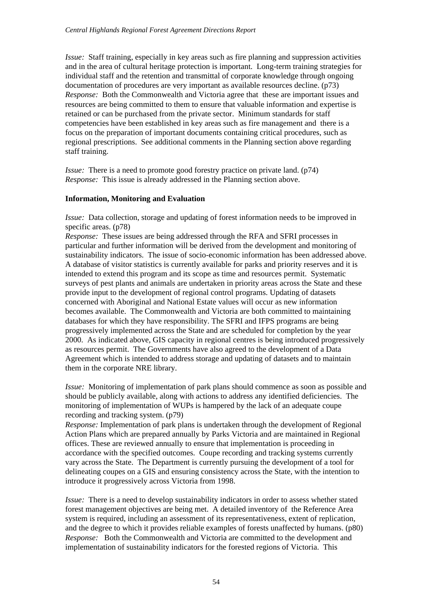*Issue:* Staff training, especially in key areas such as fire planning and suppression activities and in the area of cultural heritage protection is important. Long-term training strategies for individual staff and the retention and transmittal of corporate knowledge through ongoing documentation of procedures are very important as available resources decline. (p73) *Response:* Both the Commonwealth and Victoria agree that these are important issues and resources are being committed to them to ensure that valuable information and expertise is retained or can be purchased from the private sector. Minimum standards for staff competencies have been established in key areas such as fire management and there is a focus on the preparation of important documents containing critical procedures, such as regional prescriptions. See additional comments in the Planning section above regarding staff training.

*Issue:* There is a need to promote good forestry practice on private land. (p74) *Response:* This issue is already addressed in the Planning section above.

### **Information, Monitoring and Evaluation**

*Issue:* Data collection, storage and updating of forest information needs to be improved in specific areas. (p78)

*Response:* These issues are being addressed through the RFA and SFRI processes in particular and further information will be derived from the development and monitoring of sustainability indicators. The issue of socio-economic information has been addressed above. A database of visitor statistics is currently available for parks and priority reserves and it is intended to extend this program and its scope as time and resources permit.Systematic surveys of pest plants and animals are undertaken in priority areas across the State and these provide input to the development of regional control programs. Updating of datasets concerned with Aboriginal and National Estate values will occur as new information becomes available. The Commonwealth and Victoria are both committed to maintaining databases for which they have responsibility. The SFRI and IFPS programs are being progressively implemented across the State and are scheduled for completion by the year 2000. As indicated above, GIS capacity in regional centres is being introduced progressively as resources permit. The Governments have also agreed to the development of a Data Agreement which is intended to address storage and updating of datasets and to maintain them in the corporate NRE library.

*Issue:* Monitoring of implementation of park plans should commence as soon as possible and should be publicly available, along with actions to address any identified deficiencies. The monitoring of implementation of WUPs is hampered by the lack of an adequate coupe recording and tracking system. (p79)

*Response:* Implementation of park plans is undertaken through the development of Regional Action Plans which are prepared annually by Parks Victoria and are maintained in Regional offices. These are reviewed annually to ensure that implementation is proceeding in accordance with the specified outcomes. Coupe recording and tracking systems currently vary across the State. The Department is currently pursuing the development of a tool for delineating coupes on a GIS and ensuring consistency across the State, with the intention to introduce it progressively across Victoria from 1998.

*Issue:* There is a need to develop sustainability indicators in order to assess whether stated forest management objectives are being met. A detailed inventory of the Reference Area system is required, including an assessment of its representativeness, extent of replication, and the degree to which it provides reliable examples of forests unaffected by humans. (p80) *Response:* Both the Commonwealth and Victoria are committed to the development and implementation of sustainability indicators for the forested regions of Victoria. This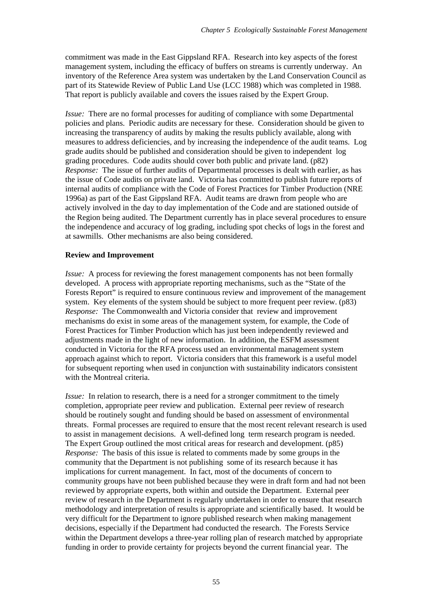commitment was made in the East Gippsland RFA. Research into key aspects of the forest management system, including the efficacy of buffers on streams is currently underway. An inventory of the Reference Area system was undertaken by the Land Conservation Council as part of its Statewide Review of Public Land Use (LCC 1988) which was completed in 1988. That report is publicly available and covers the issues raised by the Expert Group.

*Issue:* There are no formal processes for auditing of compliance with some Departmental policies and plans. Periodic audits are necessary for these. Consideration should be given to increasing the transparency of audits by making the results publicly available, along with measures to address deficiencies, and by increasing the independence of the audit teams. Log grade audits should be published and consideration should be given to independent log grading procedures. Code audits should cover both public and private land. (p82) *Response:* The issue of further audits of Departmental processes is dealt with earlier, as has the issue of Code audits on private land. Victoria has committed to publish future reports of internal audits of compliance with the Code of Forest Practices for Timber Production (NRE 1996a) as part of the East Gippsland RFA. Audit teams are drawn from people who are actively involved in the day to day implementation of the Code and are stationed outside of the Region being audited. The Department currently has in place several procedures to ensure the independence and accuracy of log grading, including spot checks of logs in the forest and at sawmills. Other mechanisms are also being considered.

### **Review and Improvement**

*Issue:* A process for reviewing the forest management components has not been formally developed. A process with appropriate reporting mechanisms, such as the "State of the Forests Report" is required to ensure continuous review and improvement of the management system. Key elements of the system should be subject to more frequent peer review. (p83) *Response:* The Commonwealth and Victoria consider that review and improvement mechanisms do exist in some areas of the management system, for example, the Code of Forest Practices for Timber Production which has just been independently reviewed and adjustments made in the light of new information. In addition, the ESFM assessment conducted in Victoria for the RFA process used an environmental management system approach against which to report. Victoria considers that this framework is a useful model for subsequent reporting when used in conjunction with sustainability indicators consistent with the Montreal criteria.

*Issue:* In relation to research, there is a need for a stronger commitment to the timely completion, appropriate peer review and publication. External peer review of research should be routinely sought and funding should be based on assessment of environmental threats. Formal processes are required to ensure that the most recent relevant research is used to assist in management decisions. A well-defined long term research program is needed. The Expert Group outlined the most critical areas for research and development. (p85) *Response:* The basis of this issue is related to comments made by some groups in the community that the Department is not publishing some of its research because it has implications for current management. In fact, most of the documents of concern to community groups have not been published because they were in draft form and had not been reviewed by appropriate experts, both within and outside the Department. External peer review of research in the Department is regularly undertaken in order to ensure that research methodology and interpretation of results is appropriate and scientifically based. It would be very difficult for the Department to ignore published research when making management decisions, especially if the Department had conducted the research. The Forests Service within the Department develops a three-year rolling plan of research matched by appropriate funding in order to provide certainty for projects beyond the current financial year. The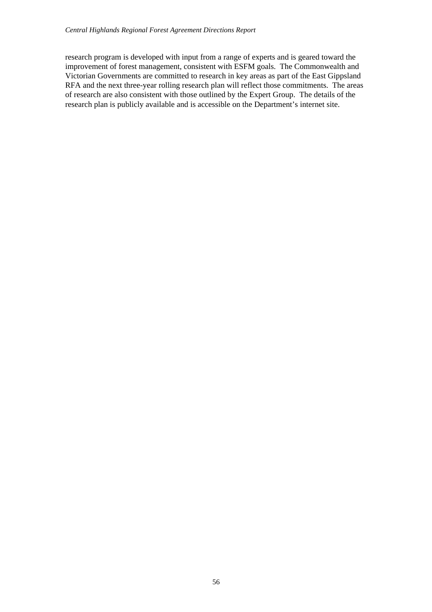research program is developed with input from a range of experts and is geared toward the improvement of forest management, consistent with ESFM goals. The Commonwealth and Victorian Governments are committed to research in key areas as part of the East Gippsland RFA and the next three-year rolling research plan will reflect those commitments. The areas of research are also consistent with those outlined by the Expert Group. The details of the research plan is publicly available and is accessible on the Department's internet site.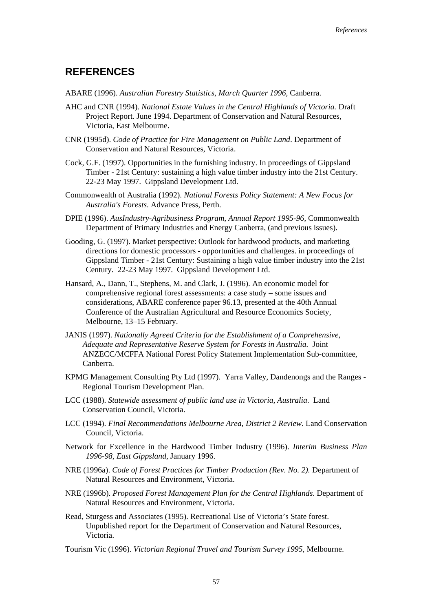# **REFERENCES**

ABARE (1996). *Australian Forestry Statistics, March Quarter 1996*, Canberra.

- AHC and CNR (1994). *National Estate Values in the Central Highlands of Victoria.* Draft Project Report*.* June 1994. Department of Conservation and Natural Resources, Victoria, East Melbourne.
- CNR (1995d). *Code of Practice for Fire Management on Public Land*. Department of Conservation and Natural Resources, Victoria.
- Cock, G.F. (1997). Opportunities in the furnishing industry. In proceedings of Gippsland Timber - 21st Century: sustaining a high value timber industry into the 21st Century. 22-23 May 1997. Gippsland Development Ltd.
- Commonwealth of Australia (1992). *National Forests Policy Statement: A New Focus for Australia's Forests*. Advance Press, Perth.
- DPIE (1996). *AusIndustry-Agribusiness Program*, *Annual Report 1995-96,* Commonwealth Department of Primary Industries and Energy Canberra, (and previous issues).
- Gooding, G. (1997). Market perspective: Outlook for hardwood products, and marketing directions for domestic processors - opportunities and challenges. in proceedings of Gippsland Timber - 21st Century: Sustaining a high value timber industry into the 21st Century. 22-23 May 1997. Gippsland Development Ltd.
- Hansard, A., Dann, T., Stephens, M. and Clark, J. (1996). An economic model for comprehensive regional forest assessments: a case study – some issues and considerations, ABARE conference paper 96.13, presented at the 40th Annual Conference of the Australian Agricultural and Resource Economics Society, Melbourne, 13–15 February.
- JANIS (1997). *Nationally Agreed Criteria for the Establishment of a Comprehensive, Adequate and Representative Reserve System for Forests in Australia.* Joint ANZECC/MCFFA National Forest Policy Statement Implementation Sub-committee, Canberra.
- KPMG Management Consulting Pty Ltd (1997). Yarra Valley, Dandenongs and the Ranges Regional Tourism Development Plan.
- LCC (1988). *Statewide assessment of public land use in Victoria, Australia*. Land Conservation Council, Victoria.
- LCC (1994). *Final Recommendations Melbourne Area, District 2 Review*. Land Conservation Council, Victoria.
- Network for Excellence in the Hardwood Timber Industry (1996). *Interim Business Plan 1996-98, East Gippsland*, January 1996.
- NRE (1996a). *Code of Forest Practices for Timber Production (Rev. No. 2).* Department of Natural Resources and Environment, Victoria.
- NRE (1996b). *Proposed Forest Management Plan for the Central Highlands*. Department of Natural Resources and Environment, Victoria.
- Read, Sturgess and Associates (1995). Recreational Use of Victoria's State forest. Unpublished report for the Department of Conservation and Natural Resources, Victoria.
- Tourism Vic (1996). *Victorian Regional Travel and Tourism Survey 1995*, Melbourne.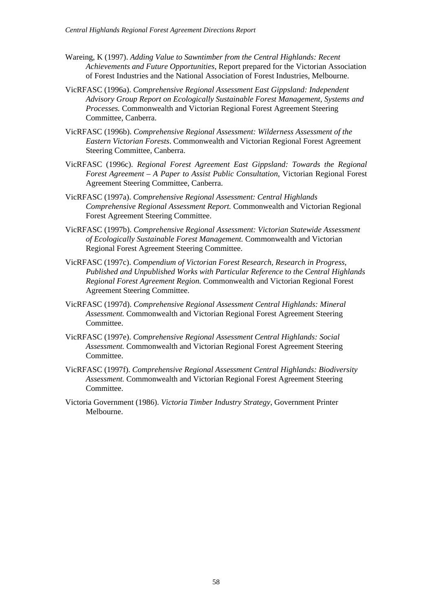- Wareing, K (1997). *Adding Value to Sawntimber from the Central Highlands: Recent Achievements and Future Opportunities*, Report prepared for the Victorian Association of Forest Industries and the National Association of Forest Industries, Melbourne.
- VicRFASC (1996a). *Comprehensive Regional Assessment East Gippsland: Independent Advisory Group Report on Ecologically Sustainable Forest Management, Systems and Processes.* Commonwealth and Victorian Regional Forest Agreement Steering Committee, Canberra.
- VicRFASC (1996b). *Comprehensive Regional Assessment: Wilderness Assessment of the Eastern Victorian Forests*. Commonwealth and Victorian Regional Forest Agreement Steering Committee, Canberra.
- VicRFASC (1996c). *Regional Forest Agreement East Gippsland: Towards the Regional Forest Agreement – A Paper to Assist Public Consultation*, Victorian Regional Forest Agreement Steering Committee, Canberra.
- VicRFASC (1997a). *Comprehensive Regional Assessment: Central Highlands Comprehensive Regional Assessment Report.* Commonwealth and Victorian Regional Forest Agreement Steering Committee.
- VicRFASC (1997b). *Comprehensive Regional Assessment: Victorian Statewide Assessment of Ecologically Sustainable Forest Management.* Commonwealth and Victorian Regional Forest Agreement Steering Committee.
- VicRFASC (1997c). *Compendium of Victorian Forest Research, Research in Progress, Published and Unpublished Works with Particular Reference to the Central Highlands Regional Forest Agreement Region.* Commonwealth and Victorian Regional Forest Agreement Steering Committee.
- VicRFASC (1997d). *Comprehensive Regional Assessment Central Highlands: Mineral Assessment.* Commonwealth and Victorian Regional Forest Agreement Steering Committee.
- VicRFASC (1997e). *Comprehensive Regional Assessment Central Highlands: Social Assessment.* Commonwealth and Victorian Regional Forest Agreement Steering Committee.
- VicRFASC (1997f). *Comprehensive Regional Assessment Central Highlands: Biodiversity Assessment.* Commonwealth and Victorian Regional Forest Agreement Steering Committee.
- Victoria Government (1986). *Victoria Timber Industry Strategy*, Government Printer Melbourne.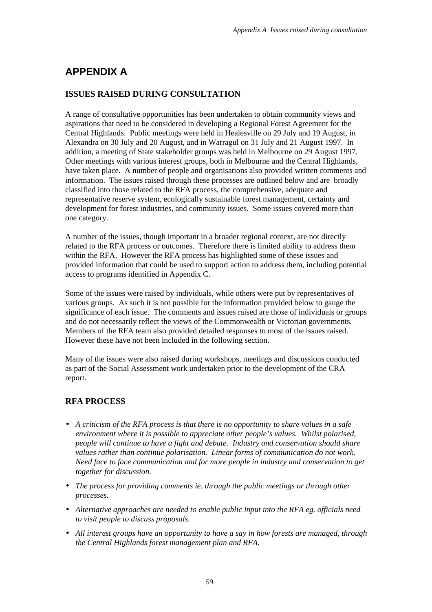# **APPENDIX A**

# **ISSUES RAISED DURING CONSULTATION**

A range of consultative opportunities has been undertaken to obtain community views and aspirations that need to be considered in developing a Regional Forest Agreement for the Central Highlands. Public meetings were held in Healesville on 29 July and 19 August, in Alexandra on 30 July and 20 August, and in Warragul on 31 July and 21 August 1997. In addition, a meeting of State stakeholder groups was held in Melbourne on 29 August 1997. Other meetings with various interest groups, both in Melbourne and the Central Highlands, have taken place. A number of people and organisations also provided written comments and information. The issues raised through these processes are outlined below and are broadly classified into those related to the RFA process, the comprehensive, adequate and representative reserve system, ecologically sustainable forest management, certainty and development for forest industries, and community issues. Some issues covered more than one category.

A number of the issues, though important in a broader regional context, are not directly related to the RFA process or outcomes. Therefore there is limited ability to address them within the RFA. However the RFA process has highlighted some of these issues and provided information that could be used to support action to address them, including potential access to programs identified in Appendix C.

Some of the issues were raised by individuals, while others were put by representatives of various groups. As such it is not possible for the information provided below to gauge the significance of each issue. The comments and issues raised are those of individuals or groups and do not necessarily reflect the views of the Commonwealth or Victorian governments. Members of the RFA team also provided detailed responses to most of the issues raised. However these have not been included in the following section.

Many of the issues were also raised during workshops, meetings and discussions conducted as part of the Social Assessment work undertaken prior to the development of the CRA report.

# **RFA PROCESS**

- *A criticism of the RFA process is that there is no opportunity to share values in a safe environment where it is possible to appreciate other people's values. Whilst polarised, people will continue to have a fight and debate. Industry and conservation should share values rather than continue polarisation. Linear forms of communication do not work. Need face to face communication and for more people in industry and conservation to get together for discussion.*
- *The process for providing comments ie. through the public meetings or through other processes.*
- *Alternative approaches are needed to enable public input into the RFA eg. officials need to visit people to discuss proposals.*
- *All interest groups have an opportunity to have a say in how forests are managed, through the Central Highlands forest management plan and RFA.*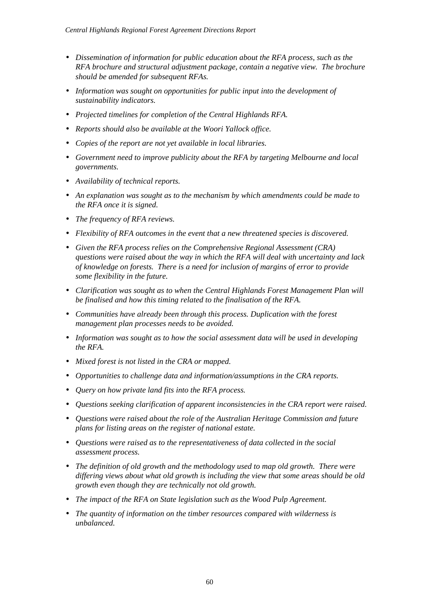- *Dissemination of information for public education about the RFA process, such as the RFA brochure and structural adjustment package, contain a negative view. The brochure should be amended for subsequent RFAs.*
- *Information was sought on opportunities for public input into the development of sustainability indicators.*
- *Projected timelines for completion of the Central Highlands RFA.*
- *Reports should also be available at the Woori Yallock office.*
- *Copies of the report are not yet available in local libraries.*
- *Government need to improve publicity about the RFA by targeting Melbourne and local governments.*
- *Availability of technical reports.*
- *An explanation was sought as to the mechanism by which amendments could be made to the RFA once it is signed.*
- *The frequency of RFA reviews.*
- *Flexibility of RFA outcomes in the event that a new threatened species is discovered.*
- *Given the RFA process relies on the Comprehensive Regional Assessment (CRA) questions were raised about the way in which the RFA will deal with uncertainty and lack of knowledge on forests. There is a need for inclusion of margins of error to provide some flexibility in the future.*
- *Clarification was sought as to when the Central Highlands Forest Management Plan will be finalised and how this timing related to the finalisation of the RFA.*
- *Communities have already been through this process. Duplication with the forest management plan processes needs to be avoided.*
- *Information was sought as to how the social assessment data will be used in developing the RFA.*
- *Mixed forest is not listed in the CRA or mapped.*
- *Opportunities to challenge data and information/assumptions in the CRA reports.*
- *Query on how private land fits into the RFA process.*
- *Questions seeking clarification of apparent inconsistencies in the CRA report were raised.*
- *Questions were raised about the role of the Australian Heritage Commission and future plans for listing areas on the register of national estate.*
- *Questions were raised as to the representativeness of data collected in the social assessment process.*
- *The definition of old growth and the methodology used to map old growth. There were differing views about what old growth is including the view that some areas should be old growth even though they are technically not old growth.*
- *The impact of the RFA on State legislation such as the Wood Pulp Agreement.*
- *The quantity of information on the timber resources compared with wilderness is unbalanced.*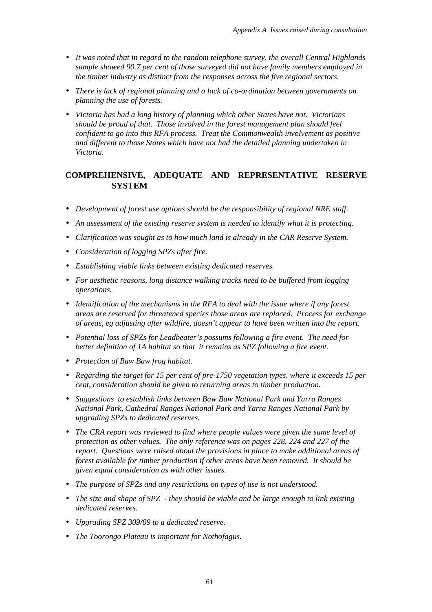- *It was noted that in regard to the random telephone survey, the overall Central Highlands sample showed 90.7 per cent of those surveyed did not have family members employed in the timber industry as distinct from the responses across the five regional sectors.*
- *There is lack of regional planning and a lack of co-ordination between governments on planning the use of forests.*
- *Victoria has had a long history of planning which other States have not. Victorians should be proud of that. Those involved in the forest management plan should feel confident to go into this RFA process. Treat the Commonwealth involvement as positive and different to those States which have not had the detailed planning undertaken in Victoria.*

# **COMPREHENSIVE, ADEQUATE AND REPRESENTATIVE RESERVE SYSTEM**

- *Development of forest use options should be the responsibility of regional NRE staff.*
- *An assessment of the existing reserve system is needed to identify what it is protecting.*
- *Clarification was sought as to how much land is already in the CAR Reserve System.*
- *Consideration of logging SPZs after fire.*
- *Establishing viable links between existing dedicated reserves.*
- *For aesthetic reasons, long distance walking tracks need to be buffered from logging operations.*
- *Identification of the mechanisms in the RFA to deal with the issue where if any forest areas are reserved for threatened species those areas are replaced. Process for exchange of areas, eg adjusting after wildfire, doesn't appear to have been written into the report.*
- *Potential loss of SPZs for Leadbeater's possums following a fire event. The need for better definition of 1A habitat so that it remains as SPZ following a fire event.*
- *Protection of Baw Baw frog habitat.*
- *Regarding the target for 15 per cent of pre-1750 vegetation types, where it exceeds 15 per cent, consideration should be given to returning areas to timber production.*
- *Suggestions to establish links between Baw Baw National Park and Yarra Ranges National Park, Cathedral Ranges National Park and Yarra Ranges National Park by upgrading SPZs to dedicated reserves.*
- *The CRA report was reviewed to find where people values were given the same level of protection as other values. The only reference was on pages 228, 224 and 227 of the report. Questions were raised about the provisions in place to make additional areas of forest available for timber production if other areas have been removed. It should be given equal consideration as with other issues.*
- *The purpose of SPZs and any restrictions on types of use is not understood.*
- *The size and shape of SPZ they should be viable and be large enough to link existing dedicated reserves.*
- *Upgrading SPZ 309/09 to a dedicated reserve.*
- *The Toorongo Plateau is important for Nothofagus.*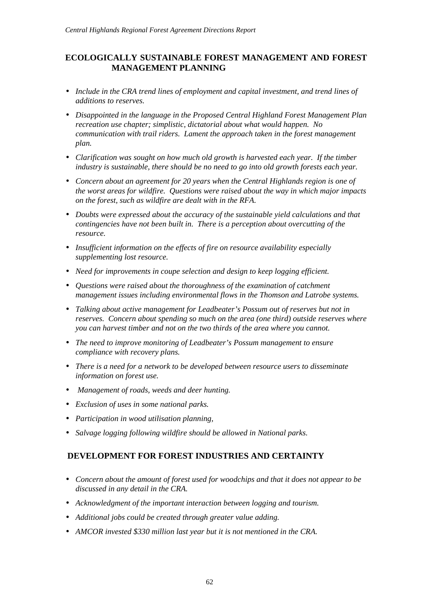# **ECOLOGICALLY SUSTAINABLE FOREST MANAGEMENT AND FOREST MANAGEMENT PLANNING**

- *Include in the CRA trend lines of employment and capital investment, and trend lines of additions to reserves.*
- *Disappointed in the language in the Proposed Central Highland Forest Management Plan recreation use chapter; simplistic, dictatorial about what would happen. No communication with trail riders. Lament the approach taken in the forest management plan.*
- *Clarification was sought on how much old growth is harvested each year. If the timber industry is sustainable, there should be no need to go into old growth forests each year.*
- *Concern about an agreement for 20 years when the Central Highlands region is one of the worst areas for wildfire. Questions were raised about the way in which major impacts on the forest, such as wildfire are dealt with in the RFA.*
- *Doubts were expressed about the accuracy of the sustainable yield calculations and that contingencies have not been built in. There is a perception about overcutting of the resource.*
- *Insufficient information on the effects of fire on resource availability especially supplementing lost resource.*
- *Need for improvements in coupe selection and design to keep logging efficient.*
- *Questions were raised about the thoroughness of the examination of catchment management issues including environmental flows in the Thomson and Latrobe systems.*
- *Talking about active management for Leadbeater's Possum out of reserves but not in reserves. Concern about spending so much on the area (one third) outside reserves where you can harvest timber and not on the two thirds of the area where you cannot.*
- *The need to improve monitoring of Leadbeater's Possum management to ensure compliance with recovery plans.*
- *There is a need for a network to be developed between resource users to disseminate information on forest use.*
- • *Management of roads, weeds and deer hunting.*
- *Exclusion of uses in some national parks.*
- *Participation in wood utilisation planning,*
- *Salvage logging following wildfire should be allowed in National parks.*

# **DEVELOPMENT FOR FOREST INDUSTRIES AND CERTAINTY**

- *Concern about the amount of forest used for woodchips and that it does not appear to be discussed in any detail in the CRA.*
- *Acknowledgment of the important interaction between logging and tourism.*
- *Additional jobs could be created through greater value adding.*
- *AMCOR invested \$330 million last year but it is not mentioned in the CRA.*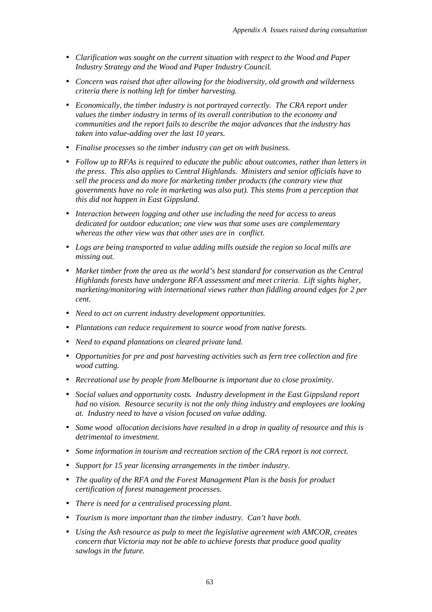- *Clarification was sought on the current situation with respect to the Wood and Paper Industry Strategy and the Wood and Paper Industry Council.*
- *Concern was raised that after allowing for the biodiversity, old growth and wilderness criteria there is nothing left for timber harvesting.*
- *Economically, the timber industry is not portrayed correctly. The CRA report under values the timber industry in terms of its overall contribution to the economy and communities and the report fails to describe the major advances that the industry has taken into value-adding over the last 10 years.*
- *Finalise processes so the timber industry can get on with business.*
- *Follow up to RFAs is required to educate the public about outcomes, rather than letters in the press. This also applies to Central Highlands. Ministers and senior officials have to sell the process and do more for marketing timber products (the contrary view that governments have no role in marketing was also put). This stems from a perception that this did not happen in East Gippsland.*
- *Interaction between logging and other use including the need for access to areas dedicated for outdoor education; one view was that some uses are complementary whereas the other view was that other uses are in conflict.*
- *Logs are being transported to value adding mills outside the region so local mills are missing out.*
- *Market timber from the area as the world's best standard for conservation as the Central Highlands forests have undergone RFA assessment and meet criteria. Lift sights higher, marketing/monitoring with international views rather than fiddling around edges for 2 per cent.*
- *Need to act on current industry development opportunities.*
- *Plantations can reduce requirement to source wood from native forests.*
- *Need to expand plantations on cleared private land.*
- *Opportunities for pre and post harvesting activities such as fern tree collection and fire wood cutting.*
- *Recreational use by people from Melbourne is important due to close proximity.*
- *Social values and opportunity costs. Industry development in the East Gippsland report had no vision. Resource security is not the only thing industry and employees are looking at. Industry need to have a vision focused on value adding.*
- *Some wood allocation decisions have resulted in a drop in quality of resource and this is detrimental to investment.*
- *Some information in tourism and recreation section of the CRA report is not correct.*
- *Support for 15 year licensing arrangements in the timber industry.*
- *The quality of the RFA and the Forest Management Plan is the basis for product certification of forest management processes.*
- *There is need for a centralised processing plant.*
- *Tourism is more important than the timber industry. Can't have both.*
- *Using the Ash resource as pulp to meet the legislative agreement with AMCOR, creates concern that Victoria may not be able to achieve forests that produce good quality sawlogs in the future.*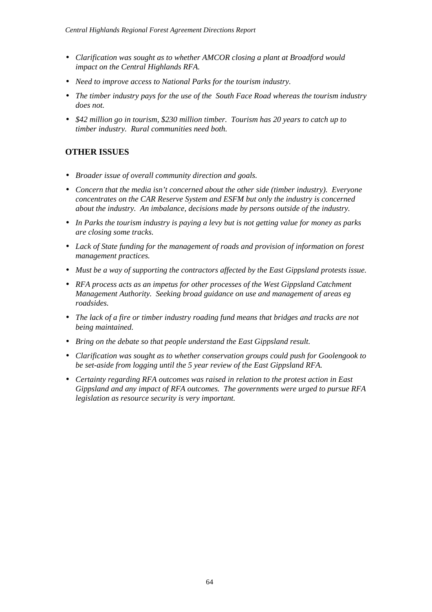- *Clarification was sought as to whether AMCOR closing a plant at Broadford would impact on the Central Highlands RFA.*
- *Need to improve access to National Parks for the tourism industry.*
- *The timber industry pays for the use of the South Face Road whereas the tourism industry does not.*
- *\$42 million go in tourism, \$230 million timber. Tourism has 20 years to catch up to timber industry. Rural communities need both.*

# **OTHER ISSUES**

- *Broader issue of overall community direction and goals.*
- *Concern that the media isn't concerned about the other side (timber industry). Everyone concentrates on the CAR Reserve System and ESFM but only the industry is concerned about the industry. An imbalance, decisions made by persons outside of the industry.*
- *In Parks the tourism industry is paying a levy but is not getting value for money as parks are closing some tracks.*
- *Lack of State funding for the management of roads and provision of information on forest management practices.*
- *Must be a way of supporting the contractors affected by the East Gippsland protests issue.*
- *RFA process acts as an impetus for other processes of the West Gippsland Catchment Management Authority. Seeking broad guidance on use and management of areas eg roadsides.*
- *The lack of a fire or timber industry roading fund means that bridges and tracks are not being maintained.*
- *Bring on the debate so that people understand the East Gippsland result.*
- *Clarification was sought as to whether conservation groups could push for Goolengook to be set-aside from logging until the 5 year review of the East Gippsland RFA.*
- *Certainty regarding RFA outcomes was raised in relation to the protest action in East Gippsland and any impact of RFA outcomes. The governments were urged to pursue RFA legislation as resource security is very important.*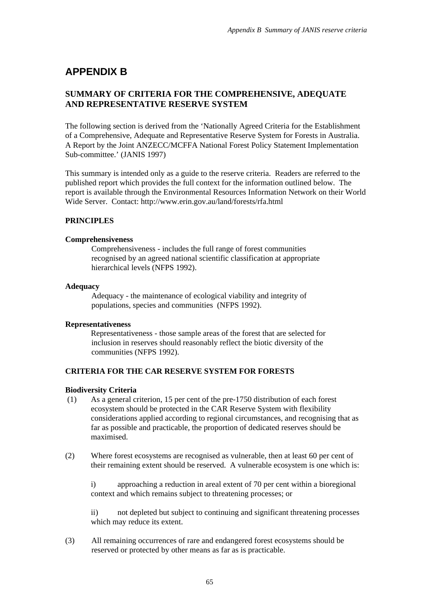# **APPENDIX B**

### **SUMMARY OF CRITERIA FOR THE COMPREHENSIVE, ADEQUATE AND REPRESENTATIVE RESERVE SYSTEM**

The following section is derived from the 'Nationally Agreed Criteria for the Establishment of a Comprehensive, Adequate and Representative Reserve System for Forests in Australia. A Report by the Joint ANZECC/MCFFA National Forest Policy Statement Implementation Sub-committee.' (JANIS 1997)

This summary is intended only as a guide to the reserve criteria. Readers are referred to the published report which provides the full context for the information outlined below. The report is available through the Environmental Resources Information Network on their World Wide Server. Contact: http://www.erin.gov.au/land/forests/rfa.html

#### **PRINCIPLES**

#### **Comprehensiveness**

Comprehensiveness - includes the full range of forest communities recognised by an agreed national scientific classification at appropriate hierarchical levels (NFPS 1992).

#### **Adequacy**

Adequacy - the maintenance of ecological viability and integrity of populations, species and communities (NFPS 1992).

#### **Representativeness**

Representativeness - those sample areas of the forest that are selected for inclusion in reserves should reasonably reflect the biotic diversity of the communities (NFPS 1992).

#### **CRITERIA FOR THE CAR RESERVE SYSTEM FOR FORESTS**

#### **Biodiversity Criteria**

- (1) As a general criterion, 15 per cent of the pre-1750 distribution of each forest ecosystem should be protected in the CAR Reserve System with flexibility considerations applied according to regional circumstances, and recognising that as far as possible and practicable, the proportion of dedicated reserves should be maximised.
- (2) Where forest ecosystems are recognised as vulnerable, then at least 60 per cent of their remaining extent should be reserved. A vulnerable ecosystem is one which is:

i) approaching a reduction in areal extent of 70 per cent within a bioregional context and which remains subject to threatening processes; or

ii) not depleted but subject to continuing and significant threatening processes which may reduce its extent.

(3) All remaining occurrences of rare and endangered forest ecosystems should be reserved or protected by other means as far as is practicable.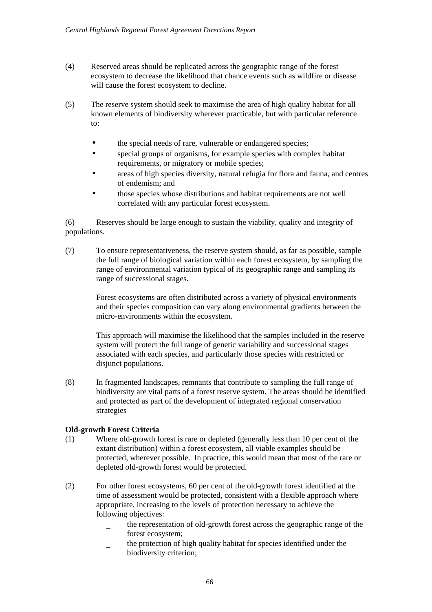- (4) Reserved areas should be replicated across the geographic range of the forest ecosystem to decrease the likelihood that chance events such as wildfire or disease will cause the forest ecosystem to decline.
- (5) The reserve system should seek to maximise the area of high quality habitat for all known elements of biodiversity wherever practicable, but with particular reference to:
	- the special needs of rare, vulnerable or endangered species;
	- special groups of organisms, for example species with complex habitat requirements, or migratory or mobile species;
	- areas of high species diversity, natural refugia for flora and fauna, and centres of endemism; and
	- those species whose distributions and habitat requirements are not well correlated with any particular forest ecosystem.

(6) Reserves should be large enough to sustain the viability, quality and integrity of populations.

(7) To ensure representativeness, the reserve system should, as far as possible, sample the full range of biological variation within each forest ecosystem, by sampling the range of environmental variation typical of its geographic range and sampling its range of successional stages.

> Forest ecosystems are often distributed across a variety of physical environments and their species composition can vary along environmental gradients between the micro-environments within the ecosystem.

This approach will maximise the likelihood that the samples included in the reserve system will protect the full range of genetic variability and successional stages associated with each species, and particularly those species with restricted or disjunct populations.

(8) In fragmented landscapes, remnants that contribute to sampling the full range of biodiversity are vital parts of a forest reserve system. The areas should be identified and protected as part of the development of integrated regional conservation strategies

#### **Old-growth Forest Criteria**

- (1) Where old-growth forest is rare or depleted (generally less than 10 per cent of the extant distribution) within a forest ecosystem, all viable examples should be protected, wherever possible. In practice, this would mean that most of the rare or depleted old-growth forest would be protected.
- (2) For other forest ecosystems, 60 per cent of the old-growth forest identified at the time of assessment would be protected, consistent with a flexible approach where appropriate, increasing to the levels of protection necessary to achieve the following objectives:
	- \_ the representation of old-growth forest across the geographic range of the forest ecosystem;
	- \_ the protection of high quality habitat for species identified under the biodiversity criterion;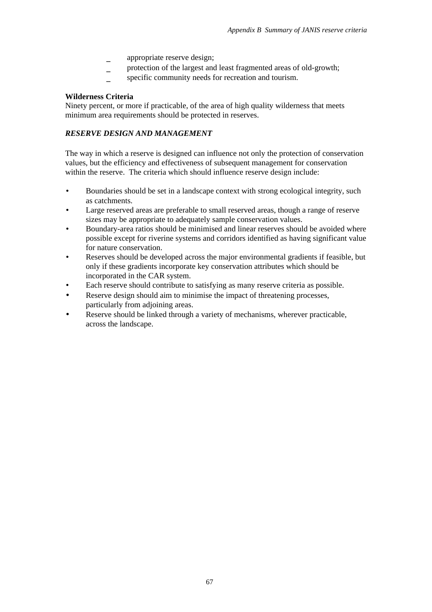- appropriate reserve design;
- protection of the largest and least fragmented areas of old-growth;
- specific community needs for recreation and tourism.

#### **Wilderness Criteria**

Ninety percent, or more if practicable, of the area of high quality wilderness that meets minimum area requirements should be protected in reserves.

### *RESERVE DESIGN AND MANAGEMENT*

The way in which a reserve is designed can influence not only the protection of conservation values, but the efficiency and effectiveness of subsequent management for conservation within the reserve. The criteria which should influence reserve design include:

- Boundaries should be set in a landscape context with strong ecological integrity, such as catchments.
- Large reserved areas are preferable to small reserved areas, though a range of reserve sizes may be appropriate to adequately sample conservation values.
- Boundary-area ratios should be minimised and linear reserves should be avoided where possible except for riverine systems and corridors identified as having significant value for nature conservation.
- Reserves should be developed across the major environmental gradients if feasible, but only if these gradients incorporate key conservation attributes which should be incorporated in the CAR system.
- Each reserve should contribute to satisfying as many reserve criteria as possible.
- Reserve design should aim to minimise the impact of threatening processes, particularly from adjoining areas.
- Reserve should be linked through a variety of mechanisms, wherever practicable, across the landscape.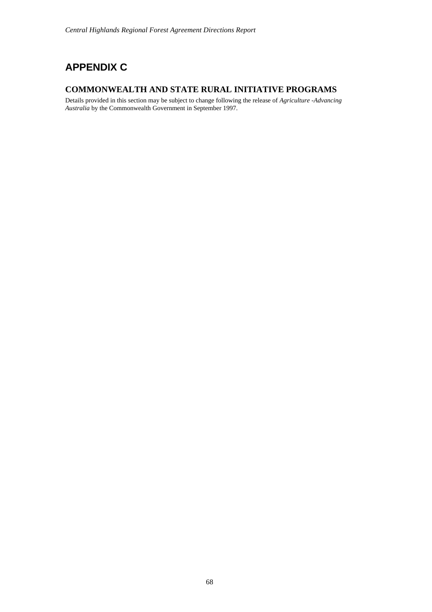# **APPENDIX C**

# **COMMONWEALTH AND STATE RURAL INITIATIVE PROGRAMS**

Details provided in this section may be subject to change following the release of *Agriculture -Advancing Australia* by the Commonwealth Government in September 1997.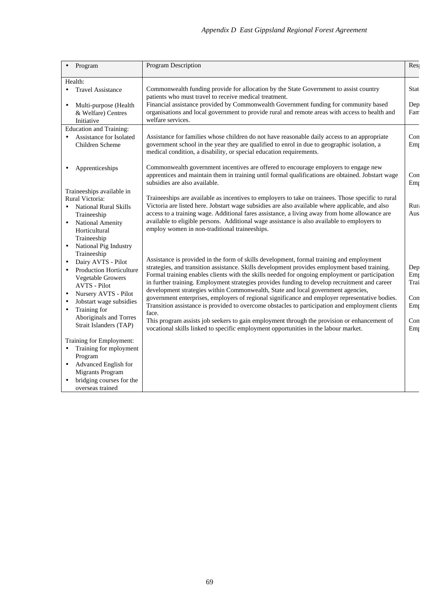| $\bullet$ Program                                    | Program Description                                                                                                                                                                                                                                                | Res                    |
|------------------------------------------------------|--------------------------------------------------------------------------------------------------------------------------------------------------------------------------------------------------------------------------------------------------------------------|------------------------|
| Health:                                              |                                                                                                                                                                                                                                                                    |                        |
| <b>Travel Assistance</b>                             | Commonwealth funding provide for allocation by the State Government to assist country<br>patients who must travel to receive medical treatment.                                                                                                                    | Stat                   |
| Multi-purpose (Health<br>$\bullet$                   | Financial assistance provided by Commonwealth Government funding for community based                                                                                                                                                                               | Dep                    |
| & Welfare) Centres                                   | organisations and local government to provide rural and remote areas with access to health and                                                                                                                                                                     | Fam                    |
| Initiative                                           | welfare services.                                                                                                                                                                                                                                                  |                        |
| <b>Education and Training:</b>                       |                                                                                                                                                                                                                                                                    |                        |
| Assistance for Isolated<br>Children Scheme           | Assistance for families whose children do not have reasonable daily access to an appropriate<br>government school in the year they are qualified to enrol in due to geographic isolation, a<br>medical condition, a disability, or special education requirements. | Con<br>Emp             |
| Apprenticeships                                      | Commonwealth government incentives are offered to encourage employers to engage new<br>apprentices and maintain them in training until formal qualifications are obtained. Jobstart wage<br>subsidies are also available.                                          | Con<br>Em <sub>l</sub> |
| Traineeships available in                            |                                                                                                                                                                                                                                                                    |                        |
| Rural Victoria:                                      | Traineeships are available as incentives to employers to take on trainees. Those specific to rural                                                                                                                                                                 |                        |
| <b>National Rural Skills</b>                         | Victoria are listed here. Jobstart wage subsidies are also available where applicable, and also<br>access to a training wage. Additional fares assistance, a living away from home allowance are                                                                   | Rur.<br>Aus            |
| Traineeship<br>National Amenity<br>$\bullet$         | available to eligible persons. Additional wage assistance is also available to employers to                                                                                                                                                                        |                        |
| Horticultural                                        | employ women in non-traditional traineeships.                                                                                                                                                                                                                      |                        |
| Traineeship                                          |                                                                                                                                                                                                                                                                    |                        |
| National Pig Industry<br>$\bullet$                   |                                                                                                                                                                                                                                                                    |                        |
| Traineeship                                          | Assistance is provided in the form of skills development, formal training and employment                                                                                                                                                                           |                        |
| Dairy AVTS - Pilot<br><b>Production Horticulture</b> | strategies, and transition assistance. Skills development provides employment based training.                                                                                                                                                                      | Dep                    |
| $\bullet$<br><b>Vegetable Growers</b>                | Formal training enables clients with the skills needed for ongoing employment or participation                                                                                                                                                                     | Emp                    |
| <b>AVTS - Pilot</b>                                  | in further training. Employment strategies provides funding to develop recruitment and career                                                                                                                                                                      | Trai                   |
| Nursery AVTS - Pilot<br>$\bullet$                    | development strategies within Commonwealth, State and local government agencies,                                                                                                                                                                                   | Con                    |
| Jobstart wage subsidies<br>$\bullet$                 | government enterprises, employers of regional significance and employer representative bodies.<br>Transition assistance is provided to overcome obstacles to participation and employment clients                                                                  | Emr                    |
| Training for<br>$\bullet$                            | face.                                                                                                                                                                                                                                                              |                        |
| Aboriginals and Torres                               | This program assists job seekers to gain employment through the provision or enhancement of                                                                                                                                                                        | Con                    |
| Strait Islanders (TAP)                               | vocational skills linked to specific employment opportunities in the labour market.                                                                                                                                                                                | Emp                    |
| Training for Employment:                             |                                                                                                                                                                                                                                                                    |                        |
| Training for mployment<br>$\bullet$                  |                                                                                                                                                                                                                                                                    |                        |
| Program                                              |                                                                                                                                                                                                                                                                    |                        |
| Advanced English for<br>$\bullet$                    |                                                                                                                                                                                                                                                                    |                        |
| <b>Migrants Program</b>                              |                                                                                                                                                                                                                                                                    |                        |
| bridging courses for the<br>overseas trained         |                                                                                                                                                                                                                                                                    |                        |
|                                                      |                                                                                                                                                                                                                                                                    |                        |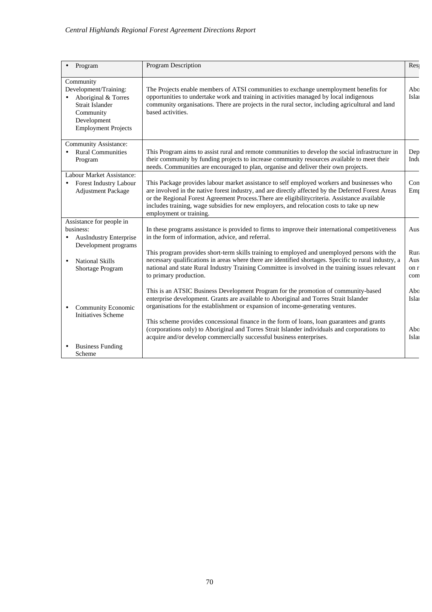|           | Program                                                                                                                                | Program Description                                                                                                                                                                                                                                                                                                                                                                                                      | Res                |
|-----------|----------------------------------------------------------------------------------------------------------------------------------------|--------------------------------------------------------------------------------------------------------------------------------------------------------------------------------------------------------------------------------------------------------------------------------------------------------------------------------------------------------------------------------------------------------------------------|--------------------|
|           | Community<br>Development/Training:<br>Aboriginal & Torres<br>Strait Islander<br>Community<br>Development<br><b>Employment Projects</b> | The Projects enable members of ATSI communities to exchange unemployment benefits for<br>opportunities to undertake work and training in activities managed by local indigenous<br>community organisations. There are projects in the rural sector, including agricultural and land<br>based activities.                                                                                                                 | Abc<br>Isla        |
|           | <b>Community Assistance:</b><br><b>Rural Communities</b><br>Program                                                                    | This Program aims to assist rural and remote communities to develop the social infrastructure in<br>their community by funding projects to increase community resources available to meet their<br>needs. Communities are encouraged to plan, organise and deliver their own projects.                                                                                                                                   | Dep<br>Indu        |
|           | Labour Market Assistance:<br><b>Forest Industry Labour</b><br><b>Adjustment Package</b>                                                | This Package provides labour market assistance to self employed workers and businesses who<br>are involved in the native forest industry, and are directly affected by the Deferred Forest Areas<br>or the Regional Forest Agreement Process. There are eligibilitycriteria. Assistance available<br>includes training, wage subsidies for new employers, and relocation costs to take up new<br>employment or training. | Con<br>Emp         |
|           | Assistance for people in<br>business:<br><b>AusIndustry Enterprise</b><br>Development programs                                         | In these programs assistance is provided to firms to improve their international competitiveness<br>in the form of information, advice, and referral.<br>This program provides short-term skills training to employed and unemployed persons with the                                                                                                                                                                    | Aus<br>Rur.        |
| $\bullet$ | <b>National Skills</b><br>Shortage Program                                                                                             | necessary qualifications in areas where there are identified shortages. Specific to rural industry, a<br>national and state Rural Industry Training Committee is involved in the training issues relevant<br>to primary production.                                                                                                                                                                                      | Aus<br>on r<br>com |
|           | Community Economic<br><b>Initiatives Scheme</b>                                                                                        | This is an ATSIC Business Development Program for the promotion of community-based<br>enterprise development. Grants are available to Aboriginal and Torres Strait Islander<br>organisations for the establishment or expansion of income-generating ventures.                                                                                                                                                           | Abc<br>Islai       |
|           | <b>Business Funding</b>                                                                                                                | This scheme provides concessional finance in the form of loans, loan guarantees and grants<br>(corporations only) to Aboriginal and Torres Strait Islander individuals and corporations to<br>acquire and/or develop commercially successful business enterprises.                                                                                                                                                       | Abc<br>Islai       |
|           | Scheme                                                                                                                                 |                                                                                                                                                                                                                                                                                                                                                                                                                          |                    |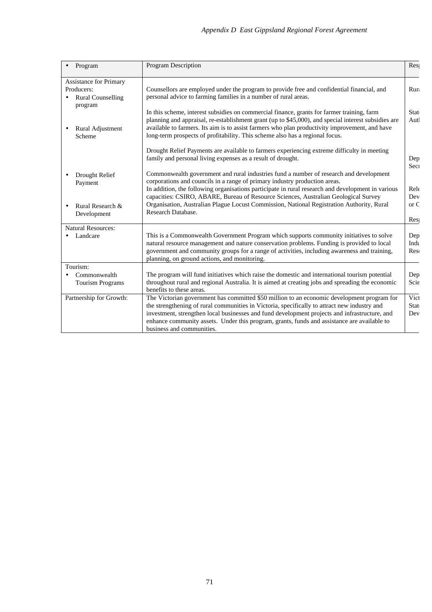| $\bullet$ Program                                                                  | Program Description                                                                                                                                                                                                                                                                                                                                                                 | Res                       |
|------------------------------------------------------------------------------------|-------------------------------------------------------------------------------------------------------------------------------------------------------------------------------------------------------------------------------------------------------------------------------------------------------------------------------------------------------------------------------------|---------------------------|
| <b>Assistance for Primary</b><br>Producers:<br><b>Rural Counselling</b><br>program | Counsellors are employed under the program to provide free and confidential financial, and<br>personal advice to farming families in a number of rural areas.                                                                                                                                                                                                                       | <b>Rur</b>                |
| Rural Adjustment<br>Scheme                                                         | In this scheme, interest subsidies on commercial finance, grants for farmer training, farm<br>planning and appraisal, re-establishment grant (up to \$45,000), and special interest subsidies are<br>available to farmers. Its aim is to assist farmers who plan productivity improvement, and have<br>long-term prospects of profitability. This scheme also has a regional focus. | Stat<br>Autl              |
|                                                                                    | Drought Relief Payments are available to farmers experiencing extreme difficulty in meeting<br>family and personal living expenses as a result of drought.                                                                                                                                                                                                                          | Dep<br>Secı               |
| Drought Relief<br>Payment                                                          | Commonwealth government and rural industries fund a number of research and development<br>corporations and councils in a range of primary industry production areas.<br>In addition, the following organisations participate in rural research and development in various<br>capacities: CSIRO, ABARE, Bureau of Resource Sciences, Australian Geological Survey                    | Rele<br>Dev               |
| Rural Research &<br>Development                                                    | Organisation, Australian Plague Locust Commission, National Registration Authority, Rural<br>Research Database.                                                                                                                                                                                                                                                                     | or C<br>Res               |
| <b>Natural Resources:</b>                                                          |                                                                                                                                                                                                                                                                                                                                                                                     |                           |
| Landcare                                                                           | This is a Commonwealth Government Program which supports community initiatives to solve<br>natural resource management and nature conservation problems. Funding is provided to local<br>government and community groups for a range of activities, including awareness and training,<br>planning, on ground actions, and monitoring.                                               | Dep<br>Indu<br><b>Res</b> |
| Tourism:                                                                           |                                                                                                                                                                                                                                                                                                                                                                                     |                           |
| Commonwealth<br><b>Tourism Programs</b>                                            | The program will fund initiatives which raise the domestic and international tourism potential<br>throughout rural and regional Australia. It is aimed at creating jobs and spreading the economic<br>benefits to these areas.                                                                                                                                                      | Dep<br>Scie               |
| Partnership for Growth:                                                            | The Victorian government has committed \$50 million to an economic development program for                                                                                                                                                                                                                                                                                          | Vict                      |
|                                                                                    | the strengthening of rural communities in Victoria, specifically to attract new industry and<br>investment, strengthen local businesses and fund development projects and infrastructure, and<br>enhance community assets. Under this program, grants, funds and assistance are available to<br>business and communities.                                                           | Stat<br>Dev               |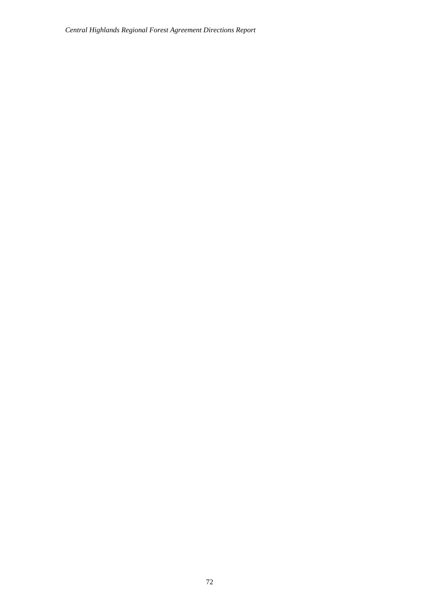*Central Highlands Regional Forest Agreement Directions Report*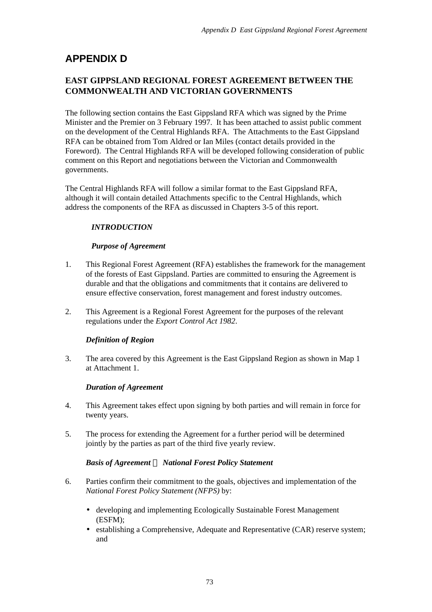# **APPENDIX D**

## **EAST GIPPSLAND REGIONAL FOREST AGREEMENT BETWEEN THE COMMONWEALTH AND VICTORIAN GOVERNMENTS**

The following section contains the East Gippsland RFA which was signed by the Prime Minister and the Premier on 3 February 1997. It has been attached to assist public comment on the development of the Central Highlands RFA. The Attachments to the East Gippsland RFA can be obtained from Tom Aldred or Ian Miles (contact details provided in the Foreword). The Central Highlands RFA will be developed following consideration of public comment on this Report and negotiations between the Victorian and Commonwealth governments.

The Central Highlands RFA will follow a similar format to the East Gippsland RFA, although it will contain detailed Attachments specific to the Central Highlands, which address the components of the RFA as discussed in Chapters 3-5 of this report.

## *INTRODUCTION*

## *Purpose of Agreement*

- 1. This Regional Forest Agreement (RFA) establishes the framework for the management of the forests of East Gippsland. Parties are committed to ensuring the Agreement is durable and that the obligations and commitments that it contains are delivered to ensure effective conservation, forest management and forest industry outcomes.
- 2. This Agreement is a Regional Forest Agreement for the purposes of the relevant regulations under the *Export Control Act 1982*.

## *Definition of Region*

3. The area covered by this Agreement is the East Gippsland Region as shown in Map 1 at Attachment 1.

#### *Duration of Agreement*

- 4. This Agreement takes effect upon signing by both parties and will remain in force for twenty years.
- 5. The process for extending the Agreement for a further period will be determined jointly by the parties as part of the third five yearly review.

#### *Basis of Agreement ¾ National Forest Policy Statement*

- 6. Parties confirm their commitment to the goals, objectives and implementation of the *National Forest Policy Statement (NFPS)* by:
	- developing and implementing Ecologically Sustainable Forest Management (ESFM);
	- establishing a Comprehensive, Adequate and Representative (CAR) reserve system; and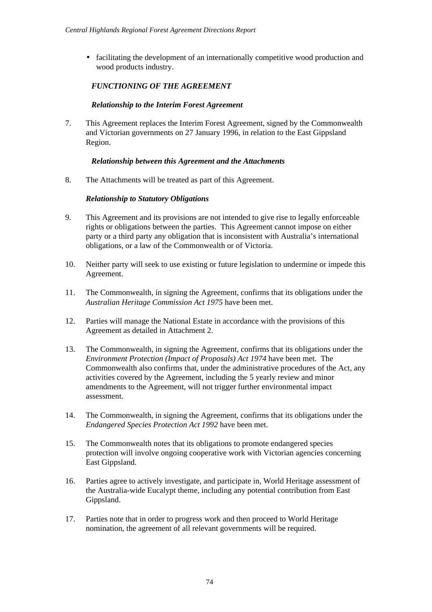• facilitating the development of an internationally competitive wood production and wood products industry.

## *FUNCTIONING OF THE AGREEMENT*

## *Relationship to the Interim Forest Agreement*

7. This Agreement replaces the Interim Forest Agreement, signed by the Commonwealth and Victorian governments on 27 January 1996, in relation to the East Gippsland Region.

## *Relationship between this Agreement and the Attachments*

8. The Attachments will be treated as part of this Agreement.

## *Relationship to Statutory Obligations*

- 9. This Agreement and its provisions are not intended to give rise to legally enforceable rights or obligations between the parties. This Agreement cannot impose on either party or a third party any obligation that is inconsistent with Australia's international obligations, or a law of the Commonwealth or of Victoria.
- 10. Neither party will seek to use existing or future legislation to undermine or impede this Agreement.
- 11. The Commonwealth, in signing the Agreement, confirms that its obligations under the *Australian Heritage Commission Act 1975* have been met.
- 12. Parties will manage the National Estate in accordance with the provisions of this Agreement as detailed in Attachment 2.
- 13. The Commonwealth, in signing the Agreement, confirms that its obligations under the *Environment Protection (Impact of Proposals) Act 1974* have been met. The Commonwealth also confirms that, under the administrative procedures of the Act, any activities covered by the Agreement, including the 5 yearly review and minor amendments to the Agreement, will not trigger further environmental impact assessment.
- 14. The Commonwealth, in signing the Agreement, confirms that its obligations under the *Endangered Species Protection Act 1992* have been met.
- 15. The Commonwealth notes that its obligations to promote endangered species protection will involve ongoing cooperative work with Victorian agencies concerning East Gippsland.
- 16. Parties agree to actively investigate, and participate in, World Heritage assessment of the Australia-wide Eucalypt theme, including any potential contribution from East Gippsland.
- 17. Parties note that in order to progress work and then proceed to World Heritage nomination, the agreement of all relevant governments will be required.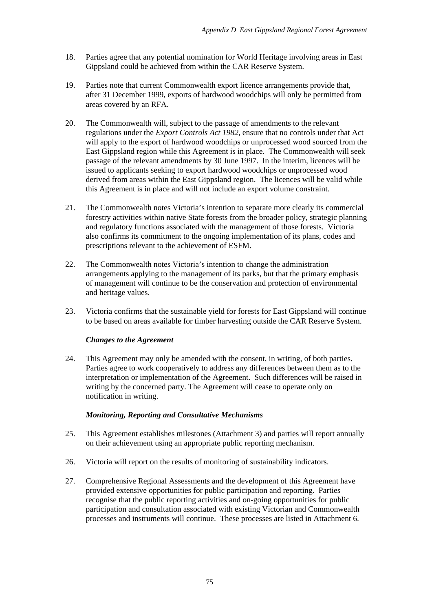- 18. Parties agree that any potential nomination for World Heritage involving areas in East Gippsland could be achieved from within the CAR Reserve System.
- 19. Parties note that current Commonwealth export licence arrangements provide that, after 31 December 1999, exports of hardwood woodchips will only be permitted from areas covered by an RFA.
- 20. The Commonwealth will, subject to the passage of amendments to the relevant regulations under the *Export Controls Act 1982*, ensure that no controls under that Act will apply to the export of hardwood woodchips or unprocessed wood sourced from the East Gippsland region while this Agreement is in place. The Commonwealth will seek passage of the relevant amendments by 30 June 1997. In the interim, licences will be issued to applicants seeking to export hardwood woodchips or unprocessed wood derived from areas within the East Gippsland region. The licences will be valid while this Agreement is in place and will not include an export volume constraint.
- 21. The Commonwealth notes Victoria's intention to separate more clearly its commercial forestry activities within native State forests from the broader policy, strategic planning and regulatory functions associated with the management of those forests. Victoria also confirms its commitment to the ongoing implementation of its plans, codes and prescriptions relevant to the achievement of ESFM.
- 22. The Commonwealth notes Victoria's intention to change the administration arrangements applying to the management of its parks, but that the primary emphasis of management will continue to be the conservation and protection of environmental and heritage values.
- 23. Victoria confirms that the sustainable yield for forests for East Gippsland will continue to be based on areas available for timber harvesting outside the CAR Reserve System.

#### *Changes to the Agreement*

24. This Agreement may only be amended with the consent, in writing, of both parties. Parties agree to work cooperatively to address any differences between them as to the interpretation or implementation of the Agreement. Such differences will be raised in writing by the concerned party. The Agreement will cease to operate only on notification in writing.

#### *Monitoring, Reporting and Consultative Mechanisms*

- 25. This Agreement establishes milestones (Attachment 3) and parties will report annually on their achievement using an appropriate public reporting mechanism.
- 26. Victoria will report on the results of monitoring of sustainability indicators.
- 27. Comprehensive Regional Assessments and the development of this Agreement have provided extensive opportunities for public participation and reporting. Parties recognise that the public reporting activities and on-going opportunities for public participation and consultation associated with existing Victorian and Commonwealth processes and instruments will continue. These processes are listed in Attachment 6.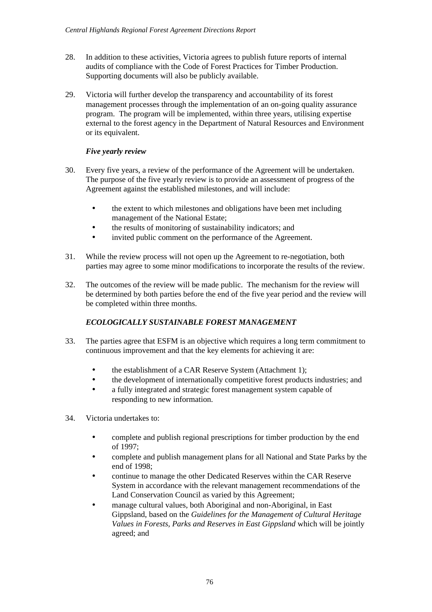- 28. In addition to these activities, Victoria agrees to publish future reports of internal audits of compliance with the Code of Forest Practices for Timber Production. Supporting documents will also be publicly available.
- 29. Victoria will further develop the transparency and accountability of its forest management processes through the implementation of an on-going quality assurance program. The program will be implemented, within three years, utilising expertise external to the forest agency in the Department of Natural Resources and Environment or its equivalent.

## *Five yearly review*

- 30. Every five years, a review of the performance of the Agreement will be undertaken. The purpose of the five yearly review is to provide an assessment of progress of the Agreement against the established milestones, and will include:
	- the extent to which milestones and obligations have been met including management of the National Estate;
	- the results of monitoring of sustainability indicators; and
	- invited public comment on the performance of the Agreement.
- 31. While the review process will not open up the Agreement to re-negotiation, both parties may agree to some minor modifications to incorporate the results of the review.
- 32. The outcomes of the review will be made public. The mechanism for the review will be determined by both parties before the end of the five year period and the review will be completed within three months.

## *ECOLOGICALLY SUSTAINABLE FOREST MANAGEMENT*

- 33. The parties agree that ESFM is an objective which requires a long term commitment to continuous improvement and that the key elements for achieving it are:
	- the establishment of a CAR Reserve System (Attachment 1);
	- the development of internationally competitive forest products industries; and
	- a fully integrated and strategic forest management system capable of responding to new information.
- 34. Victoria undertakes to:
	- complete and publish regional prescriptions for timber production by the end of 1997;
	- complete and publish management plans for all National and State Parks by the end of 1998;
	- continue to manage the other Dedicated Reserves within the CAR Reserve System in accordance with the relevant management recommendations of the Land Conservation Council as varied by this Agreement;
	- manage cultural values, both Aboriginal and non-Aboriginal, in East Gippsland, based on the *Guidelines for the Management of Cultural Heritage Values in Forests, Parks and Reserves in East Gippsland* which will be jointly agreed; and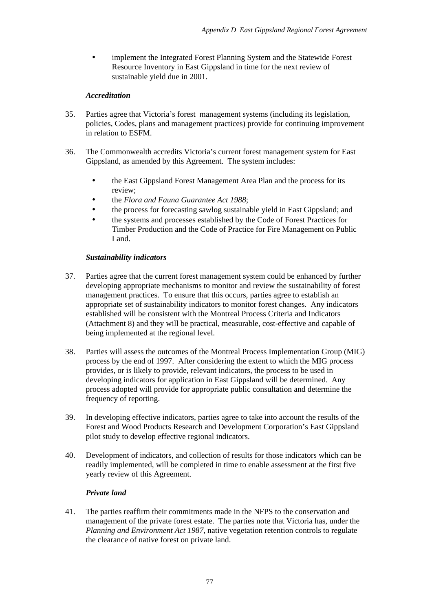implement the Integrated Forest Planning System and the Statewide Forest Resource Inventory in East Gippsland in time for the next review of sustainable yield due in 2001.

#### *Accreditation*

- 35. Parties agree that Victoria's forest management systems (including its legislation, policies, Codes, plans and management practices) provide for continuing improvement in relation to ESFM.
- 36. The Commonwealth accredits Victoria's current forest management system for East Gippsland, as amended by this Agreement. The system includes:
	- the East Gippsland Forest Management Area Plan and the process for its review;
	- the *Flora and Fauna Guarantee Act 1988*;
	- the process for forecasting sawlog sustainable yield in East Gippsland; and
	- the systems and processes established by the Code of Forest Practices for Timber Production and the Code of Practice for Fire Management on Public Land.

#### *Sustainability indicators*

- 37. Parties agree that the current forest management system could be enhanced by further developing appropriate mechanisms to monitor and review the sustainability of forest management practices. To ensure that this occurs, parties agree to establish an appropriate set of sustainability indicators to monitor forest changes. Any indicators established will be consistent with the Montreal Process Criteria and Indicators (Attachment 8) and they will be practical, measurable, cost-effective and capable of being implemented at the regional level.
- 38. Parties will assess the outcomes of the Montreal Process Implementation Group (MIG) process by the end of 1997. After considering the extent to which the MIG process provides, or is likely to provide, relevant indicators, the process to be used in developing indicators for application in East Gippsland will be determined. Any process adopted will provide for appropriate public consultation and determine the frequency of reporting.
- 39. In developing effective indicators, parties agree to take into account the results of the Forest and Wood Products Research and Development Corporation's East Gippsland pilot study to develop effective regional indicators.
- 40. Development of indicators, and collection of results for those indicators which can be readily implemented, will be completed in time to enable assessment at the first five yearly review of this Agreement.

## *Private land*

41. The parties reaffirm their commitments made in the NFPS to the conservation and management of the private forest estate. The parties note that Victoria has, under the *Planning and Environment Act 1987*, native vegetation retention controls to regulate the clearance of native forest on private land.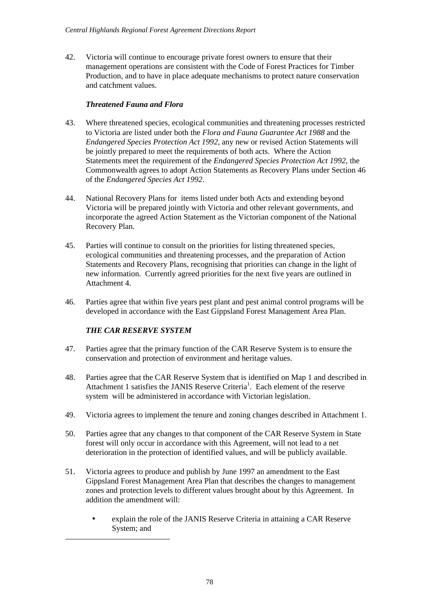42. Victoria will continue to encourage private forest owners to ensure that their management operations are consistent with the Code of Forest Practices for Timber Production, and to have in place adequate mechanisms to protect nature conservation and catchment values.

## *Threatened Fauna and Flora*

- 43. Where threatened species, ecological communities and threatening processes restricted to Victoria are listed under both the *Flora and Fauna Guarantee Act 1988* and the *Endangered Species Protection Act 1992*, any new or revised Action Statements will be jointly prepared to meet the requirements of both acts. Where the Action Statements meet the requirement of the *Endangered Species Protection Act 1992*, the Commonwealth agrees to adopt Action Statements as Recovery Plans under Section 46 of the *Endangered Species Act 1992*.
- 44. National Recovery Plans for items listed under both Acts and extending beyond Victoria will be prepared jointly with Victoria and other relevant governments, and incorporate the agreed Action Statement as the Victorian component of the National Recovery Plan.
- 45. Parties will continue to consult on the priorities for listing threatened species, ecological communities and threatening processes, and the preparation of Action Statements and Recovery Plans, recognising that priorities can change in the light of new information. Currently agreed priorities for the next five years are outlined in Attachment 4.
- 46. Parties agree that within five years pest plant and pest animal control programs will be developed in accordance with the East Gippsland Forest Management Area Plan.

## *THE CAR RESERVE SYSTEM*

l

- 47. Parties agree that the primary function of the CAR Reserve System is to ensure the conservation and protection of environment and heritage values.
- 48. Parties agree that the CAR Reserve System that is identified on Map 1 and described in Attachment 1 satisfies the JANIS Reserve Criteria<sup>1</sup>. Each element of the reserve system will be administered in accordance with Victorian legislation.
- 49. Victoria agrees to implement the tenure and zoning changes described in Attachment 1.
- 50. Parties agree that any changes to that component of the CAR Reserve System in State forest will only occur in accordance with this Agreement, will not lead to a net deterioration in the protection of identified values, and will be publicly available.
- 51. Victoria agrees to produce and publish by June 1997 an amendment to the East Gippsland Forest Management Area Plan that describes the changes to management zones and protection levels to different values brought about by this Agreement. In addition the amendment will:
	- explain the role of the JANIS Reserve Criteria in attaining a CAR Reserve System; and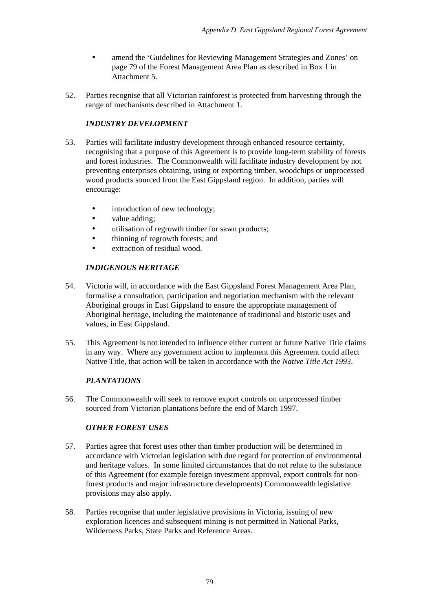- amend the 'Guidelines for Reviewing Management Strategies and Zones' on page 79 of the Forest Management Area Plan as described in Box 1 in Attachment 5.
- 52. Parties recognise that all Victorian rainforest is protected from harvesting through the range of mechanisms described in Attachment 1.

## *INDUSTRY DEVELOPMENT*

- 53. Parties will facilitate industry development through enhanced resource certainty, recognising that a purpose of this Agreement is to provide long-term stability of forests and forest industries. The Commonwealth will facilitate industry development by not preventing enterprises obtaining, using or exporting timber, woodchips or unprocessed wood products sourced from the East Gippsland region. In addition, parties will encourage:
	- introduction of new technology;
	- value adding:
	- utilisation of regrowth timber for sawn products;
	- thinning of regrowth forests; and
	- extraction of residual wood.

## *INDIGENOUS HERITAGE*

- 54. Victoria will, in accordance with the East Gippsland Forest Management Area Plan, formalise a consultation, participation and negotiation mechanism with the relevant Aboriginal groups in East Gippsland to ensure the appropriate management of Aboriginal heritage, including the maintenance of traditional and historic uses and values, in East Gippsland.
- 55. This Agreement is not intended to influence either current or future Native Title claims in any way. Where any government action to implement this Agreement could affect Native Title, that action will be taken in accordance with the *Native Title Act 1993*.

#### *PLANTATIONS*

56. The Commonwealth will seek to remove export controls on unprocessed timber sourced from Victorian plantations before the end of March 1997.

#### *OTHER FOREST USES*

- 57. Parties agree that forest uses other than timber production will be determined in accordance with Victorian legislation with due regard for protection of environmental and heritage values. In some limited circumstances that do not relate to the substance of this Agreement (for example foreign investment approval, export controls for nonforest products and major infrastructure developments) Commonwealth legislative provisions may also apply.
- 58. Parties recognise that under legislative provisions in Victoria, issuing of new exploration licences and subsequent mining is not permitted in National Parks, Wilderness Parks, State Parks and Reference Areas.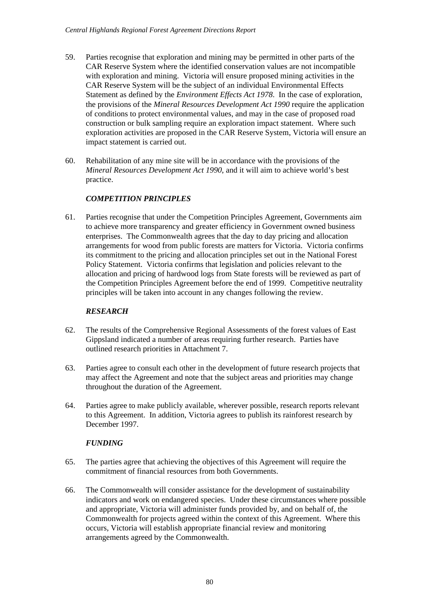- 59. Parties recognise that exploration and mining may be permitted in other parts of the CAR Reserve System where the identified conservation values are not incompatible with exploration and mining. Victoria will ensure proposed mining activities in the CAR Reserve System will be the subject of an individual Environmental Effects Statement as defined by the *Environment Effects Act 1978*. In the case of exploration, the provisions of the *Mineral Resources Development Act 1990* require the application of conditions to protect environmental values, and may in the case of proposed road construction or bulk sampling require an exploration impact statement. Where such exploration activities are proposed in the CAR Reserve System, Victoria will ensure an impact statement is carried out.
- 60. Rehabilitation of any mine site will be in accordance with the provisions of the *Mineral Resources Development Act 1990*, and it will aim to achieve world's best practice.

## *COMPETITION PRINCIPLES*

61. Parties recognise that under the Competition Principles Agreement, Governments aim to achieve more transparency and greater efficiency in Government owned business enterprises. The Commonwealth agrees that the day to day pricing and allocation arrangements for wood from public forests are matters for Victoria. Victoria confirms its commitment to the pricing and allocation principles set out in the National Forest Policy Statement. Victoria confirms that legislation and policies relevant to the allocation and pricing of hardwood logs from State forests will be reviewed as part of the Competition Principles Agreement before the end of 1999. Competitive neutrality principles will be taken into account in any changes following the review.

#### *RESEARCH*

- 62. The results of the Comprehensive Regional Assessments of the forest values of East Gippsland indicated a number of areas requiring further research. Parties have outlined research priorities in Attachment 7.
- 63. Parties agree to consult each other in the development of future research projects that may affect the Agreement and note that the subject areas and priorities may change throughout the duration of the Agreement.
- 64. Parties agree to make publicly available, wherever possible, research reports relevant to this Agreement. In addition, Victoria agrees to publish its rainforest research by December 1997.

#### *FUNDING*

- 65. The parties agree that achieving the objectives of this Agreement will require the commitment of financial resources from both Governments.
- 66. The Commonwealth will consider assistance for the development of sustainability indicators and work on endangered species. Under these circumstances where possible and appropriate, Victoria will administer funds provided by, and on behalf of, the Commonwealth for projects agreed within the context of this Agreement. Where this occurs, Victoria will establish appropriate financial review and monitoring arrangements agreed by the Commonwealth.